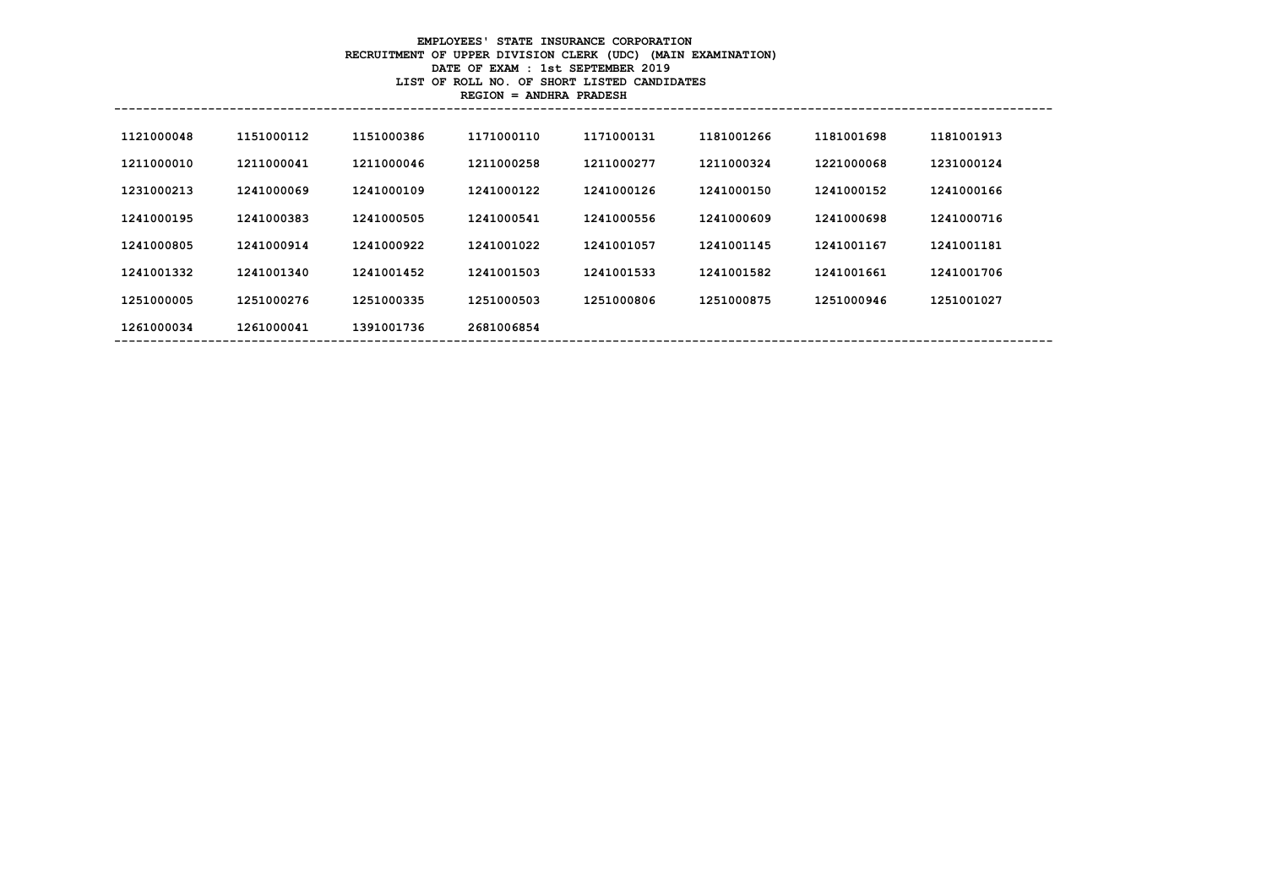#### **EMPLOYEES' STATE INSURANCE CORPORATION RECRUITMENT OF UPPER DIVISION CLERK (UDC) (MAIN EXAMINATION) DATE OF EXAM : 1st SEPTEMBER 2019 LIST OF ROLL NO. OF SHORT LISTED CANDIDATES REGION = ANDHRA PRADESH**

| 1121000048 | 1151000112 | 1151000386 | 1171000110 | 1171000131 | 1181001266 | 1181001698 | 1181001913 |  |
|------------|------------|------------|------------|------------|------------|------------|------------|--|
| 1211000010 | 1211000041 | 1211000046 | 1211000258 | 1211000277 | 1211000324 | 1221000068 | 1231000124 |  |
| 1231000213 | 1241000069 | 1241000109 | 1241000122 | 1241000126 | 1241000150 | 1241000152 | 1241000166 |  |
| 1241000195 | 1241000383 | 1241000505 | 1241000541 | 1241000556 | 1241000609 | 1241000698 | 1241000716 |  |
| 1241000805 | 1241000914 | 1241000922 | 1241001022 | 1241001057 | 1241001145 | 1241001167 | 1241001181 |  |
| 1241001332 | 1241001340 | 1241001452 | 1241001503 | 1241001533 | 1241001582 | 1241001661 | 1241001706 |  |
| 1251000005 | 1251000276 | 1251000335 | 1251000503 | 1251000806 | 1251000875 | 1251000946 | 1251001027 |  |
| 1261000034 | 1261000041 | 1391001736 | 2681006854 |            |            |            |            |  |
|            |            |            |            |            |            |            |            |  |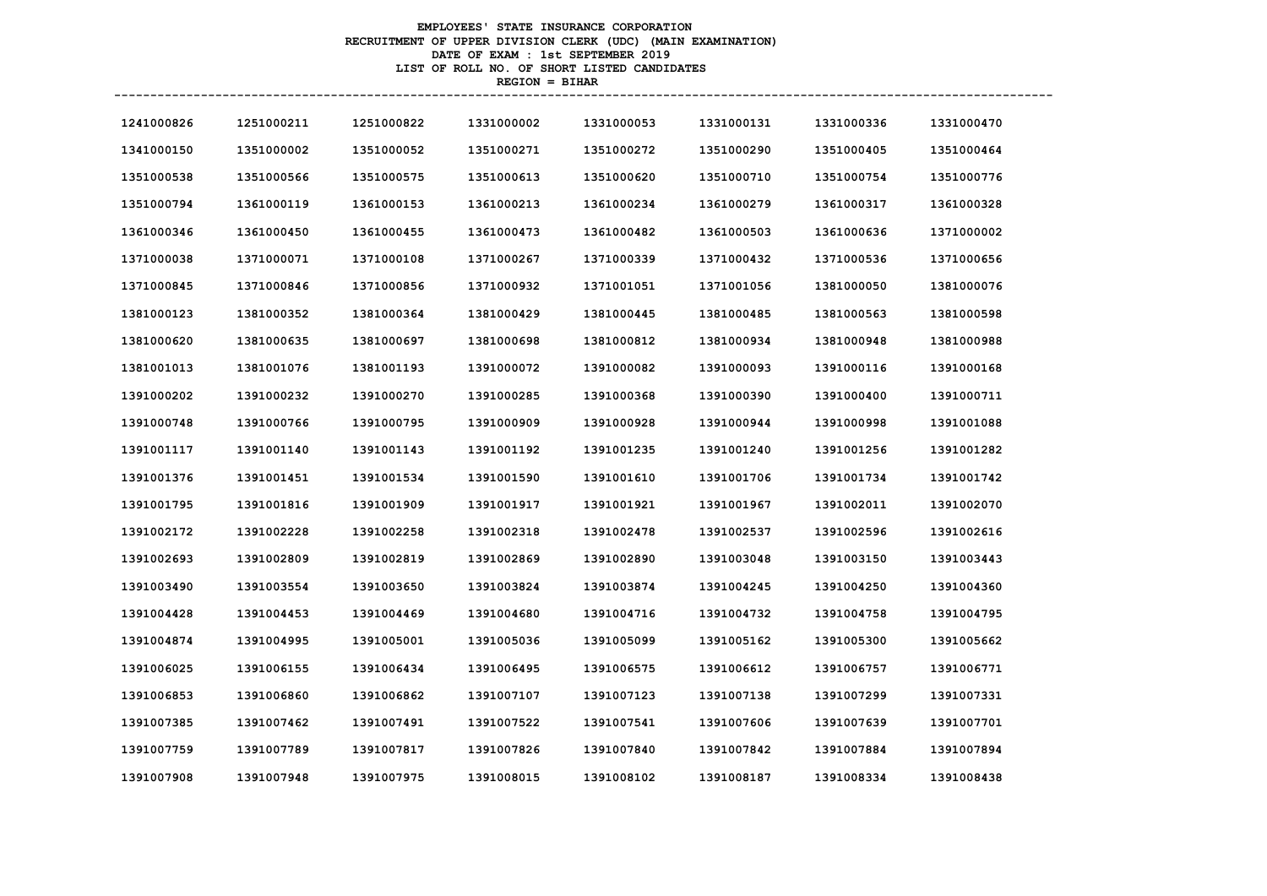# **EMPLOYEES' STATE INSURANCE CORPORATION RECRUITMENT OF UPPER DIVISION CLERK (UDC) (MAIN EXAMINATION) DATE OF EXAM : 1st SEPTEMBER 2019 LIST OF ROLL NO. OF SHORT LISTED CANDIDATES REGION = BIHAR**

| 1241000826 | 1251000211 | 1251000822 | 1331000002 | 1331000053 | 1331000131 | 1331000336 | 1331000470 |
|------------|------------|------------|------------|------------|------------|------------|------------|
| 1341000150 | 1351000002 | 1351000052 | 1351000271 | 1351000272 | 1351000290 | 1351000405 | 1351000464 |
| 1351000538 | 1351000566 | 1351000575 | 1351000613 | 1351000620 | 1351000710 | 1351000754 | 1351000776 |
| 1351000794 | 1361000119 | 1361000153 | 1361000213 | 1361000234 | 1361000279 | 1361000317 | 1361000328 |
| 1361000346 | 1361000450 | 1361000455 | 1361000473 | 1361000482 | 1361000503 | 1361000636 | 1371000002 |
| 1371000038 | 1371000071 | 1371000108 | 1371000267 | 1371000339 | 1371000432 | 1371000536 | 1371000656 |
| 1371000845 | 1371000846 | 1371000856 | 1371000932 | 1371001051 | 1371001056 | 1381000050 | 1381000076 |
| 1381000123 | 1381000352 | 1381000364 | 1381000429 | 1381000445 | 1381000485 | 1381000563 | 1381000598 |
| 1381000620 | 1381000635 | 1381000697 | 1381000698 | 1381000812 | 1381000934 | 1381000948 | 1381000988 |
| 1381001013 | 1381001076 | 1381001193 | 1391000072 | 1391000082 | 1391000093 | 1391000116 | 1391000168 |
| 1391000202 | 1391000232 | 1391000270 | 1391000285 | 1391000368 | 1391000390 | 1391000400 | 1391000711 |
| 1391000748 | 1391000766 | 1391000795 | 1391000909 | 1391000928 | 1391000944 | 1391000998 | 1391001088 |
| 1391001117 | 1391001140 | 1391001143 | 1391001192 | 1391001235 | 1391001240 | 1391001256 | 1391001282 |
| 1391001376 | 1391001451 | 1391001534 | 1391001590 | 1391001610 | 1391001706 | 1391001734 | 1391001742 |
| 1391001795 | 1391001816 | 1391001909 | 1391001917 | 1391001921 | 1391001967 | 1391002011 | 1391002070 |
| 1391002172 | 1391002228 | 1391002258 | 1391002318 | 1391002478 | 1391002537 | 1391002596 | 1391002616 |
| 1391002693 | 1391002809 | 1391002819 | 1391002869 | 1391002890 | 1391003048 | 1391003150 | 1391003443 |
| 1391003490 | 1391003554 | 1391003650 | 1391003824 | 1391003874 | 1391004245 | 1391004250 | 1391004360 |
| 1391004428 | 1391004453 | 1391004469 | 1391004680 | 1391004716 | 1391004732 | 1391004758 | 1391004795 |
| 1391004874 | 1391004995 | 1391005001 | 1391005036 | 1391005099 | 1391005162 | 1391005300 | 1391005662 |
| 1391006025 | 1391006155 | 1391006434 | 1391006495 | 1391006575 | 1391006612 | 1391006757 | 1391006771 |
| 1391006853 | 1391006860 | 1391006862 | 1391007107 | 1391007123 | 1391007138 | 1391007299 | 1391007331 |
| 1391007385 | 1391007462 | 1391007491 | 1391007522 | 1391007541 | 1391007606 | 1391007639 | 1391007701 |
| 1391007759 | 1391007789 | 1391007817 | 1391007826 | 1391007840 | 1391007842 | 1391007884 | 1391007894 |
| 1391007908 | 1391007948 | 1391007975 | 1391008015 | 1391008102 | 1391008187 | 1391008334 | 1391008438 |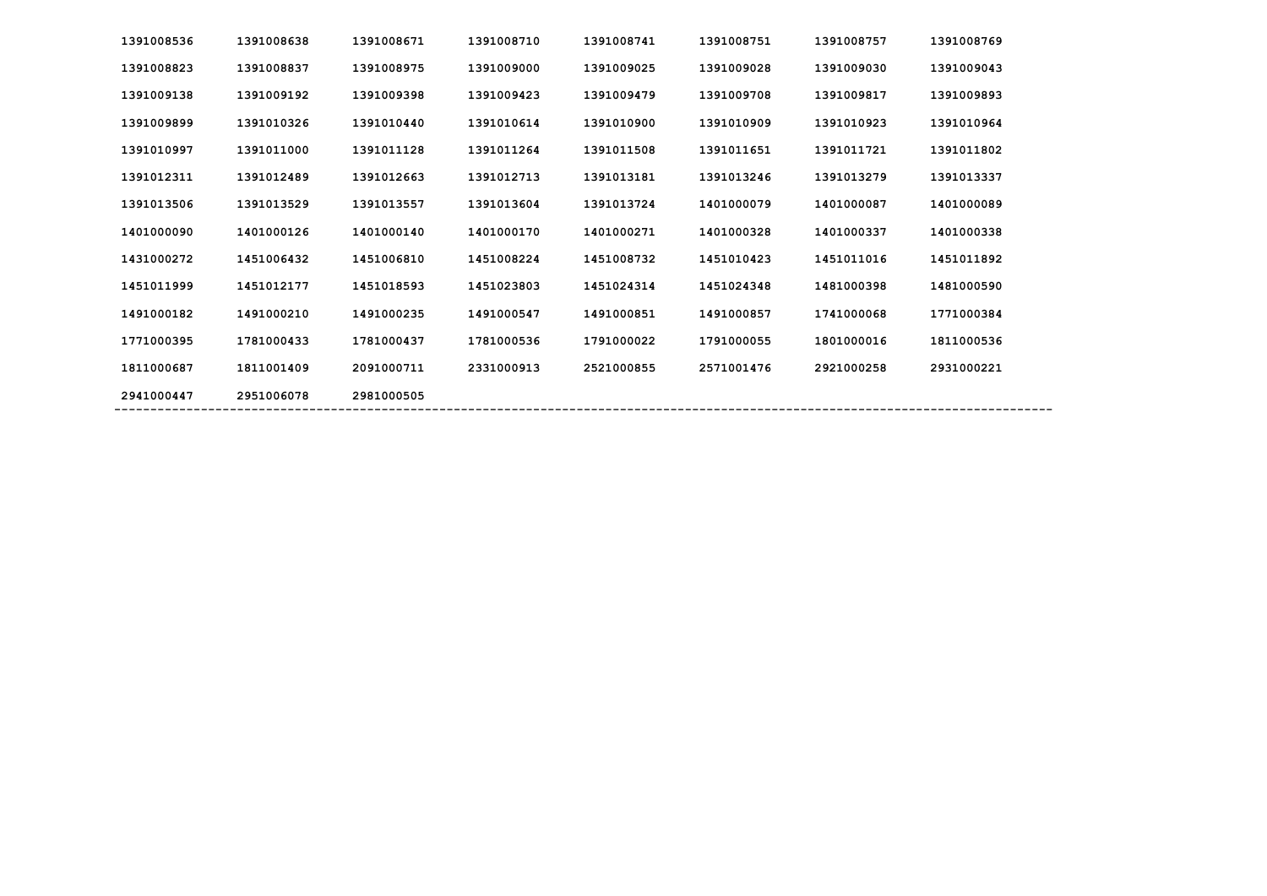| 1391008536 | 1391008638 | 1391008671 | 1391008710 | 1391008741 | 1391008751 | 1391008757 | 1391008769 |
|------------|------------|------------|------------|------------|------------|------------|------------|
| 1391008823 | 1391008837 | 1391008975 | 1391009000 | 1391009025 | 1391009028 | 1391009030 | 1391009043 |
| 1391009138 | 1391009192 | 1391009398 | 1391009423 | 1391009479 | 1391009708 | 1391009817 | 1391009893 |
| 1391009899 | 1391010326 | 1391010440 | 1391010614 | 1391010900 | 1391010909 | 1391010923 | 1391010964 |
| 1391010997 | 1391011000 | 1391011128 | 1391011264 | 1391011508 | 1391011651 | 1391011721 | 1391011802 |
| 1391012311 | 1391012489 | 1391012663 | 1391012713 | 1391013181 | 1391013246 | 1391013279 | 1391013337 |
| 1391013506 | 1391013529 | 1391013557 | 1391013604 | 1391013724 | 1401000079 | 1401000087 | 1401000089 |
| 1401000090 | 1401000126 | 1401000140 | 1401000170 | 1401000271 | 1401000328 | 1401000337 | 1401000338 |
| 1431000272 | 1451006432 | 1451006810 | 1451008224 | 1451008732 | 1451010423 | 1451011016 | 1451011892 |
| 1451011999 | 1451012177 | 1451018593 | 1451023803 | 1451024314 | 1451024348 | 1481000398 | 1481000590 |
| 1491000182 | 1491000210 | 1491000235 | 1491000547 | 1491000851 | 1491000857 | 1741000068 | 1771000384 |
| 1771000395 | 1781000433 | 1781000437 | 1781000536 | 1791000022 | 1791000055 | 1801000016 | 1811000536 |
| 1811000687 | 1811001409 | 2091000711 | 2331000913 | 2521000855 | 2571001476 | 2921000258 | 2931000221 |
| 2941000447 | 2951006078 | 2981000505 |            |            |            |            |            |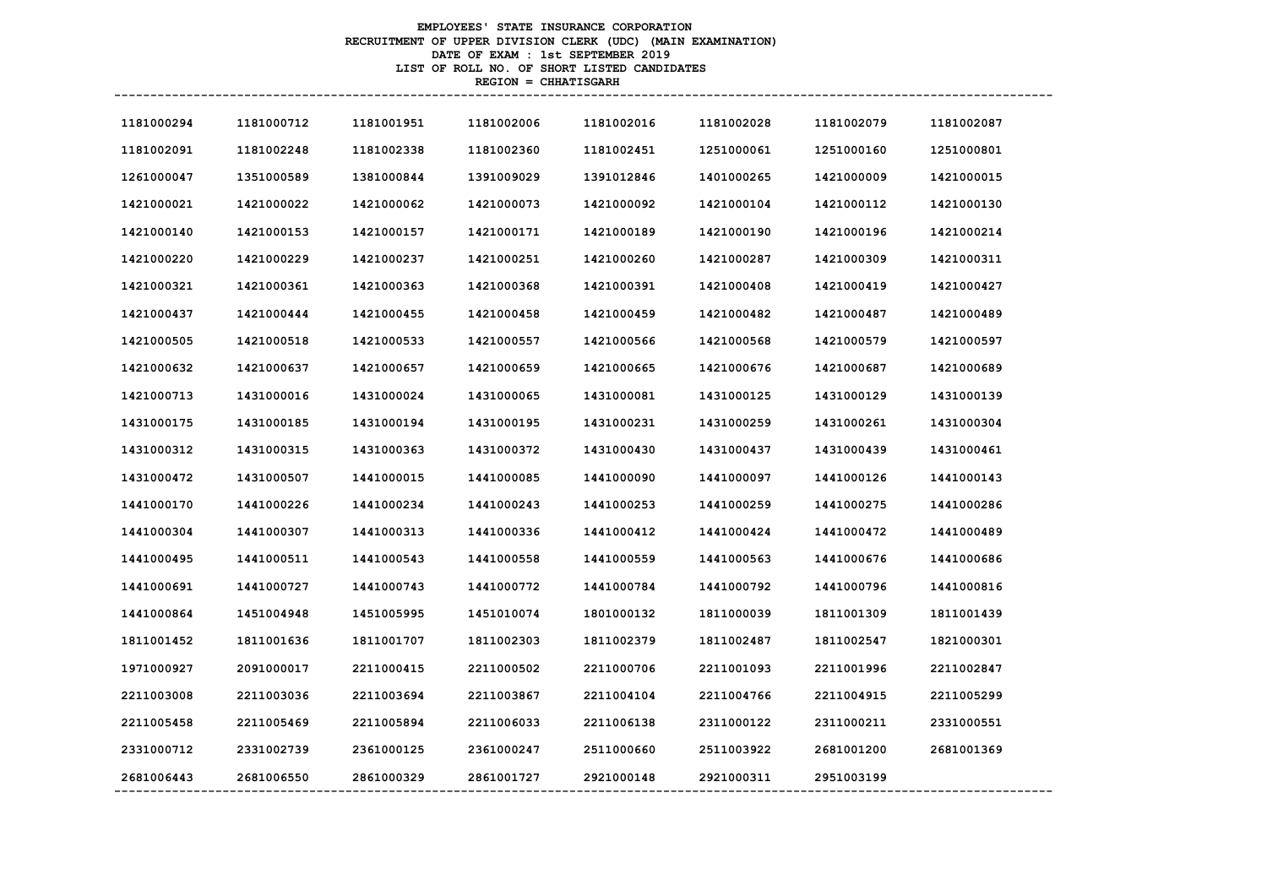# **EMPLOYEES' STATE INSURANCE CORPORATION RECRUITMENT OF UPPER DIVISION CLERK (UDC) (MAIN EXAMINATION) DATE OF EXAM : 1st SEPTEMBER 2019 LIST OF ROLL NO. OF SHORT LISTED CANDIDATES REGION = CHHATISGARH**

| 1181000294 | 1181000712 | 1181001951 | 1181002006 | 1181002016 | 1181002028 | 1181002079 | 1181002087 |
|------------|------------|------------|------------|------------|------------|------------|------------|
| 1181002091 | 1181002248 | 1181002338 | 1181002360 | 1181002451 | 1251000061 | 1251000160 | 1251000801 |
| 1261000047 | 1351000589 | 1381000844 | 1391009029 | 1391012846 | 1401000265 | 1421000009 | 1421000015 |
| 1421000021 | 1421000022 | 1421000062 | 1421000073 | 1421000092 | 1421000104 | 1421000112 | 1421000130 |
| 1421000140 | 1421000153 | 1421000157 | 1421000171 | 1421000189 | 1421000190 | 1421000196 | 1421000214 |
| 1421000220 | 1421000229 | 1421000237 | 1421000251 | 1421000260 | 1421000287 | 1421000309 | 1421000311 |
| 1421000321 | 1421000361 | 1421000363 | 1421000368 | 1421000391 | 1421000408 | 1421000419 | 1421000427 |
| 1421000437 | 1421000444 | 1421000455 | 1421000458 | 1421000459 | 1421000482 | 1421000487 | 1421000489 |
| 1421000505 | 1421000518 | 1421000533 | 1421000557 | 1421000566 | 1421000568 | 1421000579 | 1421000597 |
| 1421000632 | 1421000637 | 1421000657 | 1421000659 | 1421000665 | 1421000676 | 1421000687 | 1421000689 |
| 1421000713 | 1431000016 | 1431000024 | 1431000065 | 1431000081 | 1431000125 | 1431000129 | 1431000139 |
| 1431000175 | 1431000185 | 1431000194 | 1431000195 | 1431000231 | 1431000259 | 1431000261 | 1431000304 |
| 1431000312 | 1431000315 | 1431000363 | 1431000372 | 1431000430 | 1431000437 | 1431000439 | 1431000461 |
| 1431000472 | 1431000507 | 1441000015 | 1441000085 | 1441000090 | 1441000097 | 1441000126 | 1441000143 |
| 1441000170 | 1441000226 | 1441000234 | 1441000243 | 1441000253 | 1441000259 | 1441000275 | 1441000286 |
| 1441000304 | 1441000307 | 1441000313 | 1441000336 | 1441000412 | 1441000424 | 1441000472 | 1441000489 |
| 1441000495 | 1441000511 | 1441000543 | 1441000558 | 1441000559 | 1441000563 | 1441000676 | 1441000686 |
| 1441000691 | 1441000727 | 1441000743 | 1441000772 | 1441000784 | 1441000792 | 1441000796 | 1441000816 |
| 1441000864 | 1451004948 | 1451005995 | 1451010074 | 1801000132 | 1811000039 | 1811001309 | 1811001439 |
| 1811001452 | 1811001636 | 1811001707 | 1811002303 | 1811002379 | 1811002487 | 1811002547 | 1821000301 |
| 1971000927 | 2091000017 | 2211000415 | 2211000502 | 2211000706 | 2211001093 | 2211001996 | 2211002847 |
| 2211003008 | 2211003036 | 2211003694 | 2211003867 | 2211004104 | 2211004766 | 2211004915 | 2211005299 |
| 2211005458 | 2211005469 | 2211005894 | 2211006033 | 2211006138 | 2311000122 | 2311000211 | 2331000551 |
| 2331000712 | 2331002739 | 2361000125 | 2361000247 | 2511000660 | 2511003922 | 2681001200 | 2681001369 |
| 2681006443 | 2681006550 | 2861000329 | 2861001727 | 2921000148 | 2921000311 | 2951003199 |            |
|            |            |            |            |            |            |            |            |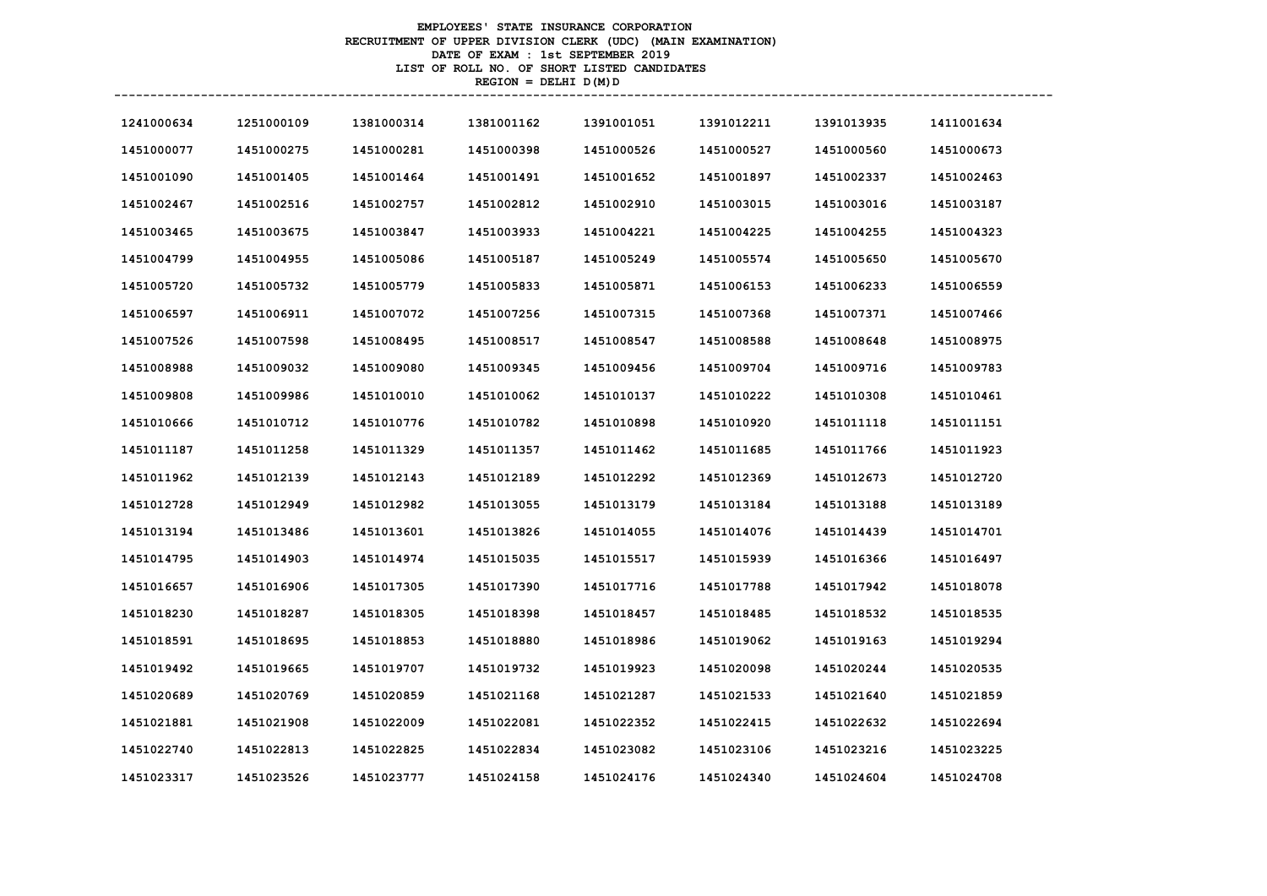# **EMPLOYEES' STATE INSURANCE CORPORATION RECRUITMENT OF UPPER DIVISION CLERK (UDC) (MAIN EXAMINATION) DATE OF EXAM : 1st SEPTEMBER 2019 LIST OF ROLL NO. OF SHORT LISTED CANDIDATES REGION = DELHI D(M)D**

| 1241000634 | 1251000109 | 1381000314 | 1381001162 | 1391001051 | 1391012211 | 1391013935 | 1411001634 |
|------------|------------|------------|------------|------------|------------|------------|------------|
| 1451000077 | 1451000275 | 1451000281 | 1451000398 | 1451000526 | 1451000527 | 1451000560 | 1451000673 |
| 1451001090 | 1451001405 | 1451001464 | 1451001491 | 1451001652 | 1451001897 | 1451002337 | 1451002463 |
| 1451002467 | 1451002516 | 1451002757 | 1451002812 | 1451002910 | 1451003015 | 1451003016 | 1451003187 |
| 1451003465 | 1451003675 | 1451003847 | 1451003933 | 1451004221 | 1451004225 | 1451004255 | 1451004323 |
| 1451004799 | 1451004955 | 1451005086 | 1451005187 | 1451005249 | 1451005574 | 1451005650 | 1451005670 |
| 1451005720 | 1451005732 | 1451005779 | 1451005833 | 1451005871 | 1451006153 | 1451006233 | 1451006559 |
| 1451006597 | 1451006911 | 1451007072 | 1451007256 | 1451007315 | 1451007368 | 1451007371 | 1451007466 |
| 1451007526 | 1451007598 | 1451008495 | 1451008517 | 1451008547 | 1451008588 | 1451008648 | 1451008975 |
| 1451008988 | 1451009032 | 1451009080 | 1451009345 | 1451009456 | 1451009704 | 1451009716 | 1451009783 |
| 1451009808 | 1451009986 | 1451010010 | 1451010062 | 1451010137 | 1451010222 | 1451010308 | 1451010461 |
| 1451010666 | 1451010712 | 1451010776 | 1451010782 | 1451010898 | 1451010920 | 1451011118 | 1451011151 |
| 1451011187 | 1451011258 | 1451011329 | 1451011357 | 1451011462 | 1451011685 | 1451011766 | 1451011923 |
| 1451011962 | 1451012139 | 1451012143 | 1451012189 | 1451012292 | 1451012369 | 1451012673 | 1451012720 |
| 1451012728 | 1451012949 | 1451012982 | 1451013055 | 1451013179 | 1451013184 | 1451013188 | 1451013189 |
| 1451013194 | 1451013486 | 1451013601 | 1451013826 | 1451014055 | 1451014076 | 1451014439 | 1451014701 |
| 1451014795 | 1451014903 | 1451014974 | 1451015035 | 1451015517 | 1451015939 | 1451016366 | 1451016497 |
| 1451016657 | 1451016906 | 1451017305 | 1451017390 | 1451017716 | 1451017788 | 1451017942 | 1451018078 |
| 1451018230 | 1451018287 | 1451018305 | 1451018398 | 1451018457 | 1451018485 | 1451018532 | 1451018535 |
| 1451018591 | 1451018695 | 1451018853 | 1451018880 | 1451018986 | 1451019062 | 1451019163 | 1451019294 |
| 1451019492 | 1451019665 | 1451019707 | 1451019732 | 1451019923 | 1451020098 | 1451020244 | 1451020535 |
| 1451020689 | 1451020769 | 1451020859 | 1451021168 | 1451021287 | 1451021533 | 1451021640 | 1451021859 |
| 1451021881 | 1451021908 | 1451022009 | 1451022081 | 1451022352 | 1451022415 | 1451022632 | 1451022694 |
| 1451022740 | 1451022813 | 1451022825 | 1451022834 | 1451023082 | 1451023106 | 1451023216 | 1451023225 |
| 1451023317 | 1451023526 | 1451023777 | 1451024158 | 1451024176 | 1451024340 | 1451024604 | 1451024708 |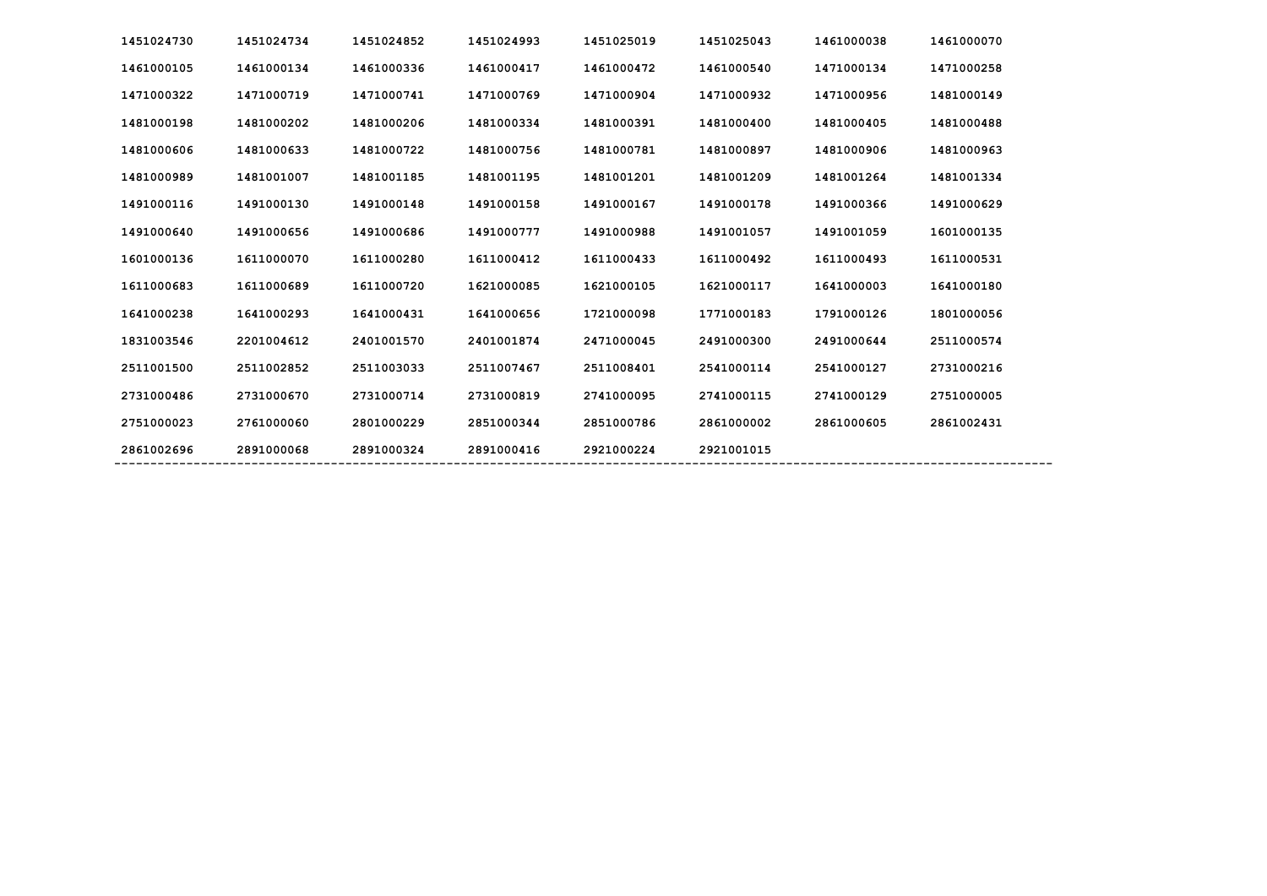| 1451024730 | 1451024734 | 1451024852 | 1451024993 | 1451025019 | 1451025043 | 1461000038 | 1461000070 |
|------------|------------|------------|------------|------------|------------|------------|------------|
| 1461000105 | 1461000134 | 1461000336 | 1461000417 | 1461000472 | 1461000540 | 1471000134 | 1471000258 |
| 1471000322 | 1471000719 | 1471000741 | 1471000769 | 1471000904 | 1471000932 | 1471000956 | 1481000149 |
| 1481000198 | 1481000202 | 1481000206 | 1481000334 | 1481000391 | 1481000400 | 1481000405 | 1481000488 |
| 1481000606 | 1481000633 | 1481000722 | 1481000756 | 1481000781 | 1481000897 | 1481000906 | 1481000963 |
| 1481000989 | 1481001007 | 1481001185 | 1481001195 | 1481001201 | 1481001209 | 1481001264 | 1481001334 |
| 1491000116 | 1491000130 | 1491000148 | 1491000158 | 1491000167 | 1491000178 | 1491000366 | 1491000629 |
| 1491000640 | 1491000656 | 1491000686 | 1491000777 | 1491000988 | 1491001057 | 1491001059 | 1601000135 |
| 1601000136 | 1611000070 | 1611000280 | 1611000412 | 1611000433 | 1611000492 | 1611000493 | 1611000531 |
| 1611000683 | 1611000689 | 1611000720 | 1621000085 | 1621000105 | 1621000117 | 1641000003 | 1641000180 |
| 1641000238 | 1641000293 | 1641000431 | 1641000656 | 1721000098 | 1771000183 | 1791000126 | 1801000056 |
| 1831003546 | 2201004612 | 2401001570 | 2401001874 | 2471000045 | 2491000300 | 2491000644 | 2511000574 |
| 2511001500 | 2511002852 | 2511003033 | 2511007467 | 2511008401 | 2541000114 | 2541000127 | 2731000216 |
| 2731000486 | 2731000670 | 2731000714 | 2731000819 | 2741000095 | 2741000115 | 2741000129 | 2751000005 |
| 2751000023 | 2761000060 | 2801000229 | 2851000344 | 2851000786 | 2861000002 | 2861000605 | 2861002431 |
| 2861002696 | 2891000068 | 2891000324 | 2891000416 | 2921000224 | 2921001015 |            |            |
|            |            |            |            |            |            |            |            |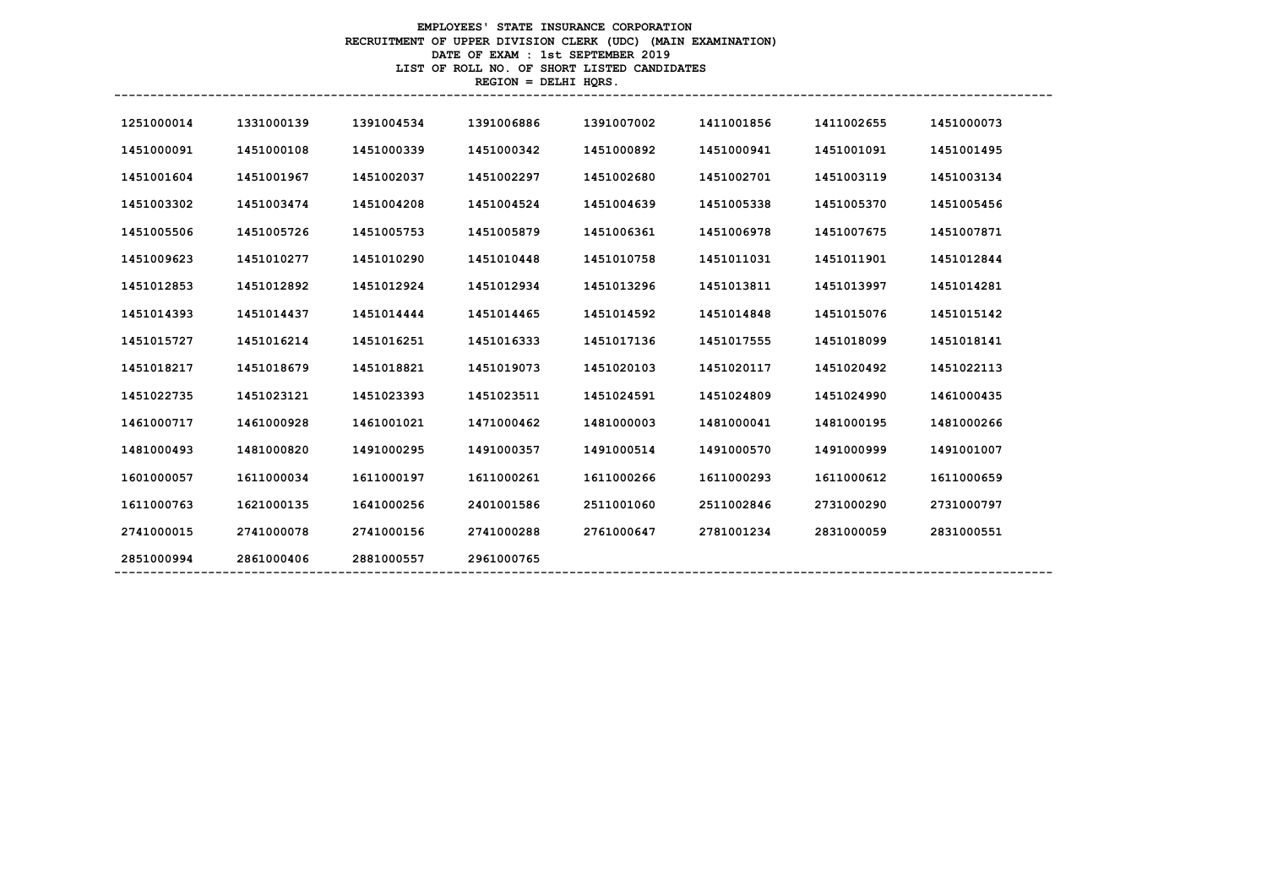# **EMPLOYEES' STATE INSURANCE CORPORATION RECRUITMENT OF UPPER DIVISION CLERK (UDC) (MAIN EXAMINATION) DATE OF EXAM : 1st SEPTEMBER 2019 LIST OF ROLL NO. OF SHORT LISTED CANDIDATES REGION = DELHI HQRS.**

| 1251000014<br>1331000139<br>1391004534<br>1391006886<br>1391007002 | 1411001856<br>1411002655<br>1451000073 |
|--------------------------------------------------------------------|----------------------------------------|
| 1451000091<br>1451000108<br>1451000339<br>1451000342<br>1451000892 | 1451000941<br>1451001091<br>1451001495 |
| 1451001967<br>1451002037<br>1451002297<br>1451002680<br>1451001604 | 1451002701<br>1451003119<br>1451003134 |
| 1451003302<br>1451003474<br>1451004208<br>1451004524<br>1451004639 | 1451005338<br>1451005370<br>1451005456 |
| 1451005726<br>1451006361<br>1451005506<br>1451005753<br>1451005879 | 1451007871<br>1451006978<br>1451007675 |
| 1451009623<br>1451010277<br>1451010290<br>1451010448<br>1451010758 | 1451011031<br>1451011901<br>1451012844 |
| 1451012892<br>1451012934<br>1451012853<br>1451012924<br>1451013296 | 1451013811<br>1451013997<br>1451014281 |
| 1451014393<br>1451014437<br>1451014444<br>1451014465<br>1451014592 | 1451014848<br>1451015076<br>1451015142 |
| 1451015727<br>1451016214<br>1451016251<br>1451016333<br>1451017136 | 1451017555<br>1451018099<br>1451018141 |
| 1451018217<br>1451018679<br>1451018821<br>1451019073<br>1451020103 | 1451020117<br>1451020492<br>1451022113 |
| 1451023121<br>1451023511<br>1451022735<br>1451023393<br>1451024591 | 1451024990<br>1451024809<br>1461000435 |
| 1461000928<br>1461001021<br>1471000462<br>1481000003<br>1461000717 | 1481000195<br>1481000266<br>1481000041 |
| 1481000493<br>1481000820<br>1491000295<br>1491000357<br>1491000514 | 1491000570<br>1491000999<br>1491001007 |
| 1601000057<br>1611000034<br>1611000197<br>1611000261<br>1611000266 | 1611000293<br>1611000612<br>1611000659 |
| 1621000135<br>2401001586<br>2511001060<br>1611000763<br>1641000256 | 2511002846<br>2731000290<br>2731000797 |
| 2741000015<br>2741000078<br>2741000156<br>2741000288<br>2761000647 | 2831000059<br>2781001234<br>2831000551 |
| 2861000406<br>2881000557<br>2961000765<br>2851000994               |                                        |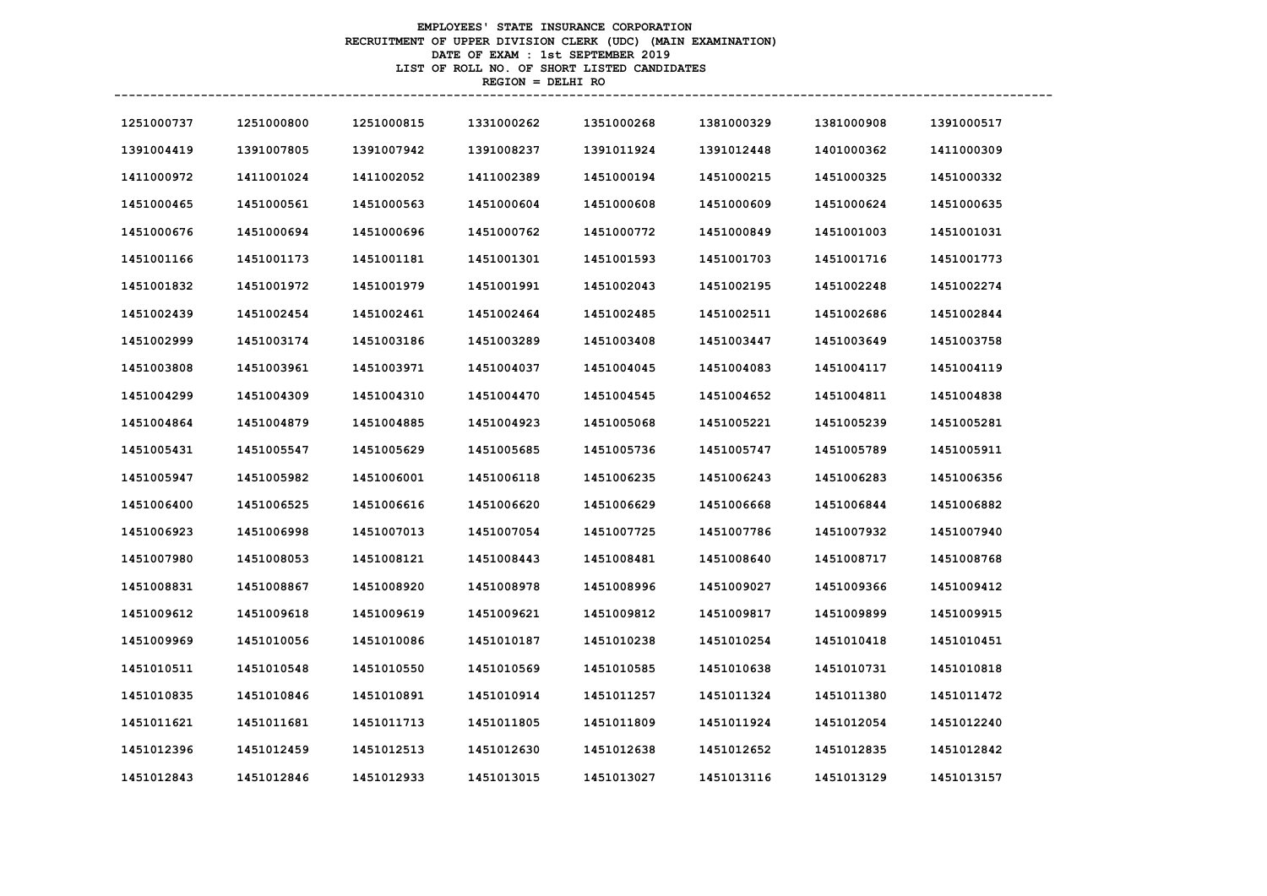# **EMPLOYEES' STATE INSURANCE CORPORATION RECRUITMENT OF UPPER DIVISION CLERK (UDC) (MAIN EXAMINATION) DATE OF EXAM : 1st SEPTEMBER 2019 LIST OF ROLL NO. OF SHORT LISTED CANDIDATES REGION = DELHI RO**

| 1251000737 | 1251000800 | 1251000815 | 1331000262 | 1351000268 | 1381000329 | 1381000908 | 1391000517 |
|------------|------------|------------|------------|------------|------------|------------|------------|
| 1391004419 | 1391007805 | 1391007942 | 1391008237 | 1391011924 | 1391012448 | 1401000362 | 1411000309 |
| 1411000972 | 1411001024 | 1411002052 | 1411002389 | 1451000194 | 1451000215 | 1451000325 | 1451000332 |
| 1451000465 | 1451000561 | 1451000563 | 1451000604 | 1451000608 | 1451000609 | 1451000624 | 1451000635 |
| 1451000676 | 1451000694 | 1451000696 | 1451000762 | 1451000772 | 1451000849 | 1451001003 | 1451001031 |
| 1451001166 | 1451001173 | 1451001181 | 1451001301 | 1451001593 | 1451001703 | 1451001716 | 1451001773 |
| 1451001832 | 1451001972 | 1451001979 | 1451001991 | 1451002043 | 1451002195 | 1451002248 | 1451002274 |
| 1451002439 | 1451002454 | 1451002461 | 1451002464 | 1451002485 | 1451002511 | 1451002686 | 1451002844 |
| 1451002999 | 1451003174 | 1451003186 | 1451003289 | 1451003408 | 1451003447 | 1451003649 | 1451003758 |
| 1451003808 | 1451003961 | 1451003971 | 1451004037 | 1451004045 | 1451004083 | 1451004117 | 1451004119 |
| 1451004299 | 1451004309 | 1451004310 | 1451004470 | 1451004545 | 1451004652 | 1451004811 | 1451004838 |
| 1451004864 | 1451004879 | 1451004885 | 1451004923 | 1451005068 | 1451005221 | 1451005239 | 1451005281 |
| 1451005431 | 1451005547 | 1451005629 | 1451005685 | 1451005736 | 1451005747 | 1451005789 | 1451005911 |
| 1451005947 | 1451005982 | 1451006001 | 1451006118 | 1451006235 | 1451006243 | 1451006283 | 1451006356 |
| 1451006400 | 1451006525 | 1451006616 | 1451006620 | 1451006629 | 1451006668 | 1451006844 | 1451006882 |
| 1451006923 | 1451006998 | 1451007013 | 1451007054 | 1451007725 | 1451007786 | 1451007932 | 1451007940 |
| 1451007980 | 1451008053 | 1451008121 | 1451008443 | 1451008481 | 1451008640 | 1451008717 | 1451008768 |
| 1451008831 | 1451008867 | 1451008920 | 1451008978 | 1451008996 | 1451009027 | 1451009366 | 1451009412 |
| 1451009612 | 1451009618 | 1451009619 | 1451009621 | 1451009812 | 1451009817 | 1451009899 | 1451009915 |
| 1451009969 | 1451010056 | 1451010086 | 1451010187 | 1451010238 | 1451010254 | 1451010418 | 1451010451 |
| 1451010511 | 1451010548 | 1451010550 | 1451010569 | 1451010585 | 1451010638 | 1451010731 | 1451010818 |
| 1451010835 | 1451010846 | 1451010891 | 1451010914 | 1451011257 | 1451011324 | 1451011380 | 1451011472 |
| 1451011621 | 1451011681 | 1451011713 | 1451011805 | 1451011809 | 1451011924 | 1451012054 | 1451012240 |
| 1451012396 | 1451012459 | 1451012513 | 1451012630 | 1451012638 | 1451012652 | 1451012835 | 1451012842 |
| 1451012843 | 1451012846 | 1451012933 | 1451013015 | 1451013027 | 1451013116 | 1451013129 | 1451013157 |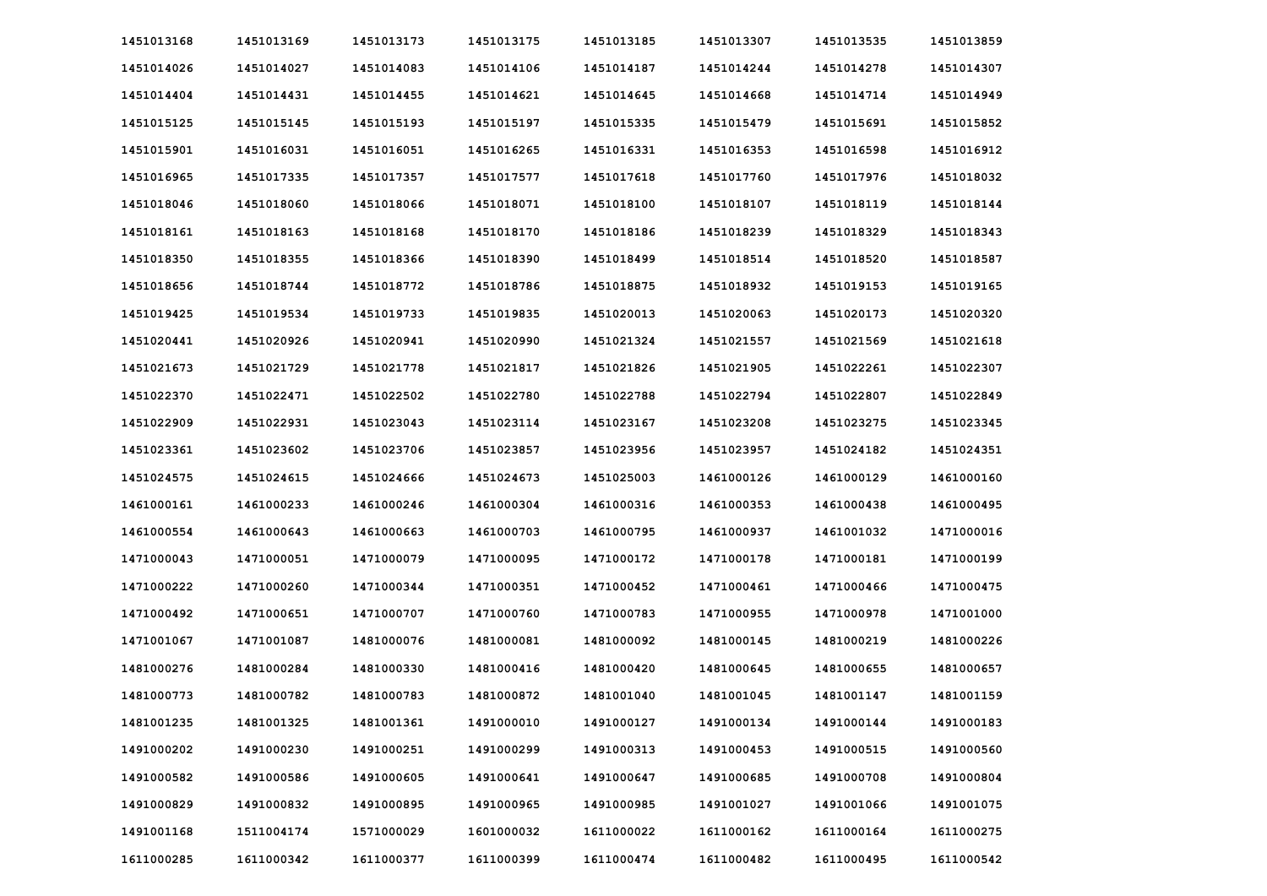| 1451013168 | 1451013169 | 1451013173 | 1451013175 | 1451013185 | 1451013307 | 1451013535 | 1451013859 |
|------------|------------|------------|------------|------------|------------|------------|------------|
| 1451014026 | 1451014027 | 1451014083 | 1451014106 | 1451014187 | 1451014244 | 1451014278 | 1451014307 |
| 1451014404 | 1451014431 | 1451014455 | 1451014621 | 1451014645 | 1451014668 | 1451014714 | 1451014949 |
| 1451015125 | 1451015145 | 1451015193 | 1451015197 | 1451015335 | 1451015479 | 1451015691 | 1451015852 |
| 1451015901 | 1451016031 | 1451016051 | 1451016265 | 1451016331 | 1451016353 | 1451016598 | 1451016912 |
| 1451016965 | 1451017335 | 1451017357 | 1451017577 | 1451017618 | 1451017760 | 1451017976 | 1451018032 |
| 1451018046 | 1451018060 | 1451018066 | 1451018071 | 1451018100 | 1451018107 | 1451018119 | 1451018144 |
| 1451018161 | 1451018163 | 1451018168 | 1451018170 | 1451018186 | 1451018239 | 1451018329 | 1451018343 |
| 1451018350 | 1451018355 | 1451018366 | 1451018390 | 1451018499 | 1451018514 | 1451018520 | 1451018587 |
| 1451018656 | 1451018744 | 1451018772 | 1451018786 | 1451018875 | 1451018932 | 1451019153 | 1451019165 |
| 1451019425 | 1451019534 | 1451019733 | 1451019835 | 1451020013 | 1451020063 | 1451020173 | 1451020320 |
| 1451020441 | 1451020926 | 1451020941 | 1451020990 | 1451021324 | 1451021557 | 1451021569 | 1451021618 |
| 1451021673 | 1451021729 | 1451021778 | 1451021817 | 1451021826 | 1451021905 | 1451022261 | 1451022307 |
| 1451022370 | 1451022471 | 1451022502 | 1451022780 | 1451022788 | 1451022794 | 1451022807 | 1451022849 |
| 1451022909 | 1451022931 | 1451023043 | 1451023114 | 1451023167 | 1451023208 | 1451023275 | 1451023345 |
| 1451023361 | 1451023602 | 1451023706 | 1451023857 | 1451023956 | 1451023957 | 1451024182 | 1451024351 |
| 1451024575 | 1451024615 | 1451024666 | 1451024673 | 1451025003 | 1461000126 | 1461000129 | 1461000160 |
| 1461000161 | 1461000233 | 1461000246 | 1461000304 | 1461000316 | 1461000353 | 1461000438 | 1461000495 |
| 1461000554 | 1461000643 | 1461000663 | 1461000703 | 1461000795 | 1461000937 | 1461001032 | 1471000016 |
| 1471000043 | 1471000051 | 1471000079 | 1471000095 | 1471000172 | 1471000178 | 1471000181 | 1471000199 |
| 1471000222 | 1471000260 | 1471000344 | 1471000351 | 1471000452 | 1471000461 | 1471000466 | 1471000475 |
| 1471000492 | 1471000651 | 1471000707 | 1471000760 | 1471000783 | 1471000955 | 1471000978 | 1471001000 |
| 1471001067 | 1471001087 | 1481000076 | 1481000081 | 1481000092 | 1481000145 | 1481000219 | 1481000226 |
| 1481000276 | 1481000284 | 1481000330 | 1481000416 | 1481000420 | 1481000645 | 1481000655 | 1481000657 |
| 1481000773 | 1481000782 | 1481000783 | 1481000872 | 1481001040 | 1481001045 | 1481001147 | 1481001159 |
| 1481001235 | 1481001325 | 1481001361 | 1491000010 | 1491000127 | 1491000134 | 1491000144 | 1491000183 |
| 1491000202 | 1491000230 | 1491000251 | 1491000299 | 1491000313 | 1491000453 | 1491000515 | 1491000560 |
| 1491000582 | 1491000586 | 1491000605 | 1491000641 | 1491000647 | 1491000685 | 1491000708 | 1491000804 |
| 1491000829 | 1491000832 | 1491000895 | 1491000965 | 1491000985 | 1491001027 | 1491001066 | 1491001075 |
| 1491001168 | 1511004174 | 1571000029 | 1601000032 | 1611000022 | 1611000162 | 1611000164 | 1611000275 |
| 1611000285 | 1611000342 | 1611000377 | 1611000399 | 1611000474 | 1611000482 | 1611000495 | 1611000542 |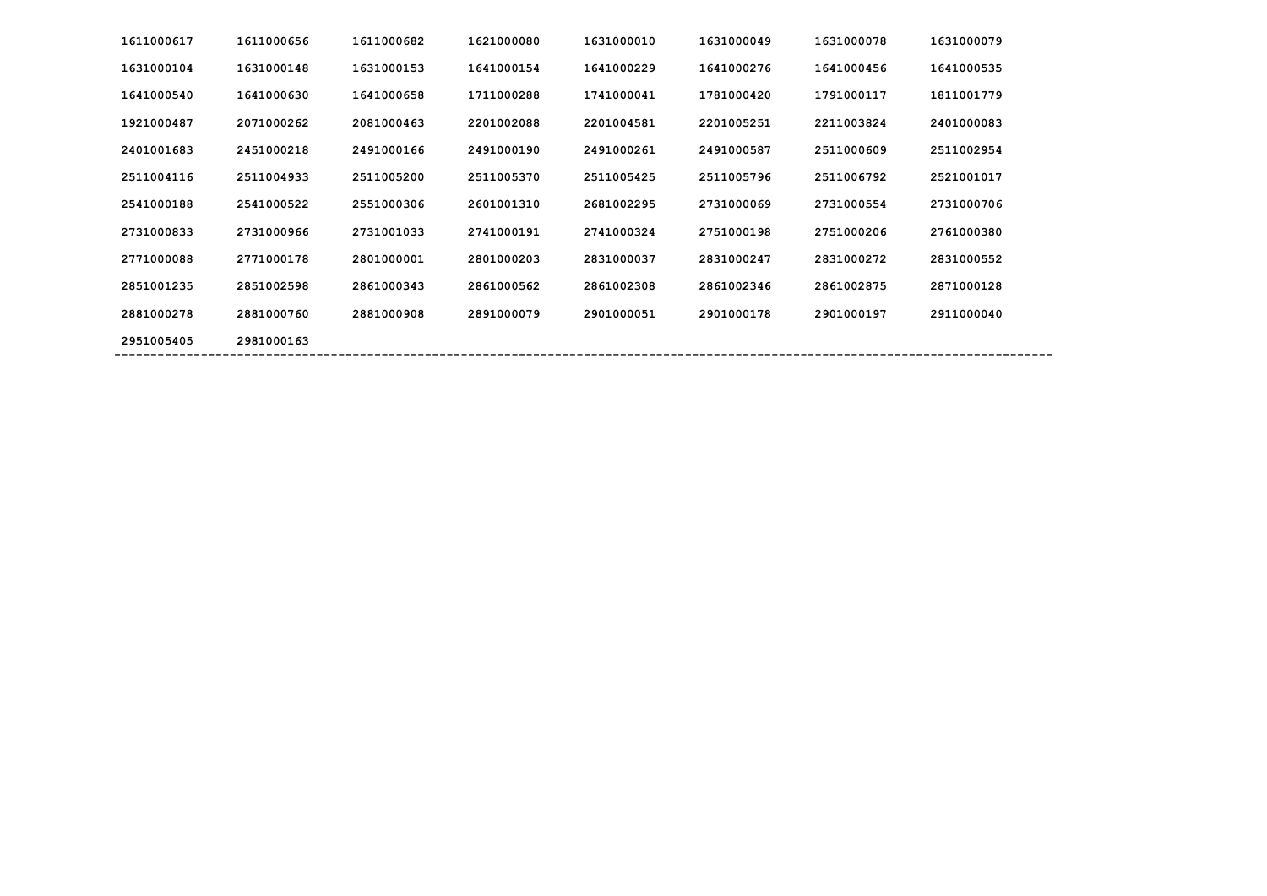| 1611000617 | 1611000656 | 1611000682 | 1621000080 | 1631000010 | 1631000049 | 1631000078 | 1631000079 |
|------------|------------|------------|------------|------------|------------|------------|------------|
| 1631000104 | 1631000148 | 1631000153 | 1641000154 | 1641000229 | 1641000276 | 1641000456 | 1641000535 |
| 1641000540 | 1641000630 | 1641000658 | 1711000288 | 1741000041 | 1781000420 | 1791000117 | 1811001779 |
| 1921000487 | 2071000262 | 2081000463 | 2201002088 | 2201004581 | 2201005251 | 2211003824 | 2401000083 |
| 2401001683 | 2451000218 | 2491000166 | 2491000190 | 2491000261 | 2491000587 | 2511000609 | 2511002954 |
| 2511004116 | 2511004933 | 2511005200 | 2511005370 | 2511005425 | 2511005796 | 2511006792 | 2521001017 |
| 2541000188 | 2541000522 | 2551000306 | 2601001310 | 2681002295 | 2731000069 | 2731000554 | 2731000706 |
| 2731000833 | 2731000966 | 2731001033 | 2741000191 | 2741000324 | 2751000198 | 2751000206 | 2761000380 |
| 2771000088 | 2771000178 | 2801000001 | 2801000203 | 2831000037 | 2831000247 | 2831000272 | 2831000552 |
| 2851001235 | 2851002598 | 2861000343 | 2861000562 | 2861002308 | 2861002346 | 2861002875 | 2871000128 |
| 2881000278 | 2881000760 | 2881000908 | 2891000079 | 2901000051 | 2901000178 | 2901000197 | 2911000040 |
| 2951005405 | 2981000163 |            |            |            |            |            |            |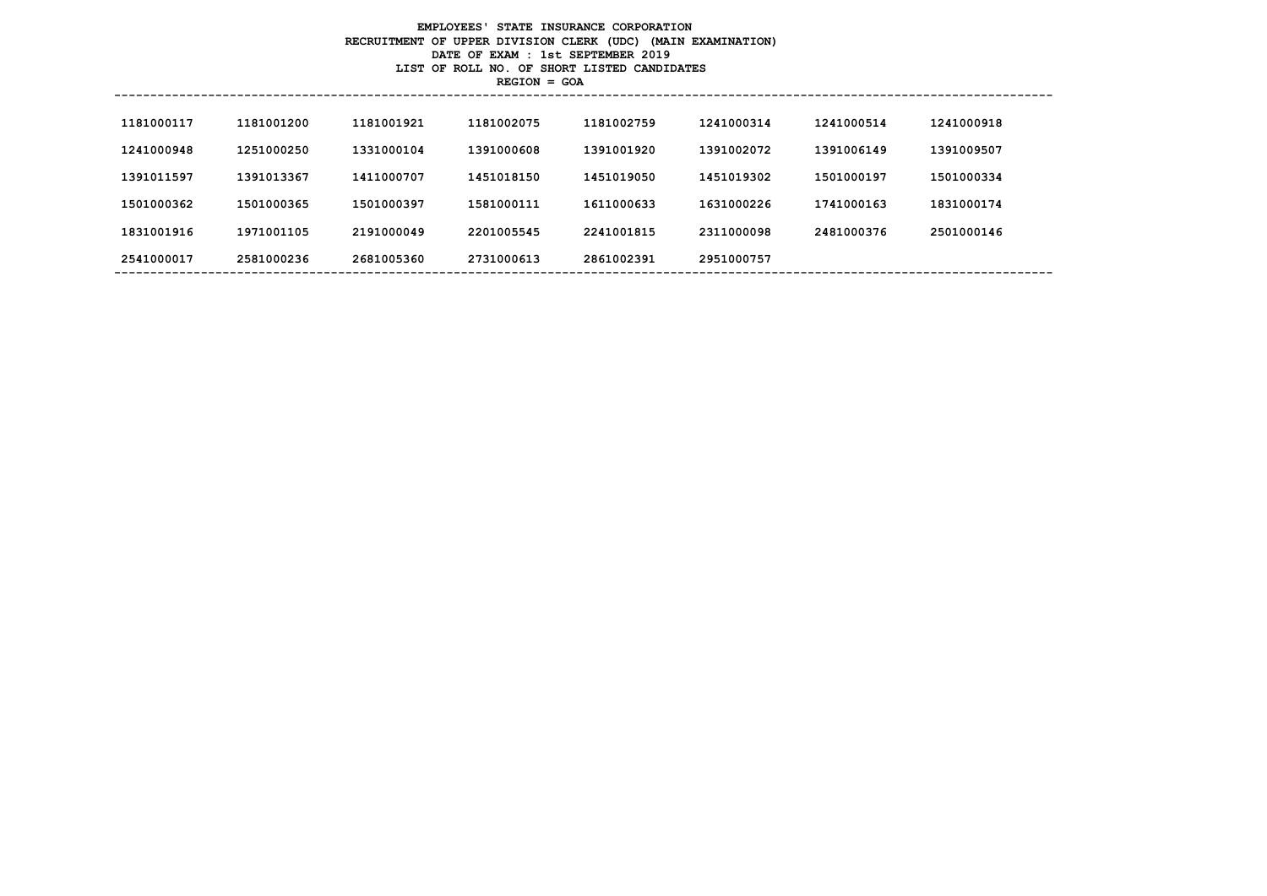# **EMPLOYEES' STATE INSURANCE CORPORATION RECRUITMENT OF UPPER DIVISION CLERK (UDC) (MAIN EXAMINATION) DATE OF EXAM : 1st SEPTEMBER 2019 LIST OF ROLL NO. OF SHORT LISTED CANDIDATES REGION = GOA**

| 1181000117 | 1181001200 | 1181001921 | 1181002075 | 1181002759 | 1241000314 | 1241000514 | 1241000918 |
|------------|------------|------------|------------|------------|------------|------------|------------|
| 1241000948 | 1251000250 | 1331000104 | 1391000608 | 1391001920 | 1391002072 | 1391006149 | 1391009507 |
| 1391011597 | 1391013367 | 1411000707 | 1451018150 | 1451019050 | 1451019302 | 1501000197 | 1501000334 |
| 1501000362 | 1501000365 | 1501000397 | 1581000111 | 1611000633 | 1631000226 | 1741000163 | 1831000174 |
| 1831001916 | 1971001105 | 2191000049 | 2201005545 | 2241001815 | 2311000098 | 2481000376 | 2501000146 |
| 2541000017 | 2581000236 | 2681005360 | 2731000613 | 2861002391 | 2951000757 |            |            |
|            |            |            |            |            |            |            |            |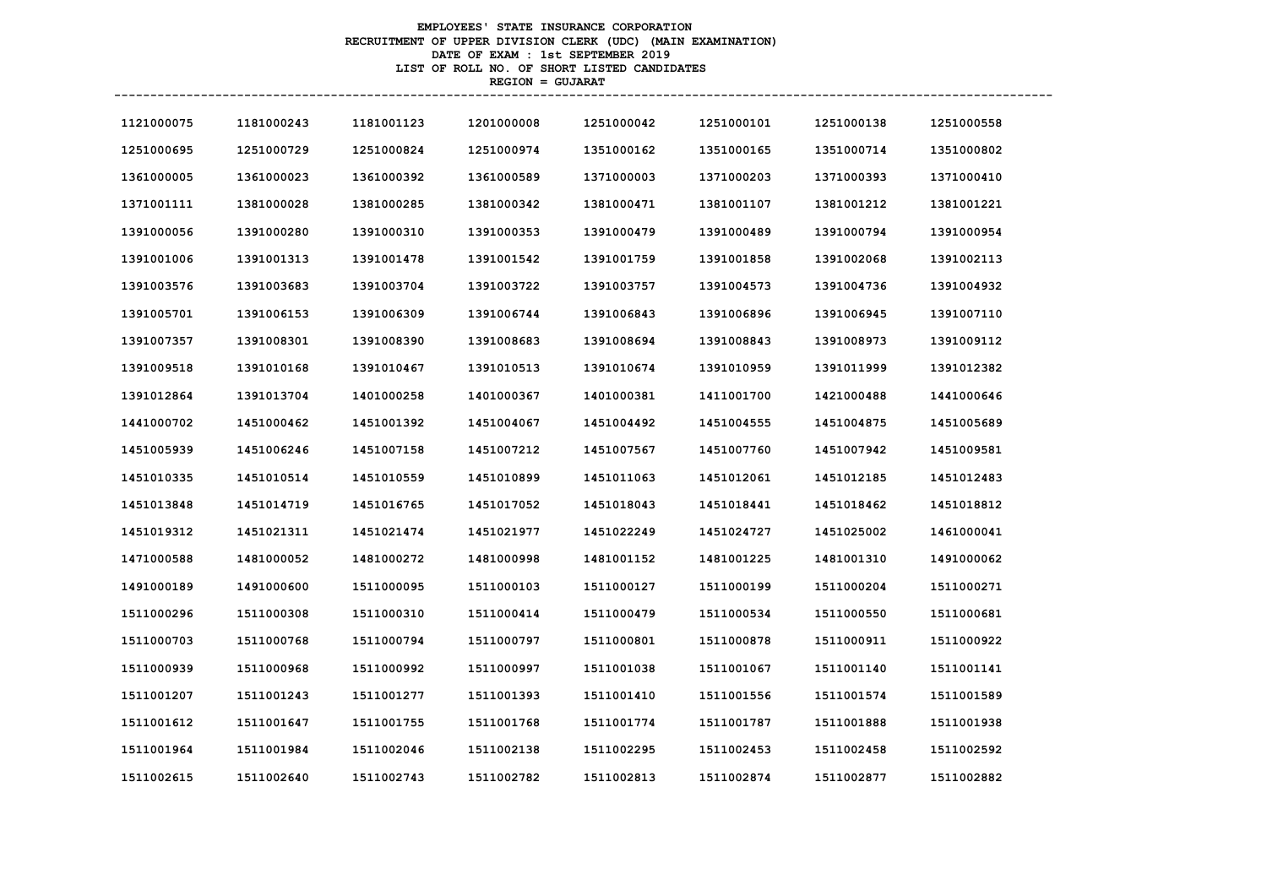# **EMPLOYEES' STATE INSURANCE CORPORATION RECRUITMENT OF UPPER DIVISION CLERK (UDC) (MAIN EXAMINATION) DATE OF EXAM : 1st SEPTEMBER 2019 LIST OF ROLL NO. OF SHORT LISTED CANDIDATES REGION = GUJARAT**

| 1121000075 | 1181000243 | 1181001123 | 1201000008 | 1251000042 | 1251000101 | 1251000138 | 1251000558 |
|------------|------------|------------|------------|------------|------------|------------|------------|
| 1251000695 | 1251000729 | 1251000824 | 1251000974 | 1351000162 | 1351000165 | 1351000714 | 1351000802 |
| 1361000005 | 1361000023 | 1361000392 | 1361000589 | 1371000003 | 1371000203 | 1371000393 | 1371000410 |
| 1371001111 | 1381000028 | 1381000285 | 1381000342 | 1381000471 | 1381001107 | 1381001212 | 1381001221 |
| 1391000056 | 1391000280 | 1391000310 | 1391000353 | 1391000479 | 1391000489 | 1391000794 | 1391000954 |
| 1391001006 | 1391001313 | 1391001478 | 1391001542 | 1391001759 | 1391001858 | 1391002068 | 1391002113 |
| 1391003576 | 1391003683 | 1391003704 | 1391003722 | 1391003757 | 1391004573 | 1391004736 | 1391004932 |
| 1391005701 | 1391006153 | 1391006309 | 1391006744 | 1391006843 | 1391006896 | 1391006945 | 1391007110 |
| 1391007357 | 1391008301 | 1391008390 | 1391008683 | 1391008694 | 1391008843 | 1391008973 | 1391009112 |
| 1391009518 | 1391010168 | 1391010467 | 1391010513 | 1391010674 | 1391010959 | 1391011999 | 1391012382 |
| 1391012864 | 1391013704 | 1401000258 | 1401000367 | 1401000381 | 1411001700 | 1421000488 | 1441000646 |
| 1441000702 | 1451000462 | 1451001392 | 1451004067 | 1451004492 | 1451004555 | 1451004875 | 1451005689 |
| 1451005939 | 1451006246 | 1451007158 | 1451007212 | 1451007567 | 1451007760 | 1451007942 | 1451009581 |
| 1451010335 | 1451010514 | 1451010559 | 1451010899 | 1451011063 | 1451012061 | 1451012185 | 1451012483 |
| 1451013848 | 1451014719 | 1451016765 | 1451017052 | 1451018043 | 1451018441 | 1451018462 | 1451018812 |
| 1451019312 | 1451021311 | 1451021474 | 1451021977 | 1451022249 | 1451024727 | 1451025002 | 1461000041 |
| 1471000588 | 1481000052 | 1481000272 | 1481000998 | 1481001152 | 1481001225 | 1481001310 | 1491000062 |
| 1491000189 | 1491000600 | 1511000095 | 1511000103 | 1511000127 | 1511000199 | 1511000204 | 1511000271 |
| 1511000296 | 1511000308 | 1511000310 | 1511000414 | 1511000479 | 1511000534 | 1511000550 | 1511000681 |
| 1511000703 | 1511000768 | 1511000794 | 1511000797 | 1511000801 | 1511000878 | 1511000911 | 1511000922 |
| 1511000939 | 1511000968 | 1511000992 | 1511000997 | 1511001038 | 1511001067 | 1511001140 | 1511001141 |
| 1511001207 | 1511001243 | 1511001277 | 1511001393 | 1511001410 | 1511001556 | 1511001574 | 1511001589 |
| 1511001612 | 1511001647 | 1511001755 | 1511001768 | 1511001774 | 1511001787 | 1511001888 | 1511001938 |
| 1511001964 | 1511001984 | 1511002046 | 1511002138 | 1511002295 | 1511002453 | 1511002458 | 1511002592 |
| 1511002615 | 1511002640 | 1511002743 | 1511002782 | 1511002813 | 1511002874 | 1511002877 | 1511002882 |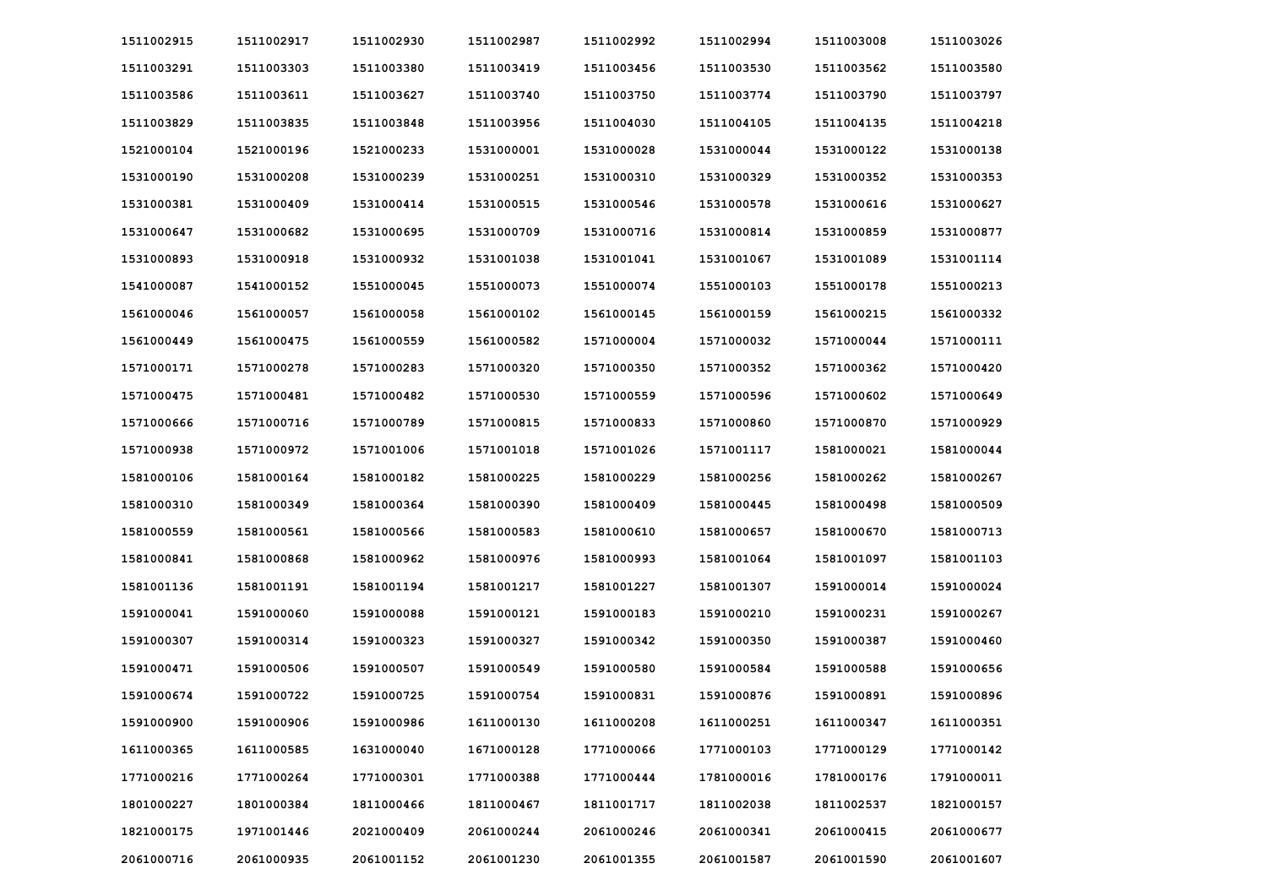| 1511002915 | 1511002917 | 1511002930 | 1511002987 | 1511002992 | 1511002994 | 1511003008 | 1511003026 |
|------------|------------|------------|------------|------------|------------|------------|------------|
| 1511003291 | 1511003303 | 1511003380 | 1511003419 | 1511003456 | 1511003530 | 1511003562 | 1511003580 |
| 1511003586 | 1511003611 | 1511003627 | 1511003740 | 1511003750 | 1511003774 | 1511003790 | 1511003797 |
| 1511003829 | 1511003835 | 1511003848 | 1511003956 | 1511004030 | 1511004105 | 1511004135 | 1511004218 |
| 1521000104 | 1521000196 | 1521000233 | 1531000001 | 1531000028 | 1531000044 | 1531000122 | 1531000138 |
| 1531000190 | 1531000208 | 1531000239 | 1531000251 | 1531000310 | 1531000329 | 1531000352 | 1531000353 |
| 1531000381 | 1531000409 | 1531000414 | 1531000515 | 1531000546 | 1531000578 | 1531000616 | 1531000627 |
| 1531000647 | 1531000682 | 1531000695 | 1531000709 | 1531000716 | 1531000814 | 1531000859 | 1531000877 |
| 1531000893 | 1531000918 | 1531000932 | 1531001038 | 1531001041 | 1531001067 | 1531001089 | 1531001114 |
| 1541000087 | 1541000152 | 1551000045 | 1551000073 | 1551000074 | 1551000103 | 1551000178 | 1551000213 |
| 1561000046 | 1561000057 | 1561000058 | 1561000102 | 1561000145 | 1561000159 | 1561000215 | 1561000332 |
| 1561000449 | 1561000475 | 1561000559 | 1561000582 | 1571000004 | 1571000032 | 1571000044 | 1571000111 |
| 1571000171 | 1571000278 | 1571000283 | 1571000320 | 1571000350 | 1571000352 | 1571000362 | 1571000420 |
| 1571000475 | 1571000481 | 1571000482 | 1571000530 | 1571000559 | 1571000596 | 1571000602 | 1571000649 |
| 1571000666 | 1571000716 | 1571000789 | 1571000815 | 1571000833 | 1571000860 | 1571000870 | 1571000929 |
| 1571000938 | 1571000972 | 1571001006 | 1571001018 | 1571001026 | 1571001117 | 1581000021 | 1581000044 |
| 1581000106 | 1581000164 | 1581000182 | 1581000225 | 1581000229 | 1581000256 | 1581000262 | 1581000267 |
| 1581000310 | 1581000349 | 1581000364 | 1581000390 | 1581000409 | 1581000445 | 1581000498 | 1581000509 |
| 1581000559 | 1581000561 | 1581000566 | 1581000583 | 1581000610 | 1581000657 | 1581000670 | 1581000713 |
| 1581000841 | 1581000868 | 1581000962 | 1581000976 | 1581000993 | 1581001064 | 1581001097 | 1581001103 |
| 1581001136 | 1581001191 | 1581001194 | 1581001217 | 1581001227 | 1581001307 | 1591000014 | 1591000024 |
| 1591000041 | 1591000060 | 1591000088 | 1591000121 | 1591000183 | 1591000210 | 1591000231 | 1591000267 |
| 1591000307 | 1591000314 | 1591000323 | 1591000327 | 1591000342 | 1591000350 | 1591000387 | 1591000460 |
| 1591000471 | 1591000506 | 1591000507 | 1591000549 | 1591000580 | 1591000584 | 1591000588 | 1591000656 |
| 1591000674 | 1591000722 | 1591000725 | 1591000754 | 1591000831 | 1591000876 | 1591000891 | 1591000896 |
| 1591000900 | 1591000906 | 1591000986 | 1611000130 | 1611000208 | 1611000251 | 1611000347 | 1611000351 |
| 1611000365 | 1611000585 | 1631000040 | 1671000128 | 1771000066 | 1771000103 | 1771000129 | 1771000142 |
| 1771000216 | 1771000264 | 1771000301 | 1771000388 | 1771000444 | 1781000016 | 1781000176 | 1791000011 |
| 1801000227 | 1801000384 | 1811000466 | 1811000467 | 1811001717 | 1811002038 | 1811002537 | 1821000157 |
| 1821000175 | 1971001446 | 2021000409 | 2061000244 | 2061000246 | 2061000341 | 2061000415 | 2061000677 |
| 2061000716 | 2061000935 | 2061001152 | 2061001230 | 2061001355 | 2061001587 | 2061001590 | 2061001607 |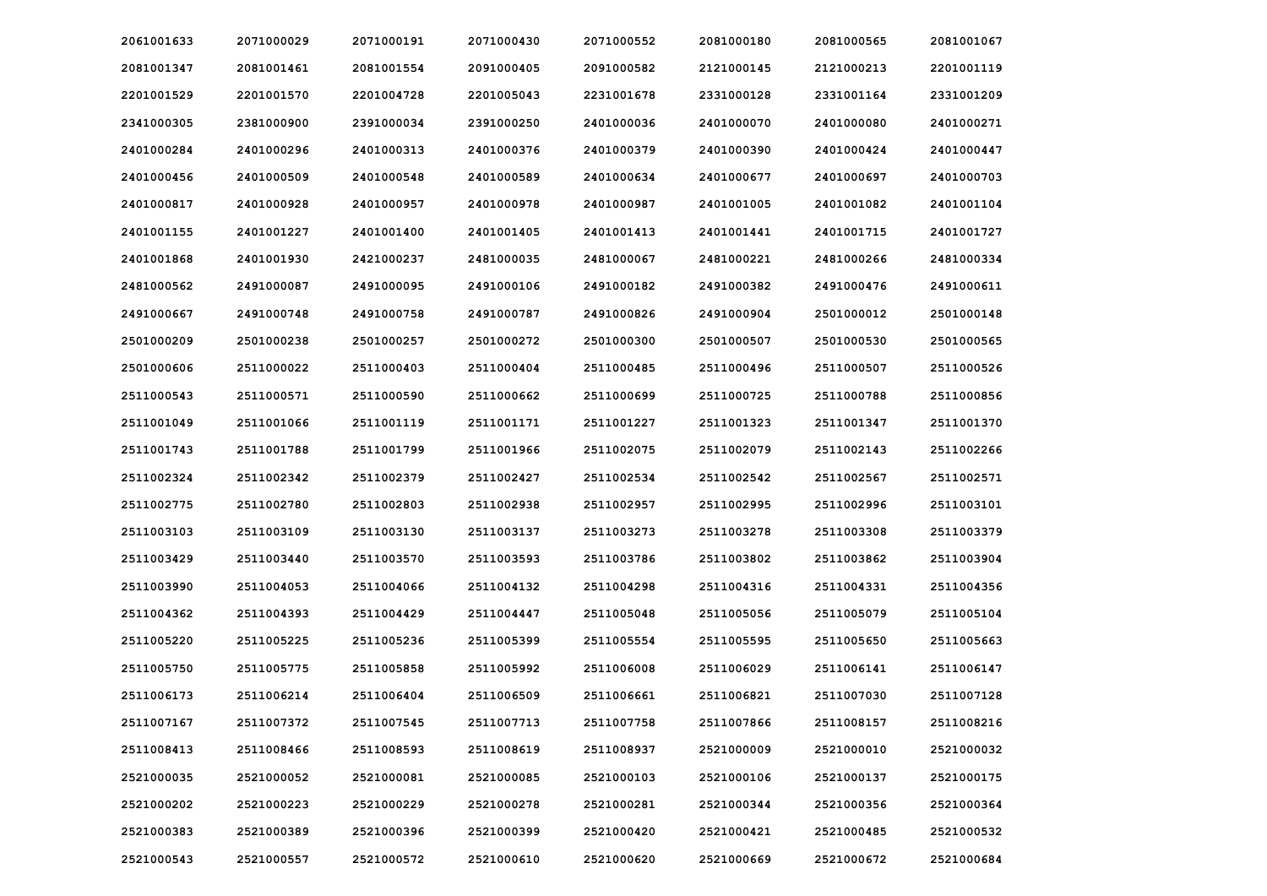| 2061001633 | 2071000029 | 2071000191 | 2071000430 | 2071000552 | 2081000180 | 2081000565 | 2081001067 |
|------------|------------|------------|------------|------------|------------|------------|------------|
| 2081001347 | 2081001461 | 2081001554 | 2091000405 | 2091000582 | 2121000145 | 2121000213 | 2201001119 |
| 2201001529 | 2201001570 | 2201004728 | 2201005043 | 2231001678 | 2331000128 | 2331001164 | 2331001209 |
| 2341000305 | 2381000900 | 2391000034 | 2391000250 | 2401000036 | 2401000070 | 2401000080 | 2401000271 |
| 2401000284 | 2401000296 | 2401000313 | 2401000376 | 2401000379 | 2401000390 | 2401000424 | 2401000447 |
| 2401000456 | 2401000509 | 2401000548 | 2401000589 | 2401000634 | 2401000677 | 2401000697 | 2401000703 |
| 2401000817 | 2401000928 | 2401000957 | 2401000978 | 2401000987 | 2401001005 | 2401001082 | 2401001104 |
| 2401001155 | 2401001227 | 2401001400 | 2401001405 | 2401001413 | 2401001441 | 2401001715 | 2401001727 |
| 2401001868 | 2401001930 | 2421000237 | 2481000035 | 2481000067 | 2481000221 | 2481000266 | 2481000334 |
| 2481000562 | 2491000087 | 2491000095 | 2491000106 | 2491000182 | 2491000382 | 2491000476 | 2491000611 |
| 2491000667 | 2491000748 | 2491000758 | 2491000787 | 2491000826 | 2491000904 | 2501000012 | 2501000148 |
| 2501000209 | 2501000238 | 2501000257 | 2501000272 | 2501000300 | 2501000507 | 2501000530 | 2501000565 |
| 2501000606 | 2511000022 | 2511000403 | 2511000404 | 2511000485 | 2511000496 | 2511000507 | 2511000526 |
| 2511000543 | 2511000571 | 2511000590 | 2511000662 | 2511000699 | 2511000725 | 2511000788 | 2511000856 |
| 2511001049 | 2511001066 | 2511001119 | 2511001171 | 2511001227 | 2511001323 | 2511001347 | 2511001370 |
| 2511001743 | 2511001788 | 2511001799 | 2511001966 | 2511002075 | 2511002079 | 2511002143 | 2511002266 |
| 2511002324 | 2511002342 | 2511002379 | 2511002427 | 2511002534 | 2511002542 | 2511002567 | 2511002571 |
| 2511002775 | 2511002780 | 2511002803 | 2511002938 | 2511002957 | 2511002995 | 2511002996 | 2511003101 |
| 2511003103 | 2511003109 | 2511003130 | 2511003137 | 2511003273 | 2511003278 | 2511003308 | 2511003379 |
| 2511003429 | 2511003440 | 2511003570 | 2511003593 | 2511003786 | 2511003802 | 2511003862 | 2511003904 |
| 2511003990 | 2511004053 | 2511004066 | 2511004132 | 2511004298 | 2511004316 | 2511004331 | 2511004356 |
| 2511004362 | 2511004393 | 2511004429 | 2511004447 | 2511005048 | 2511005056 | 2511005079 | 2511005104 |
| 2511005220 | 2511005225 | 2511005236 | 2511005399 | 2511005554 | 2511005595 | 2511005650 | 2511005663 |
| 2511005750 | 2511005775 | 2511005858 | 2511005992 | 2511006008 | 2511006029 | 2511006141 | 2511006147 |
| 2511006173 | 2511006214 | 2511006404 | 2511006509 | 2511006661 | 2511006821 | 2511007030 | 2511007128 |
| 2511007167 | 2511007372 | 2511007545 | 2511007713 | 2511007758 | 2511007866 | 2511008157 | 2511008216 |
| 2511008413 | 2511008466 | 2511008593 | 2511008619 | 2511008937 | 2521000009 | 2521000010 | 2521000032 |
| 2521000035 | 2521000052 | 2521000081 | 2521000085 | 2521000103 | 2521000106 | 2521000137 | 2521000175 |
| 2521000202 | 2521000223 | 2521000229 | 2521000278 | 2521000281 | 2521000344 | 2521000356 | 2521000364 |
| 2521000383 | 2521000389 | 2521000396 | 2521000399 | 2521000420 | 2521000421 | 2521000485 | 2521000532 |
| 2521000543 | 2521000557 | 2521000572 | 2521000610 | 2521000620 | 2521000669 | 2521000672 | 2521000684 |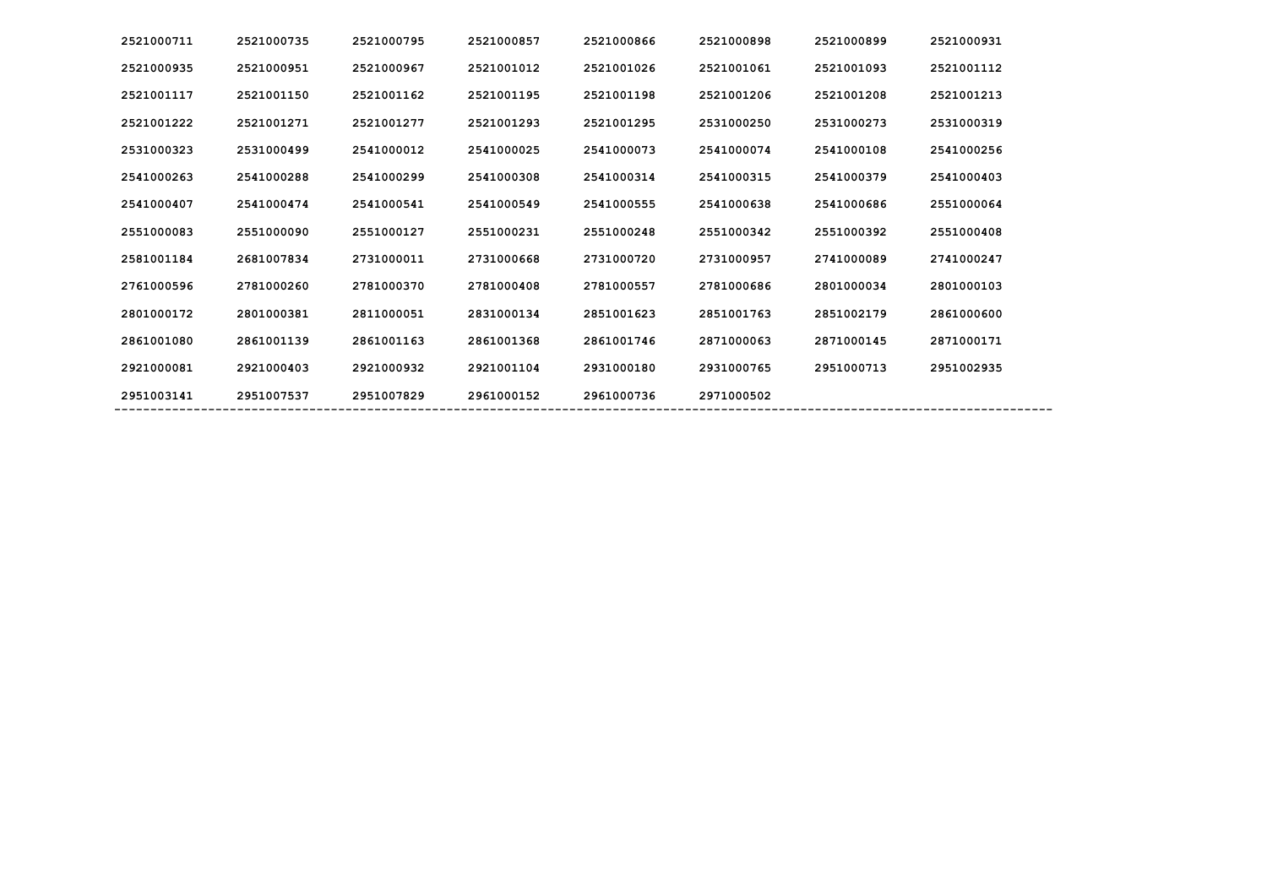| 2521000711 | 2521000735 | 2521000795 | 2521000857 | 2521000866 | 2521000898 | 2521000899 | 2521000931 |
|------------|------------|------------|------------|------------|------------|------------|------------|
| 2521000935 | 2521000951 | 2521000967 | 2521001012 | 2521001026 | 2521001061 | 2521001093 | 2521001112 |
| 2521001117 | 2521001150 | 2521001162 | 2521001195 | 2521001198 | 2521001206 | 2521001208 | 2521001213 |
| 2521001222 | 2521001271 | 2521001277 | 2521001293 | 2521001295 | 2531000250 | 2531000273 | 2531000319 |
| 2531000323 | 2531000499 | 2541000012 | 2541000025 | 2541000073 | 2541000074 | 2541000108 | 2541000256 |
| 2541000263 | 2541000288 | 2541000299 | 2541000308 | 2541000314 | 2541000315 | 2541000379 | 2541000403 |
| 2541000407 | 2541000474 | 2541000541 | 2541000549 | 2541000555 | 2541000638 | 2541000686 | 2551000064 |
| 2551000083 | 2551000090 | 2551000127 | 2551000231 | 2551000248 | 2551000342 | 2551000392 | 2551000408 |
| 2581001184 | 2681007834 | 2731000011 | 2731000668 | 2731000720 | 2731000957 | 2741000089 | 2741000247 |
| 2761000596 | 2781000260 | 2781000370 | 2781000408 | 2781000557 | 2781000686 | 2801000034 | 2801000103 |
| 2801000172 | 2801000381 | 2811000051 | 2831000134 | 2851001623 | 2851001763 | 2851002179 | 2861000600 |
| 2861001080 | 2861001139 | 2861001163 | 2861001368 | 2861001746 | 2871000063 | 2871000145 | 2871000171 |
| 2921000081 | 2921000403 | 2921000932 | 2921001104 | 2931000180 | 2931000765 | 2951000713 | 2951002935 |
| 2951003141 | 2951007537 | 2951007829 | 2961000152 | 2961000736 | 2971000502 |            |            |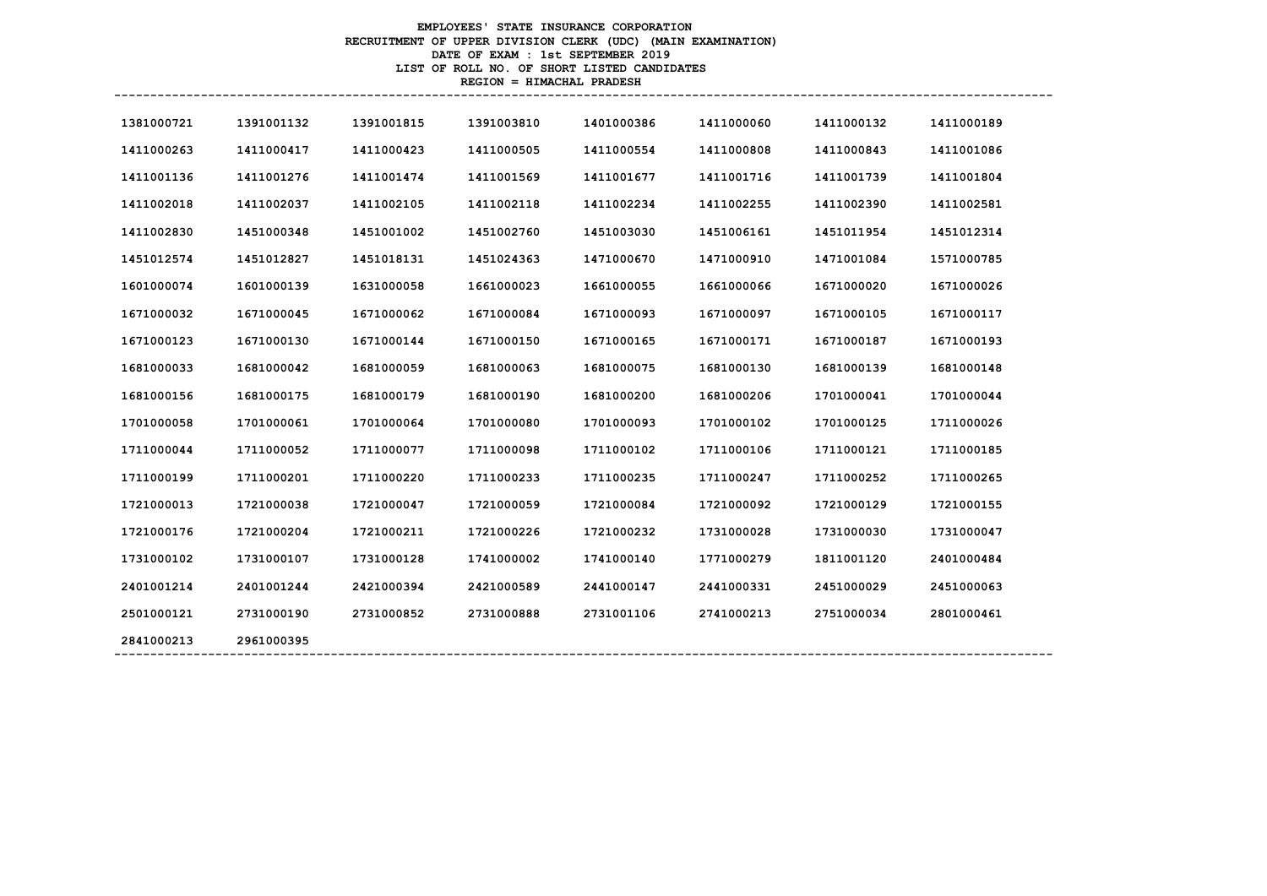# **EMPLOYEES' STATE INSURANCE CORPORATION RECRUITMENT OF UPPER DIVISION CLERK (UDC) (MAIN EXAMINATION) DATE OF EXAM : 1st SEPTEMBER 2019 LIST OF ROLL NO. OF SHORT LISTED CANDIDATES REGION = HIMACHAL PRADESH**

| 1381000721 | 1391001132 | 1391001815 | 1391003810 | 1401000386 | 1411000060 | 1411000132 | 1411000189 |
|------------|------------|------------|------------|------------|------------|------------|------------|
| 1411000263 | 1411000417 | 1411000423 | 1411000505 | 1411000554 | 1411000808 | 1411000843 | 1411001086 |
| 1411001136 | 1411001276 | 1411001474 | 1411001569 | 1411001677 | 1411001716 | 1411001739 | 1411001804 |
| 1411002018 | 1411002037 | 1411002105 | 1411002118 | 1411002234 | 1411002255 | 1411002390 | 1411002581 |
| 1411002830 | 1451000348 | 1451001002 | 1451002760 | 1451003030 | 1451006161 | 1451011954 | 1451012314 |
| 1451012574 | 1451012827 | 1451018131 | 1451024363 | 1471000670 | 1471000910 | 1471001084 | 1571000785 |
| 1601000074 | 1601000139 | 1631000058 | 1661000023 | 1661000055 | 1661000066 | 1671000020 | 1671000026 |
| 1671000032 | 1671000045 | 1671000062 | 1671000084 | 1671000093 | 1671000097 | 1671000105 | 1671000117 |
| 1671000123 | 1671000130 | 1671000144 | 1671000150 | 1671000165 | 1671000171 | 1671000187 | 1671000193 |
| 1681000033 | 1681000042 | 1681000059 | 1681000063 | 1681000075 | 1681000130 | 1681000139 | 1681000148 |
| 1681000156 | 1681000175 | 1681000179 | 1681000190 | 1681000200 | 1681000206 | 1701000041 | 1701000044 |
| 1701000058 | 1701000061 | 1701000064 | 1701000080 | 1701000093 | 1701000102 | 1701000125 | 1711000026 |
| 1711000044 | 1711000052 | 1711000077 | 1711000098 | 1711000102 | 1711000106 | 1711000121 | 1711000185 |
| 1711000199 | 1711000201 | 1711000220 | 1711000233 | 1711000235 | 1711000247 | 1711000252 | 1711000265 |
| 1721000013 | 1721000038 | 1721000047 | 1721000059 | 1721000084 | 1721000092 | 1721000129 | 1721000155 |
| 1721000176 | 1721000204 | 1721000211 | 1721000226 | 1721000232 | 1731000028 | 1731000030 | 1731000047 |
| 1731000102 | 1731000107 | 1731000128 | 1741000002 | 1741000140 | 1771000279 | 1811001120 | 2401000484 |
| 2401001214 | 2401001244 | 2421000394 | 2421000589 | 2441000147 | 2441000331 | 2451000029 | 2451000063 |
| 2501000121 | 2731000190 | 2731000852 | 2731000888 | 2731001106 | 2741000213 | 2751000034 | 2801000461 |
| 2841000213 | 2961000395 |            |            |            |            |            |            |
|            |            |            |            |            |            |            |            |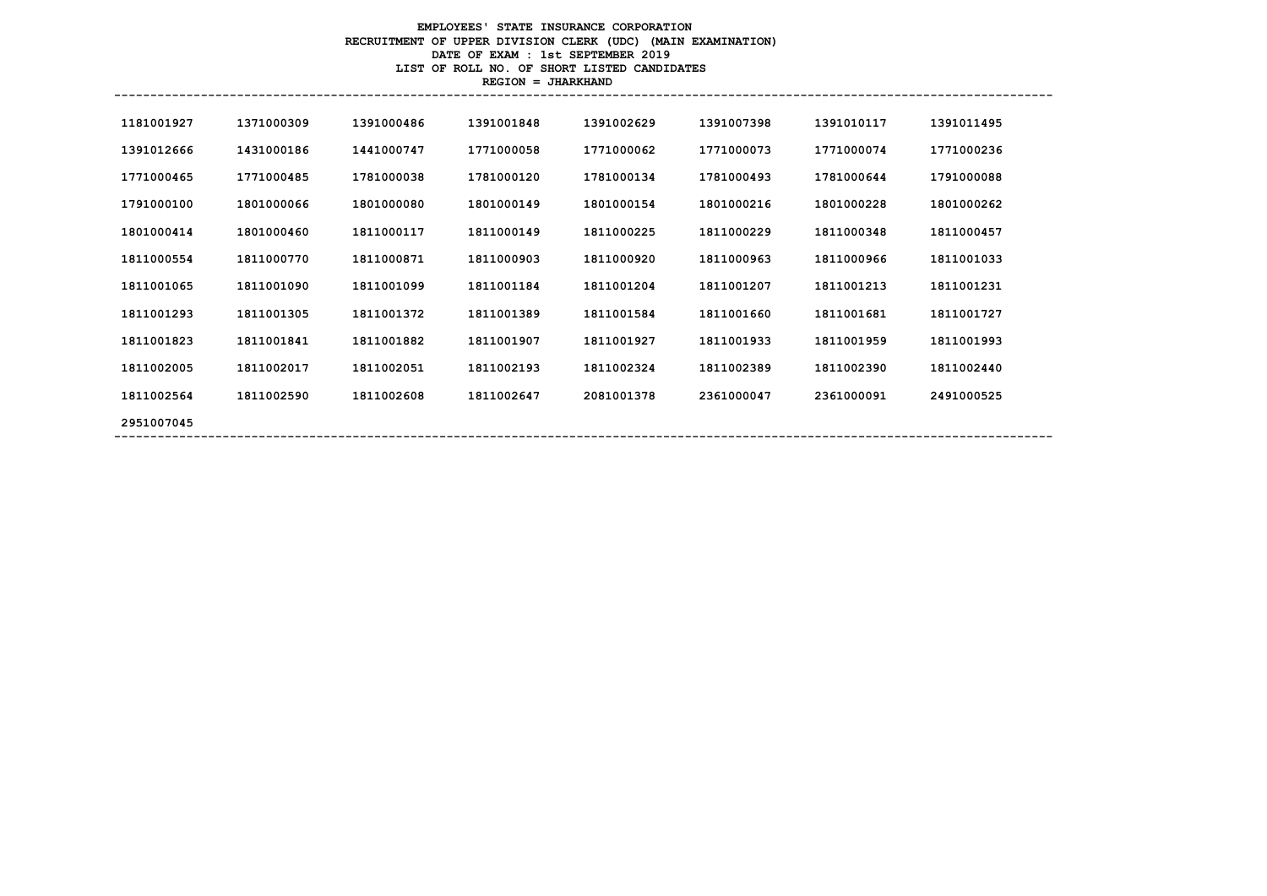# **EMPLOYEES' STATE INSURANCE CORPORATION RECRUITMENT OF UPPER DIVISION CLERK (UDC) (MAIN EXAMINATION) DATE OF EXAM : 1st SEPTEMBER 2019 LIST OF ROLL NO. OF SHORT LISTED CANDIDATES REGION = JHARKHAND**

| 1181001927 | 1371000309 | 1391000486 | 1391001848 | 1391002629 | 1391007398 | 1391010117 | 1391011495 |
|------------|------------|------------|------------|------------|------------|------------|------------|
| 1391012666 | 1431000186 | 1441000747 | 1771000058 | 1771000062 | 1771000073 | 1771000074 | 1771000236 |
|            |            |            |            |            |            |            |            |
| 1771000465 | 1771000485 | 1781000038 | 1781000120 | 1781000134 | 1781000493 | 1781000644 | 1791000088 |
| 1791000100 | 1801000066 | 1801000080 | 1801000149 | 1801000154 | 1801000216 | 1801000228 | 1801000262 |
| 1801000414 | 1801000460 | 1811000117 | 1811000149 | 1811000225 | 1811000229 | 1811000348 | 1811000457 |
| 1811000554 | 1811000770 | 1811000871 | 1811000903 | 1811000920 | 1811000963 | 1811000966 | 1811001033 |
| 1811001065 | 1811001090 | 1811001099 | 1811001184 | 1811001204 | 1811001207 | 1811001213 | 1811001231 |
| 1811001293 | 1811001305 | 1811001372 | 1811001389 | 1811001584 | 1811001660 | 1811001681 | 1811001727 |
| 1811001823 | 1811001841 | 1811001882 | 1811001907 | 1811001927 | 1811001933 | 1811001959 | 1811001993 |
| 1811002005 | 1811002017 | 1811002051 | 1811002193 | 1811002324 | 1811002389 | 1811002390 | 1811002440 |
| 1811002564 | 1811002590 | 1811002608 | 1811002647 | 2081001378 | 2361000047 | 2361000091 | 2491000525 |
| 2951007045 |            |            |            |            |            |            |            |
|            |            |            |            |            |            |            |            |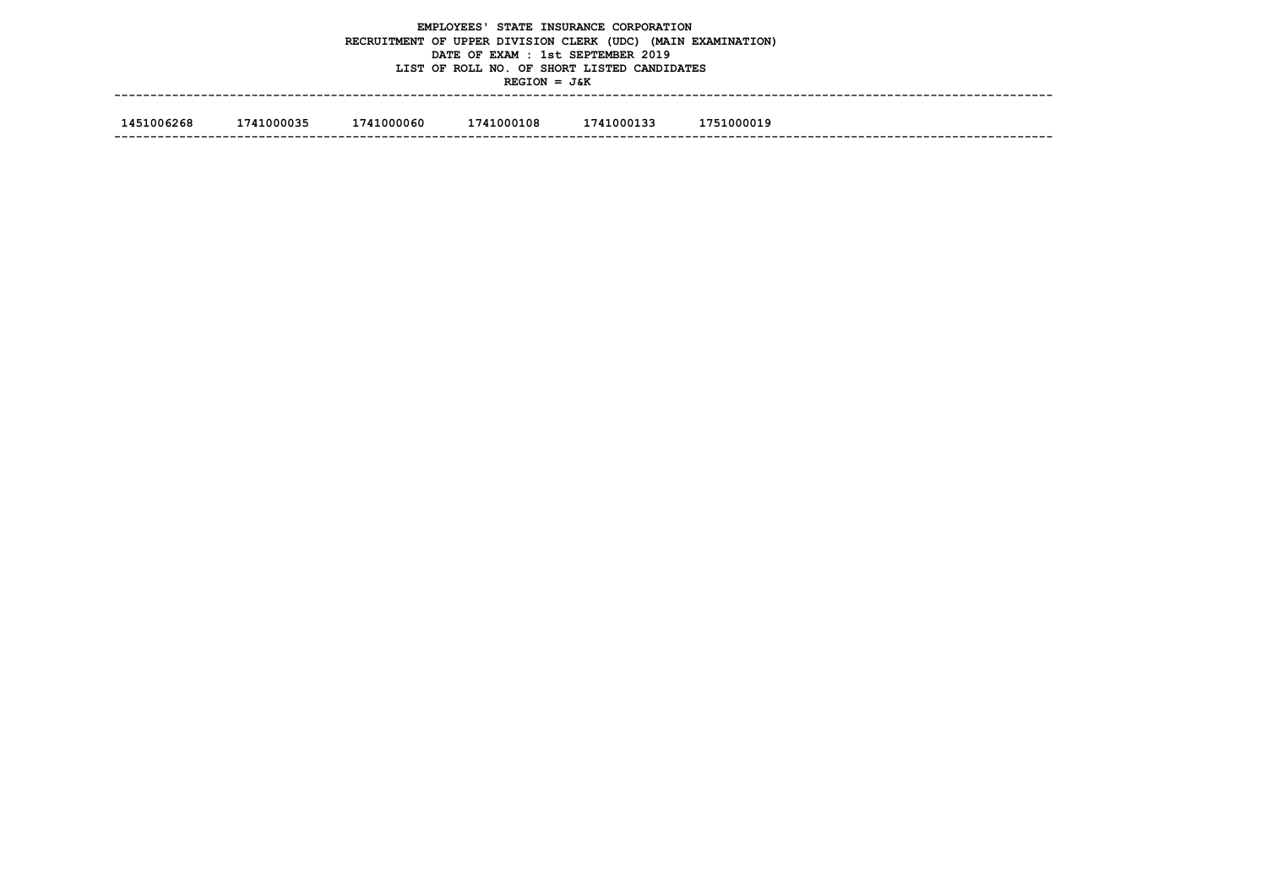|            |                                                                    |  | $REGION = J&K$ | EMPLOYEES' STATE INSURANCE CORPORATION<br>RECRUITMENT OF UPPER DIVISION CLERK (UDC) (MAIN EXAMINATION)<br>DATE OF EXAM : 1st SEPTEMBER 2019<br>LIST OF ROLL NO. OF SHORT LISTED CANDIDATES |  |  |  |  |  |  |
|------------|--------------------------------------------------------------------|--|----------------|--------------------------------------------------------------------------------------------------------------------------------------------------------------------------------------------|--|--|--|--|--|--|
| 1451006268 | 1741000035<br>1741000060<br>1741000108<br>1741000133<br>1751000019 |  |                |                                                                                                                                                                                            |  |  |  |  |  |  |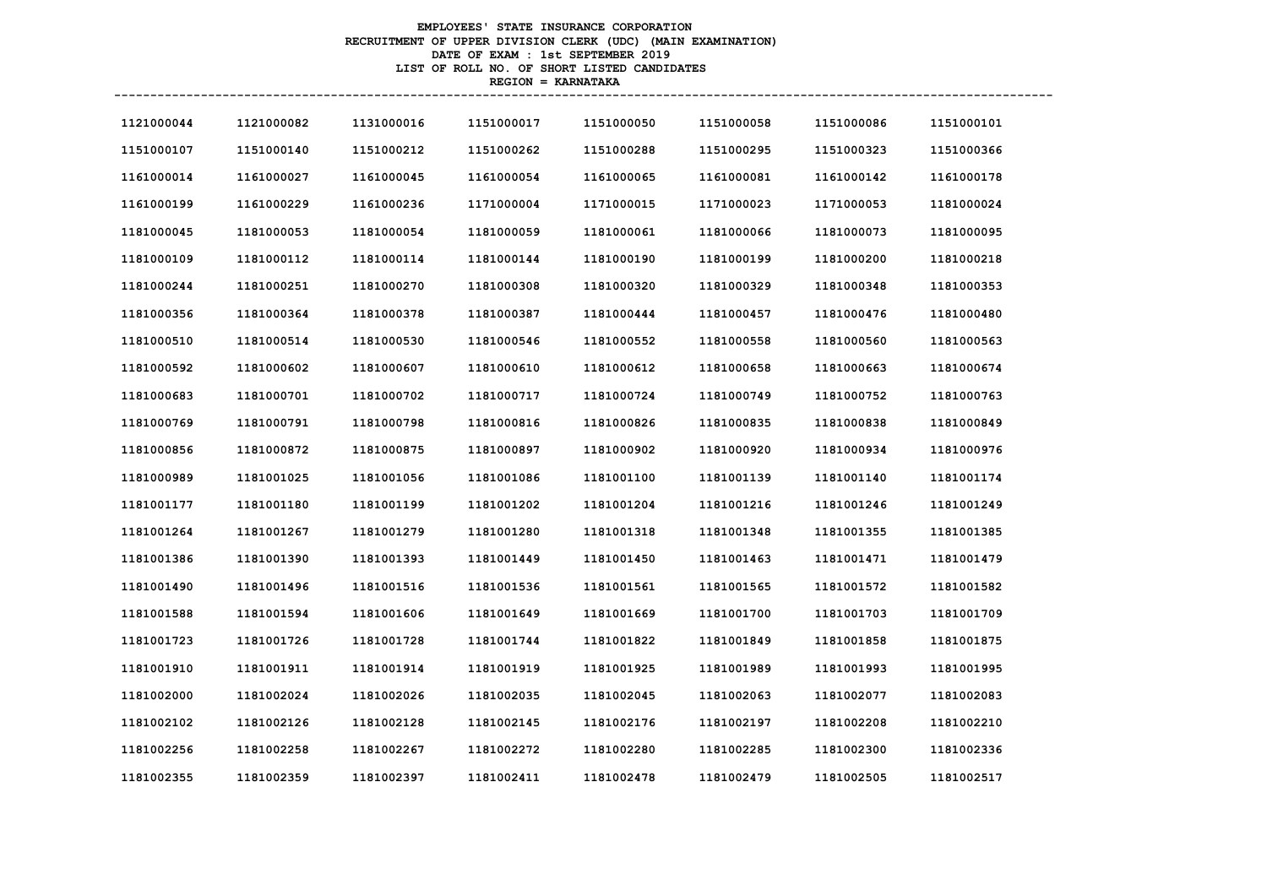# **EMPLOYEES' STATE INSURANCE CORPORATION RECRUITMENT OF UPPER DIVISION CLERK (UDC) (MAIN EXAMINATION) DATE OF EXAM : 1st SEPTEMBER 2019 LIST OF ROLL NO. OF SHORT LISTED CANDIDATES REGION = KARNATAKA**

| 1121000044 | 1121000082 | 1131000016 | 1151000017 | 1151000050 | 1151000058 | 1151000086 | 1151000101 |
|------------|------------|------------|------------|------------|------------|------------|------------|
| 1151000107 | 1151000140 | 1151000212 | 1151000262 | 1151000288 | 1151000295 | 1151000323 | 1151000366 |
| 1161000014 | 1161000027 | 1161000045 | 1161000054 | 1161000065 | 1161000081 | 1161000142 | 1161000178 |
| 1161000199 | 1161000229 | 1161000236 | 1171000004 | 1171000015 | 1171000023 | 1171000053 | 1181000024 |
| 1181000045 | 1181000053 | 1181000054 | 1181000059 | 1181000061 | 1181000066 | 1181000073 | 1181000095 |
| 1181000109 | 1181000112 | 1181000114 | 1181000144 | 1181000190 | 1181000199 | 1181000200 | 1181000218 |
| 1181000244 | 1181000251 | 1181000270 | 1181000308 | 1181000320 | 1181000329 | 1181000348 | 1181000353 |
| 1181000356 | 1181000364 | 1181000378 | 1181000387 | 1181000444 | 1181000457 | 1181000476 | 1181000480 |
| 1181000510 | 1181000514 | 1181000530 | 1181000546 | 1181000552 | 1181000558 | 1181000560 | 1181000563 |
| 1181000592 | 1181000602 | 1181000607 | 1181000610 | 1181000612 | 1181000658 | 1181000663 | 1181000674 |
| 1181000683 | 1181000701 | 1181000702 | 1181000717 | 1181000724 | 1181000749 | 1181000752 | 1181000763 |
| 1181000769 | 1181000791 | 1181000798 | 1181000816 | 1181000826 | 1181000835 | 1181000838 | 1181000849 |
| 1181000856 | 1181000872 | 1181000875 | 1181000897 | 1181000902 | 1181000920 | 1181000934 | 1181000976 |
| 1181000989 | 1181001025 | 1181001056 | 1181001086 | 1181001100 | 1181001139 | 1181001140 | 1181001174 |
| 1181001177 | 1181001180 | 1181001199 | 1181001202 | 1181001204 | 1181001216 | 1181001246 | 1181001249 |
| 1181001264 | 1181001267 | 1181001279 | 1181001280 | 1181001318 | 1181001348 | 1181001355 | 1181001385 |
| 1181001386 | 1181001390 | 1181001393 | 1181001449 | 1181001450 | 1181001463 | 1181001471 | 1181001479 |
| 1181001490 | 1181001496 | 1181001516 | 1181001536 | 1181001561 | 1181001565 | 1181001572 | 1181001582 |
| 1181001588 | 1181001594 | 1181001606 | 1181001649 | 1181001669 | 1181001700 | 1181001703 | 1181001709 |
| 1181001723 | 1181001726 | 1181001728 | 1181001744 | 1181001822 | 1181001849 | 1181001858 | 1181001875 |
| 1181001910 | 1181001911 | 1181001914 | 1181001919 | 1181001925 | 1181001989 | 1181001993 | 1181001995 |
| 1181002000 | 1181002024 | 1181002026 | 1181002035 | 1181002045 | 1181002063 | 1181002077 | 1181002083 |
| 1181002102 | 1181002126 | 1181002128 | 1181002145 | 1181002176 | 1181002197 | 1181002208 | 1181002210 |
| 1181002256 | 1181002258 | 1181002267 | 1181002272 | 1181002280 | 1181002285 | 1181002300 | 1181002336 |
| 1181002355 | 1181002359 | 1181002397 | 1181002411 | 1181002478 | 1181002479 | 1181002505 | 1181002517 |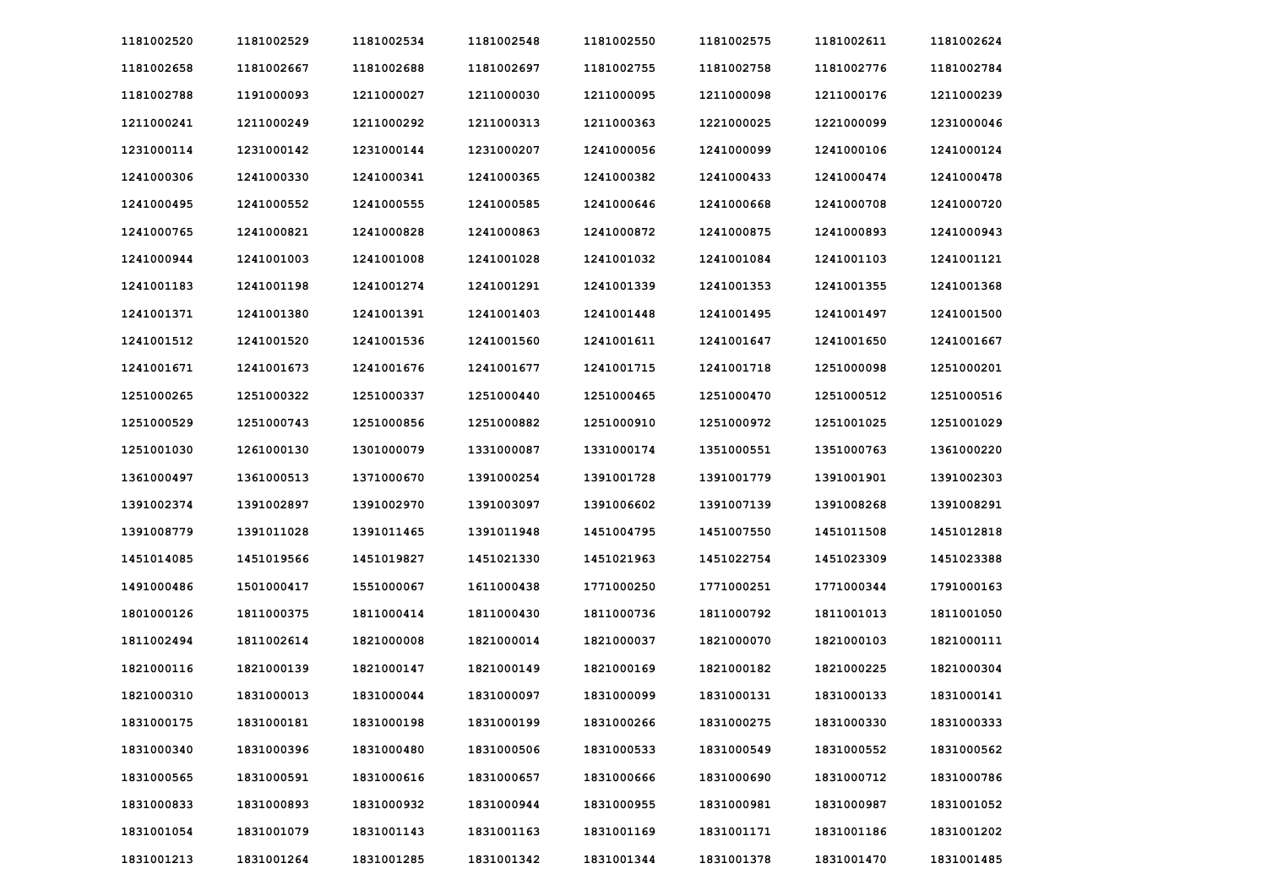| 1181002520 | 1181002529 | 1181002534 | 1181002548 | 1181002550 | 1181002575 | 1181002611 | 1181002624 |
|------------|------------|------------|------------|------------|------------|------------|------------|
| 1181002658 | 1181002667 | 1181002688 | 1181002697 | 1181002755 | 1181002758 | 1181002776 | 1181002784 |
| 1181002788 | 1191000093 | 1211000027 | 1211000030 | 1211000095 | 1211000098 | 1211000176 | 1211000239 |
| 1211000241 | 1211000249 | 1211000292 | 1211000313 | 1211000363 | 1221000025 | 1221000099 | 1231000046 |
| 1231000114 | 1231000142 | 1231000144 | 1231000207 | 1241000056 | 1241000099 | 1241000106 | 1241000124 |
| 1241000306 | 1241000330 | 1241000341 | 1241000365 | 1241000382 | 1241000433 | 1241000474 | 1241000478 |
| 1241000495 | 1241000552 | 1241000555 | 1241000585 | 1241000646 | 1241000668 | 1241000708 | 1241000720 |
| 1241000765 | 1241000821 | 1241000828 | 1241000863 | 1241000872 | 1241000875 | 1241000893 | 1241000943 |
| 1241000944 | 1241001003 | 1241001008 | 1241001028 | 1241001032 | 1241001084 | 1241001103 | 1241001121 |
| 1241001183 | 1241001198 | 1241001274 | 1241001291 | 1241001339 | 1241001353 | 1241001355 | 1241001368 |
| 1241001371 | 1241001380 | 1241001391 | 1241001403 | 1241001448 | 1241001495 | 1241001497 | 1241001500 |
| 1241001512 | 1241001520 | 1241001536 | 1241001560 | 1241001611 | 1241001647 | 1241001650 | 1241001667 |
| 1241001671 | 1241001673 | 1241001676 | 1241001677 | 1241001715 | 1241001718 | 1251000098 | 1251000201 |
| 1251000265 | 1251000322 | 1251000337 | 1251000440 | 1251000465 | 1251000470 | 1251000512 | 1251000516 |
| 1251000529 | 1251000743 | 1251000856 | 1251000882 | 1251000910 | 1251000972 | 1251001025 | 1251001029 |
| 1251001030 | 1261000130 | 1301000079 | 1331000087 | 1331000174 | 1351000551 | 1351000763 | 1361000220 |
| 1361000497 | 1361000513 | 1371000670 | 1391000254 | 1391001728 | 1391001779 | 1391001901 | 1391002303 |
| 1391002374 | 1391002897 | 1391002970 | 1391003097 | 1391006602 | 1391007139 | 1391008268 | 1391008291 |
| 1391008779 | 1391011028 | 1391011465 | 1391011948 | 1451004795 | 1451007550 | 1451011508 | 1451012818 |
| 1451014085 | 1451019566 | 1451019827 | 1451021330 | 1451021963 | 1451022754 | 1451023309 | 1451023388 |
| 1491000486 | 1501000417 | 1551000067 | 1611000438 | 1771000250 | 1771000251 | 1771000344 | 1791000163 |
| 1801000126 | 1811000375 | 1811000414 | 1811000430 | 1811000736 | 1811000792 | 1811001013 | 1811001050 |
| 1811002494 | 1811002614 | 1821000008 | 1821000014 | 1821000037 | 1821000070 | 1821000103 | 1821000111 |
| 1821000116 | 1821000139 | 1821000147 | 1821000149 | 1821000169 | 1821000182 | 1821000225 | 1821000304 |
| 1821000310 | 1831000013 | 1831000044 | 1831000097 | 1831000099 | 1831000131 | 1831000133 | 1831000141 |
| 1831000175 | 1831000181 | 1831000198 | 1831000199 | 1831000266 | 1831000275 | 1831000330 | 1831000333 |
| 1831000340 | 1831000396 | 1831000480 | 1831000506 | 1831000533 | 1831000549 | 1831000552 | 1831000562 |
| 1831000565 | 1831000591 | 1831000616 | 1831000657 | 1831000666 | 1831000690 | 1831000712 | 1831000786 |
| 1831000833 | 1831000893 | 1831000932 | 1831000944 | 1831000955 | 1831000981 | 1831000987 | 1831001052 |
| 1831001054 | 1831001079 | 1831001143 | 1831001163 | 1831001169 | 1831001171 | 1831001186 | 1831001202 |
| 1831001213 | 1831001264 | 1831001285 | 1831001342 | 1831001344 | 1831001378 | 1831001470 | 1831001485 |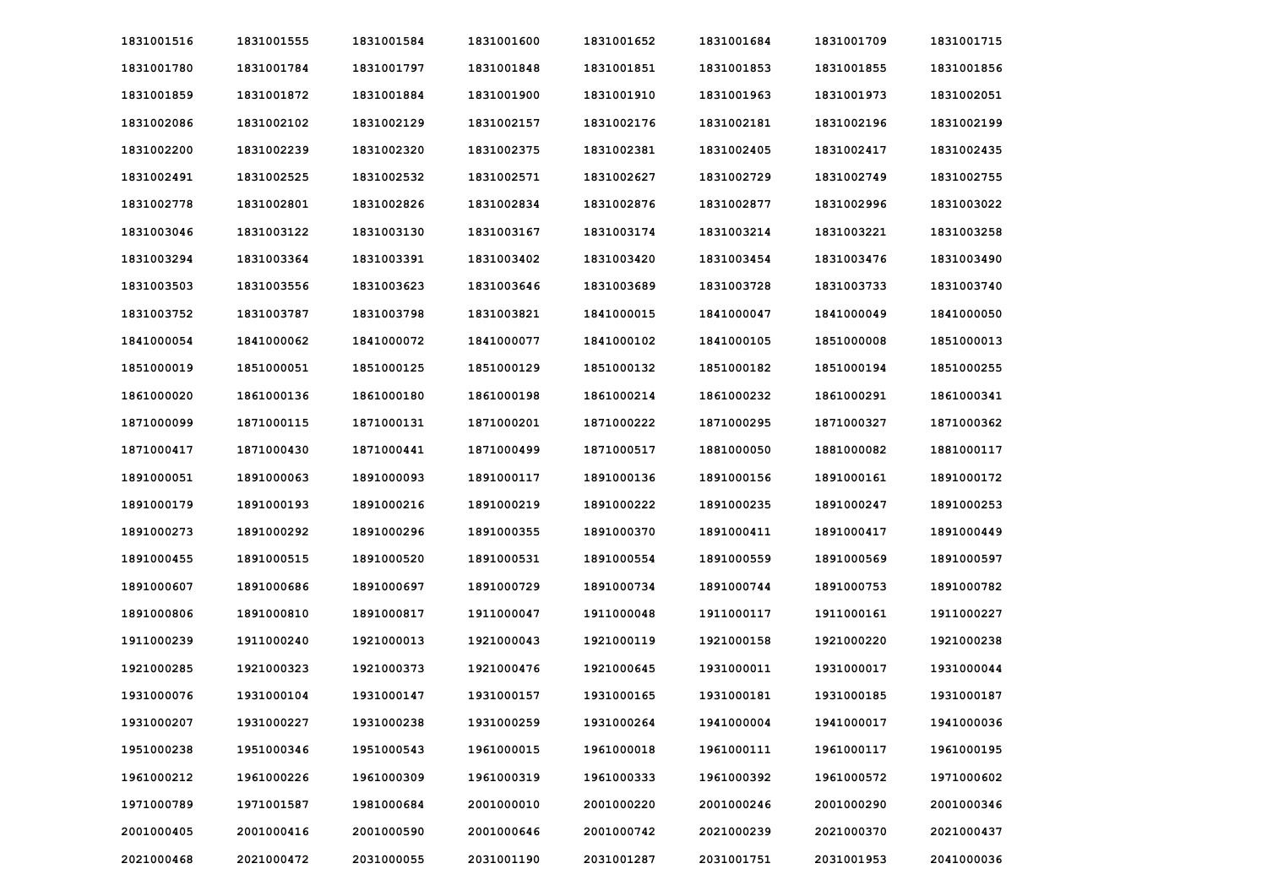| 1831001516 | 1831001555 | 1831001584 | 1831001600 | 1831001652 | 1831001684 | 1831001709 | 1831001715 |
|------------|------------|------------|------------|------------|------------|------------|------------|
| 1831001780 | 1831001784 | 1831001797 | 1831001848 | 1831001851 | 1831001853 | 1831001855 | 1831001856 |
| 1831001859 | 1831001872 | 1831001884 | 1831001900 | 1831001910 | 1831001963 | 1831001973 | 1831002051 |
| 1831002086 | 1831002102 | 1831002129 | 1831002157 | 1831002176 | 1831002181 | 1831002196 | 1831002199 |
| 1831002200 | 1831002239 | 1831002320 | 1831002375 | 1831002381 | 1831002405 | 1831002417 | 1831002435 |
| 1831002491 | 1831002525 | 1831002532 | 1831002571 | 1831002627 | 1831002729 | 1831002749 | 1831002755 |
| 1831002778 | 1831002801 | 1831002826 | 1831002834 | 1831002876 | 1831002877 | 1831002996 | 1831003022 |
| 1831003046 | 1831003122 | 1831003130 | 1831003167 | 1831003174 | 1831003214 | 1831003221 | 1831003258 |
| 1831003294 | 1831003364 | 1831003391 | 1831003402 | 1831003420 | 1831003454 | 1831003476 | 1831003490 |
| 1831003503 | 1831003556 | 1831003623 | 1831003646 | 1831003689 | 1831003728 | 1831003733 | 1831003740 |
| 1831003752 | 1831003787 | 1831003798 | 1831003821 | 1841000015 | 1841000047 | 1841000049 | 1841000050 |
| 1841000054 | 1841000062 | 1841000072 | 1841000077 | 1841000102 | 1841000105 | 1851000008 | 1851000013 |
| 1851000019 | 1851000051 | 1851000125 | 1851000129 | 1851000132 | 1851000182 | 1851000194 | 1851000255 |
| 1861000020 | 1861000136 | 1861000180 | 1861000198 | 1861000214 | 1861000232 | 1861000291 | 1861000341 |
| 1871000099 | 1871000115 | 1871000131 | 1871000201 | 1871000222 | 1871000295 | 1871000327 | 1871000362 |
| 1871000417 | 1871000430 | 1871000441 | 1871000499 | 1871000517 | 1881000050 | 1881000082 | 1881000117 |
| 1891000051 | 1891000063 | 1891000093 | 1891000117 | 1891000136 | 1891000156 | 1891000161 | 1891000172 |
| 1891000179 | 1891000193 | 1891000216 | 1891000219 | 1891000222 | 1891000235 | 1891000247 | 1891000253 |
| 1891000273 | 1891000292 | 1891000296 | 1891000355 | 1891000370 | 1891000411 | 1891000417 | 1891000449 |
| 1891000455 | 1891000515 | 1891000520 | 1891000531 | 1891000554 | 1891000559 | 1891000569 | 1891000597 |
| 1891000607 | 1891000686 | 1891000697 | 1891000729 | 1891000734 | 1891000744 | 1891000753 | 1891000782 |
| 1891000806 | 1891000810 | 1891000817 | 1911000047 | 1911000048 | 1911000117 | 1911000161 | 1911000227 |
| 1911000239 | 1911000240 | 1921000013 | 1921000043 | 1921000119 | 1921000158 | 1921000220 | 1921000238 |
| 1921000285 | 1921000323 | 1921000373 | 1921000476 | 1921000645 | 1931000011 | 1931000017 | 1931000044 |
| 1931000076 | 1931000104 | 1931000147 | 1931000157 | 1931000165 | 1931000181 | 1931000185 | 1931000187 |
| 1931000207 | 1931000227 | 1931000238 | 1931000259 | 1931000264 | 1941000004 | 1941000017 | 1941000036 |
| 1951000238 | 1951000346 | 1951000543 | 1961000015 | 1961000018 | 1961000111 | 1961000117 | 1961000195 |
| 1961000212 | 1961000226 | 1961000309 | 1961000319 | 1961000333 | 1961000392 | 1961000572 | 1971000602 |
| 1971000789 | 1971001587 | 1981000684 | 2001000010 | 2001000220 | 2001000246 | 2001000290 | 2001000346 |
| 2001000405 | 2001000416 | 2001000590 | 2001000646 | 2001000742 | 2021000239 | 2021000370 | 2021000437 |
| 2021000468 | 2021000472 | 2031000055 | 2031001190 | 2031001287 | 2031001751 | 2031001953 | 2041000036 |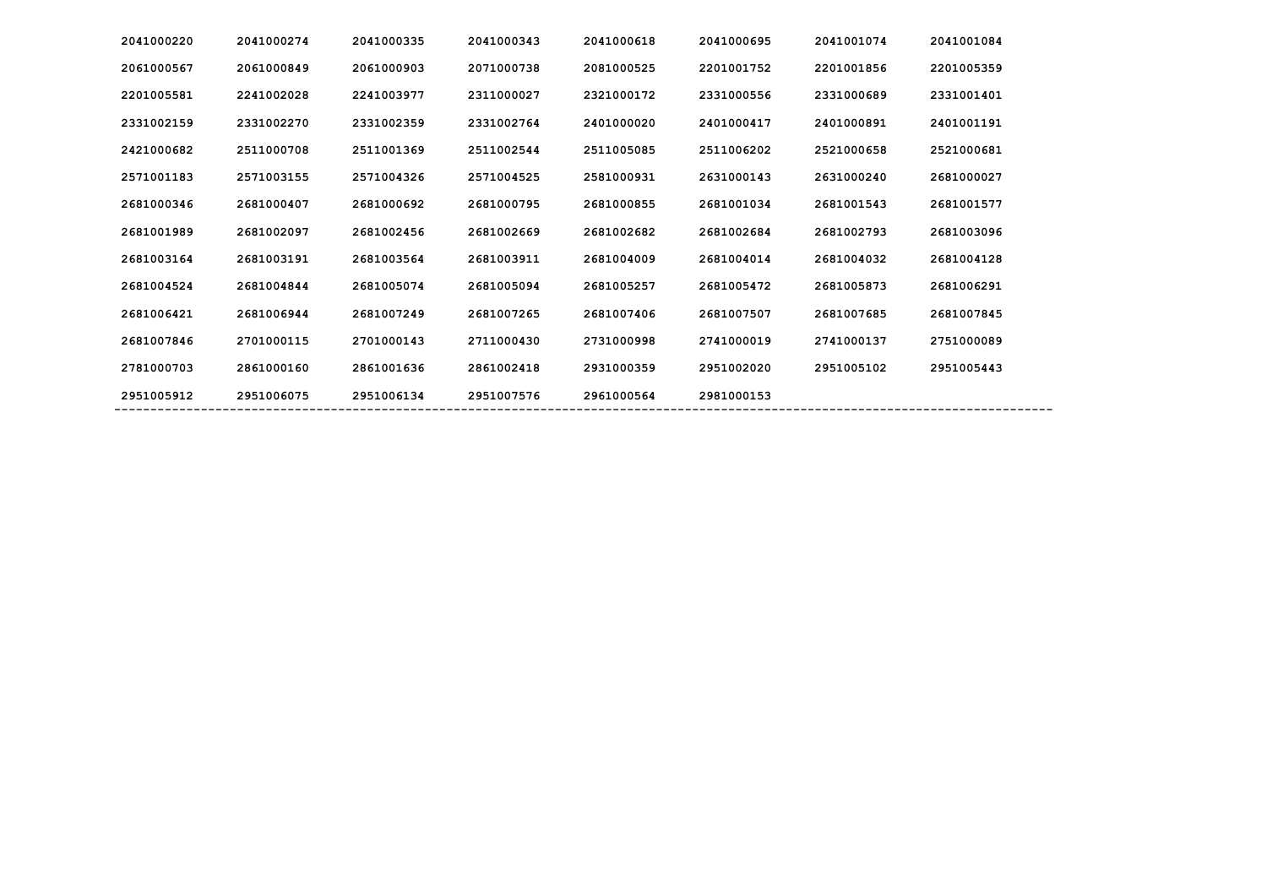| 2041000220 | 2041000274 | 2041000335 | 2041000343 | 2041000618 | 2041000695 | 2041001074 | 2041001084 |
|------------|------------|------------|------------|------------|------------|------------|------------|
| 2061000567 | 2061000849 | 2061000903 | 2071000738 | 2081000525 | 2201001752 | 2201001856 | 2201005359 |
| 2201005581 | 2241002028 | 2241003977 | 2311000027 | 2321000172 | 2331000556 | 2331000689 | 2331001401 |
| 2331002159 | 2331002270 | 2331002359 | 2331002764 | 2401000020 | 2401000417 | 2401000891 | 2401001191 |
| 2421000682 | 2511000708 | 2511001369 | 2511002544 | 2511005085 | 2511006202 | 2521000658 | 2521000681 |
| 2571001183 | 2571003155 | 2571004326 | 2571004525 | 2581000931 | 2631000143 | 2631000240 | 2681000027 |
| 2681000346 | 2681000407 | 2681000692 | 2681000795 | 2681000855 | 2681001034 | 2681001543 | 2681001577 |
| 2681001989 | 2681002097 | 2681002456 | 2681002669 | 2681002682 | 2681002684 | 2681002793 | 2681003096 |
| 2681003164 | 2681003191 | 2681003564 | 2681003911 | 2681004009 | 2681004014 | 2681004032 | 2681004128 |
| 2681004524 | 2681004844 | 2681005074 | 2681005094 | 2681005257 | 2681005472 | 2681005873 | 2681006291 |
| 2681006421 | 2681006944 | 2681007249 | 2681007265 | 2681007406 | 2681007507 | 2681007685 | 2681007845 |
| 2681007846 | 2701000115 | 2701000143 | 2711000430 | 2731000998 | 2741000019 | 2741000137 | 2751000089 |
| 2781000703 | 2861000160 | 2861001636 | 2861002418 | 2931000359 | 2951002020 | 2951005102 | 2951005443 |
| 2951005912 | 2951006075 | 2951006134 | 2951007576 | 2961000564 | 2981000153 |            |            |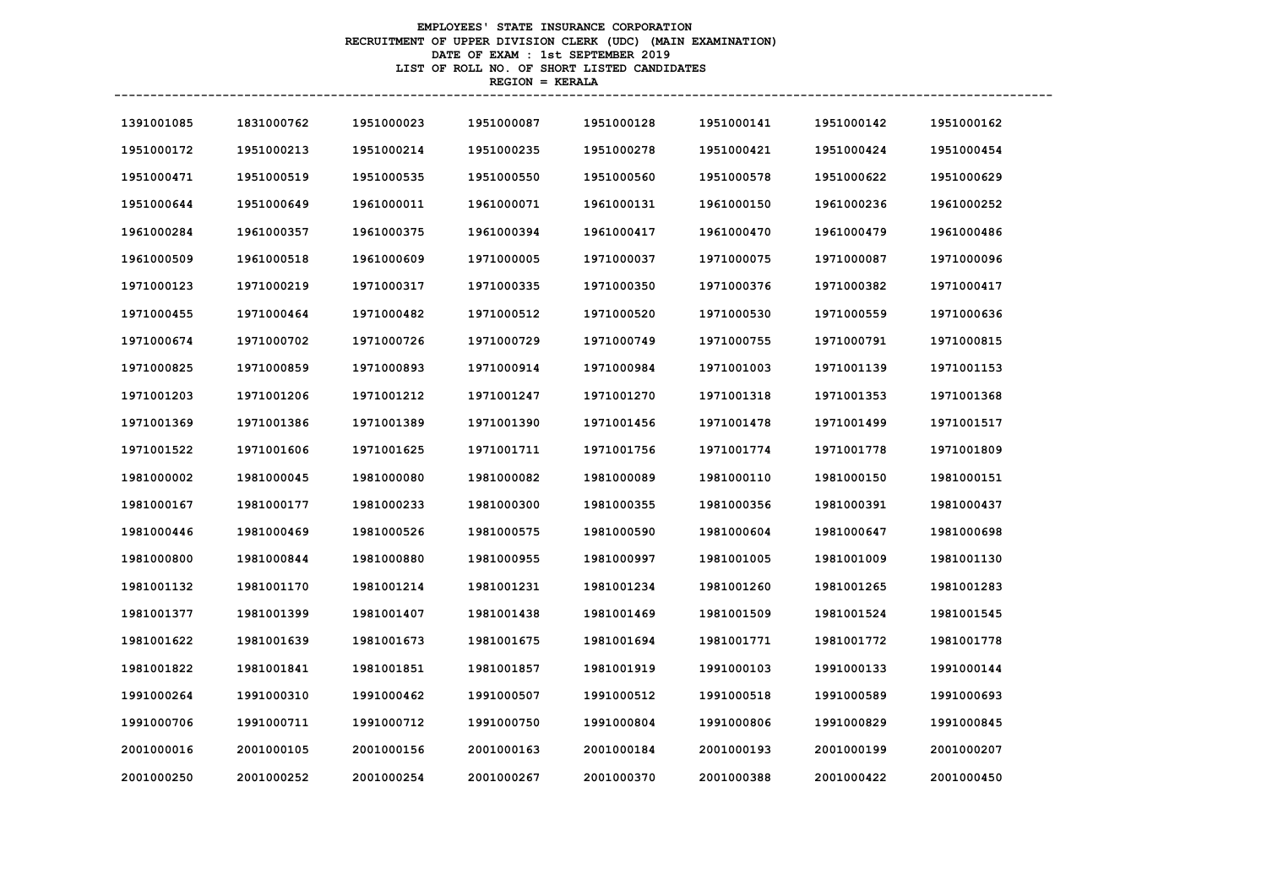# **EMPLOYEES' STATE INSURANCE CORPORATION RECRUITMENT OF UPPER DIVISION CLERK (UDC) (MAIN EXAMINATION) DATE OF EXAM : 1st SEPTEMBER 2019 LIST OF ROLL NO. OF SHORT LISTED CANDIDATES REGION = KERALA**

| 1391001085 | 1831000762 | 1951000023 | 1951000087 | 1951000128 | 1951000141 | 1951000142 | 1951000162 |
|------------|------------|------------|------------|------------|------------|------------|------------|
| 1951000172 | 1951000213 | 1951000214 | 1951000235 | 1951000278 | 1951000421 | 1951000424 | 1951000454 |
| 1951000471 | 1951000519 | 1951000535 | 1951000550 | 1951000560 | 1951000578 | 1951000622 | 1951000629 |
| 1951000644 | 1951000649 | 1961000011 | 1961000071 | 1961000131 | 1961000150 | 1961000236 | 1961000252 |
| 1961000284 | 1961000357 | 1961000375 | 1961000394 | 1961000417 | 1961000470 | 1961000479 | 1961000486 |
| 1961000509 | 1961000518 | 1961000609 | 1971000005 | 1971000037 | 1971000075 | 1971000087 | 1971000096 |
| 1971000123 | 1971000219 | 1971000317 | 1971000335 | 1971000350 | 1971000376 | 1971000382 | 1971000417 |
| 1971000455 | 1971000464 | 1971000482 | 1971000512 | 1971000520 | 1971000530 | 1971000559 | 1971000636 |
| 1971000674 | 1971000702 | 1971000726 | 1971000729 | 1971000749 | 1971000755 | 1971000791 | 1971000815 |
| 1971000825 | 1971000859 | 1971000893 | 1971000914 | 1971000984 | 1971001003 | 1971001139 | 1971001153 |
| 1971001203 | 1971001206 | 1971001212 | 1971001247 | 1971001270 | 1971001318 | 1971001353 | 1971001368 |
| 1971001369 | 1971001386 | 1971001389 | 1971001390 | 1971001456 | 1971001478 | 1971001499 | 1971001517 |
| 1971001522 | 1971001606 | 1971001625 | 1971001711 | 1971001756 | 1971001774 | 1971001778 | 1971001809 |
| 1981000002 | 1981000045 | 1981000080 | 1981000082 | 1981000089 | 1981000110 | 1981000150 | 1981000151 |
| 1981000167 | 1981000177 | 1981000233 | 1981000300 | 1981000355 | 1981000356 | 1981000391 | 1981000437 |
| 1981000446 | 1981000469 | 1981000526 | 1981000575 | 1981000590 | 1981000604 | 1981000647 | 1981000698 |
| 1981000800 | 1981000844 | 1981000880 | 1981000955 | 1981000997 | 1981001005 | 1981001009 | 1981001130 |
| 1981001132 | 1981001170 | 1981001214 | 1981001231 | 1981001234 | 1981001260 | 1981001265 | 1981001283 |
| 1981001377 | 1981001399 | 1981001407 | 1981001438 | 1981001469 | 1981001509 | 1981001524 | 1981001545 |
| 1981001622 | 1981001639 | 1981001673 | 1981001675 | 1981001694 | 1981001771 | 1981001772 | 1981001778 |
| 1981001822 | 1981001841 | 1981001851 | 1981001857 | 1981001919 | 1991000103 | 1991000133 | 1991000144 |
| 1991000264 | 1991000310 | 1991000462 | 1991000507 | 1991000512 | 1991000518 | 1991000589 | 1991000693 |
| 1991000706 | 1991000711 | 1991000712 | 1991000750 | 1991000804 | 1991000806 | 1991000829 | 1991000845 |
| 2001000016 | 2001000105 | 2001000156 | 2001000163 | 2001000184 | 2001000193 | 2001000199 | 2001000207 |
| 2001000250 | 2001000252 | 2001000254 | 2001000267 | 2001000370 | 2001000388 | 2001000422 | 2001000450 |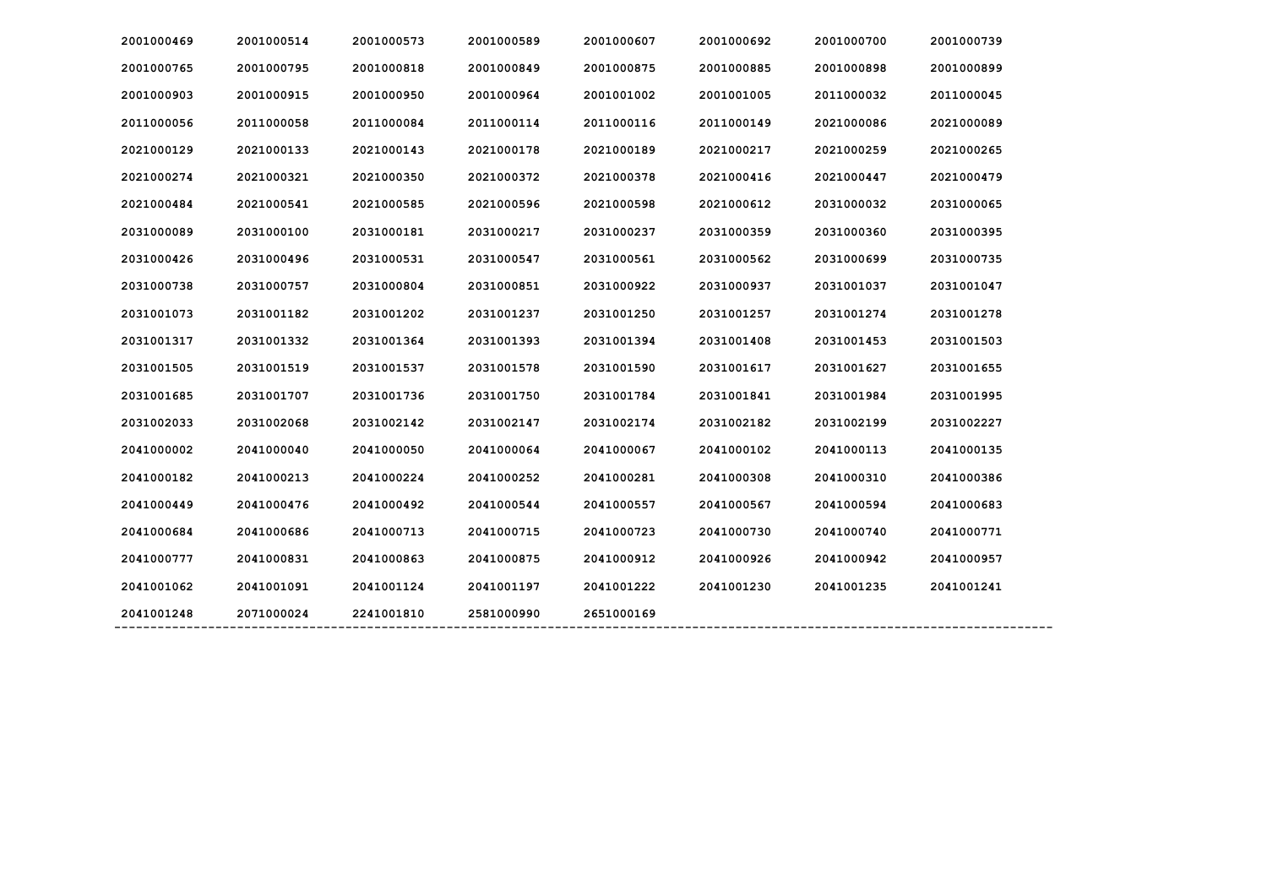| 2001000469 | 2001000514 | 2001000573 | 2001000589 | 2001000607 | 2001000692 | 2001000700 | 2001000739 |
|------------|------------|------------|------------|------------|------------|------------|------------|
| 2001000765 | 2001000795 | 2001000818 | 2001000849 | 2001000875 | 2001000885 | 2001000898 | 2001000899 |
| 2001000903 | 2001000915 | 2001000950 | 2001000964 | 2001001002 | 2001001005 | 2011000032 | 2011000045 |
| 2011000056 | 2011000058 | 2011000084 | 2011000114 | 2011000116 | 2011000149 | 2021000086 | 2021000089 |
| 2021000129 | 2021000133 | 2021000143 | 2021000178 | 2021000189 | 2021000217 | 2021000259 | 2021000265 |
| 2021000274 | 2021000321 | 2021000350 | 2021000372 | 2021000378 | 2021000416 | 2021000447 | 2021000479 |
| 2021000484 | 2021000541 | 2021000585 | 2021000596 | 2021000598 | 2021000612 | 2031000032 | 2031000065 |
| 2031000089 | 2031000100 | 2031000181 | 2031000217 | 2031000237 | 2031000359 | 2031000360 | 2031000395 |
| 2031000426 | 2031000496 | 2031000531 | 2031000547 | 2031000561 | 2031000562 | 2031000699 | 2031000735 |
| 2031000738 | 2031000757 | 2031000804 | 2031000851 | 2031000922 | 2031000937 | 2031001037 | 2031001047 |
| 2031001073 | 2031001182 | 2031001202 | 2031001237 | 2031001250 | 2031001257 | 2031001274 | 2031001278 |
| 2031001317 | 2031001332 | 2031001364 | 2031001393 | 2031001394 | 2031001408 | 2031001453 | 2031001503 |
| 2031001505 | 2031001519 | 2031001537 | 2031001578 | 2031001590 | 2031001617 | 2031001627 | 2031001655 |
| 2031001685 | 2031001707 | 2031001736 | 2031001750 | 2031001784 | 2031001841 | 2031001984 | 2031001995 |
| 2031002033 | 2031002068 | 2031002142 | 2031002147 | 2031002174 | 2031002182 | 2031002199 | 2031002227 |
| 2041000002 | 2041000040 | 2041000050 | 2041000064 | 2041000067 | 2041000102 | 2041000113 | 2041000135 |
| 2041000182 | 2041000213 | 2041000224 | 2041000252 | 2041000281 | 2041000308 | 2041000310 | 2041000386 |
| 2041000449 | 2041000476 | 2041000492 | 2041000544 | 2041000557 | 2041000567 | 2041000594 | 2041000683 |
| 2041000684 | 2041000686 | 2041000713 | 2041000715 | 2041000723 | 2041000730 | 2041000740 | 2041000771 |
| 2041000777 | 2041000831 | 2041000863 | 2041000875 | 2041000912 | 2041000926 | 2041000942 | 2041000957 |
| 2041001062 | 2041001091 | 2041001124 | 2041001197 | 2041001222 | 2041001230 | 2041001235 | 2041001241 |
| 2041001248 | 2071000024 | 2241001810 | 2581000990 | 2651000169 |            |            |            |
|            |            |            |            |            |            |            |            |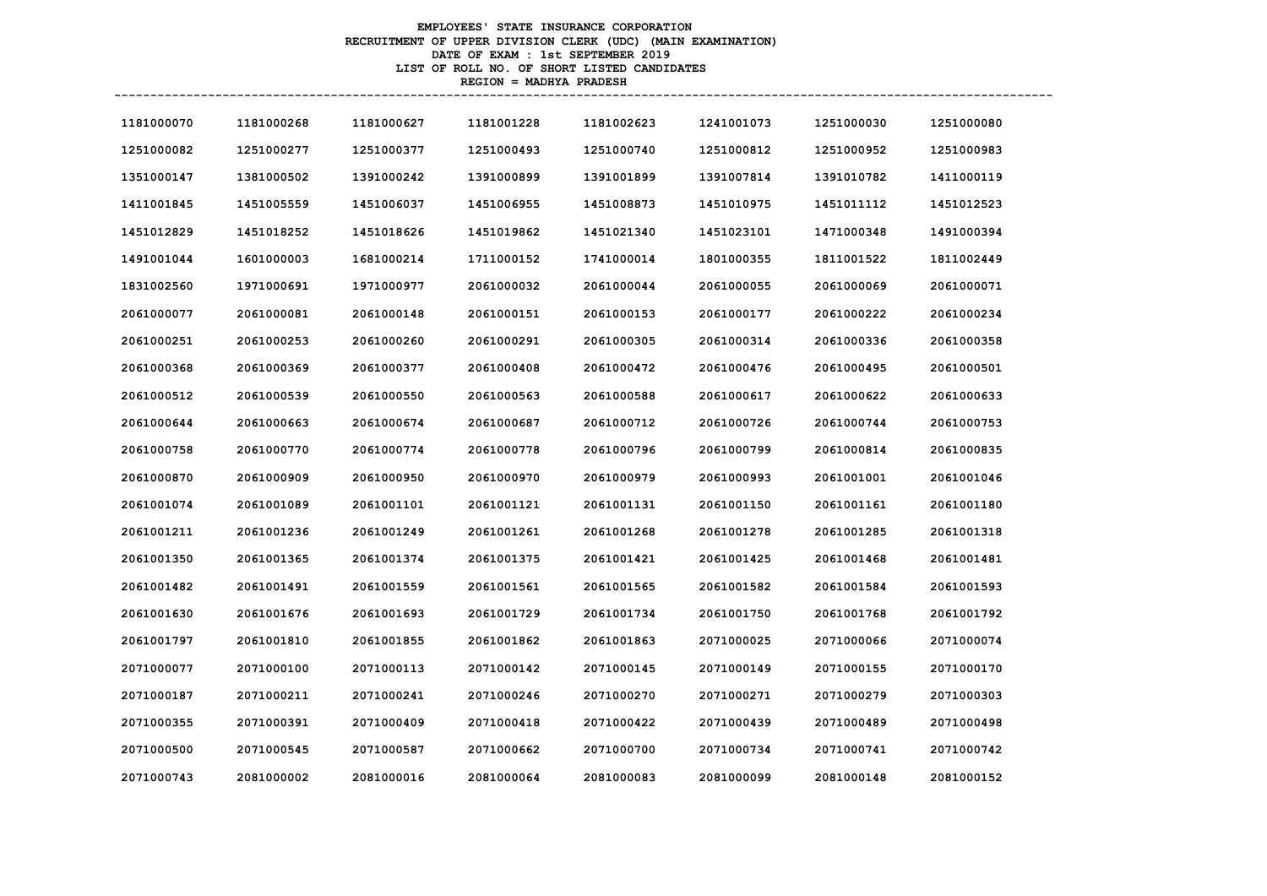# **EMPLOYEES' STATE INSURANCE CORPORATION RECRUITMENT OF UPPER DIVISION CLERK (UDC) (MAIN EXAMINATION) DATE OF EXAM : 1st SEPTEMBER 2019 LIST OF ROLL NO. OF SHORT LISTED CANDIDATES REGION = MADHYA PRADESH**

| 1181000070 | 1181000268 | 1181000627 | 1181001228 | 1181002623 | 1241001073 | 1251000030 | 1251000080 |
|------------|------------|------------|------------|------------|------------|------------|------------|
| 1251000082 | 1251000277 | 1251000377 | 1251000493 | 1251000740 | 1251000812 | 1251000952 | 1251000983 |
| 1351000147 | 1381000502 | 1391000242 | 1391000899 | 1391001899 | 1391007814 | 1391010782 | 1411000119 |
| 1411001845 | 1451005559 | 1451006037 | 1451006955 | 1451008873 | 1451010975 | 1451011112 | 1451012523 |
| 1451012829 | 1451018252 | 1451018626 | 1451019862 | 1451021340 | 1451023101 | 1471000348 | 1491000394 |
| 1491001044 | 1601000003 | 1681000214 | 1711000152 | 1741000014 | 1801000355 | 1811001522 | 1811002449 |
| 1831002560 | 1971000691 | 1971000977 | 2061000032 | 2061000044 | 2061000055 | 2061000069 | 2061000071 |
| 2061000077 | 2061000081 | 2061000148 | 2061000151 | 2061000153 | 2061000177 | 2061000222 | 2061000234 |
| 2061000251 | 2061000253 | 2061000260 | 2061000291 | 2061000305 | 2061000314 | 2061000336 | 2061000358 |
| 2061000368 | 2061000369 | 2061000377 | 2061000408 | 2061000472 | 2061000476 | 2061000495 | 2061000501 |
| 2061000512 | 2061000539 | 2061000550 | 2061000563 | 2061000588 | 2061000617 | 2061000622 | 2061000633 |
| 2061000644 | 2061000663 | 2061000674 | 2061000687 | 2061000712 | 2061000726 | 2061000744 | 2061000753 |
| 2061000758 | 2061000770 | 2061000774 | 2061000778 | 2061000796 | 2061000799 | 2061000814 | 2061000835 |
| 2061000870 | 2061000909 | 2061000950 | 2061000970 | 2061000979 | 2061000993 | 2061001001 | 2061001046 |
| 2061001074 | 2061001089 | 2061001101 | 2061001121 | 2061001131 | 2061001150 | 2061001161 | 2061001180 |
| 2061001211 | 2061001236 | 2061001249 | 2061001261 | 2061001268 | 2061001278 | 2061001285 | 2061001318 |
| 2061001350 | 2061001365 | 2061001374 | 2061001375 | 2061001421 | 2061001425 | 2061001468 | 2061001481 |
| 2061001482 | 2061001491 | 2061001559 | 2061001561 | 2061001565 | 2061001582 | 2061001584 | 2061001593 |
| 2061001630 | 2061001676 | 2061001693 | 2061001729 | 2061001734 | 2061001750 | 2061001768 | 2061001792 |
| 2061001797 | 2061001810 | 2061001855 | 2061001862 | 2061001863 | 2071000025 | 2071000066 | 2071000074 |
| 2071000077 | 2071000100 | 2071000113 | 2071000142 | 2071000145 | 2071000149 | 2071000155 | 2071000170 |
| 2071000187 | 2071000211 | 2071000241 | 2071000246 | 2071000270 | 2071000271 | 2071000279 | 2071000303 |
| 2071000355 | 2071000391 | 2071000409 | 2071000418 | 2071000422 | 2071000439 | 2071000489 | 2071000498 |
| 2071000500 | 2071000545 | 2071000587 | 2071000662 | 2071000700 | 2071000734 | 2071000741 | 2071000742 |
| 2071000743 | 2081000002 | 2081000016 | 2081000064 | 2081000083 | 2081000099 | 2081000148 | 2081000152 |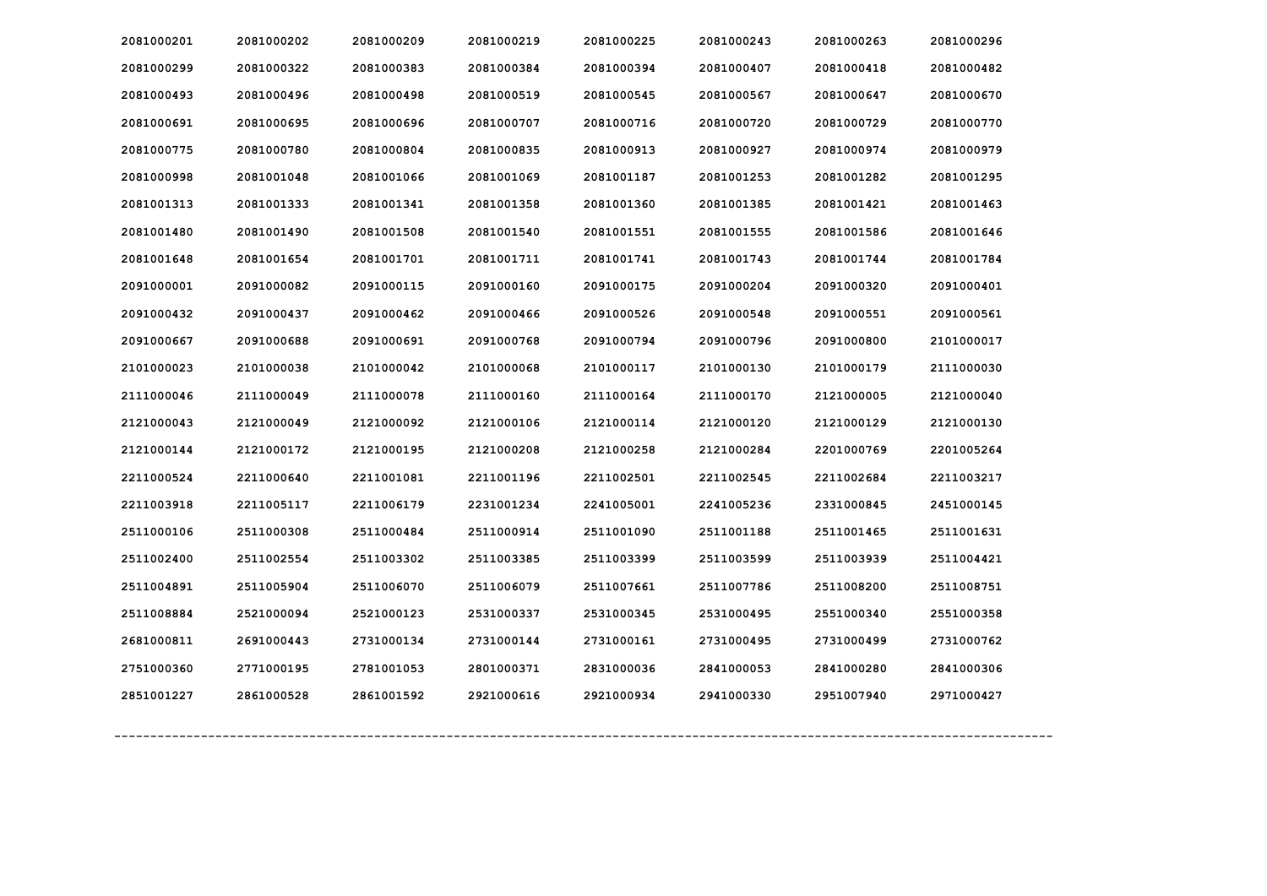| 2081000201 | 2081000202 | 2081000209 | 2081000219 | 2081000225 | 2081000243 | 2081000263 | 2081000296 |
|------------|------------|------------|------------|------------|------------|------------|------------|
| 2081000299 | 2081000322 | 2081000383 | 2081000384 | 2081000394 | 2081000407 | 2081000418 | 2081000482 |
| 2081000493 | 2081000496 | 2081000498 | 2081000519 | 2081000545 | 2081000567 | 2081000647 | 2081000670 |
| 2081000691 | 2081000695 | 2081000696 | 2081000707 | 2081000716 | 2081000720 | 2081000729 | 2081000770 |
| 2081000775 | 2081000780 | 2081000804 | 2081000835 | 2081000913 | 2081000927 | 2081000974 | 2081000979 |
| 2081000998 | 2081001048 | 2081001066 | 2081001069 | 2081001187 | 2081001253 | 2081001282 | 2081001295 |
| 2081001313 | 2081001333 | 2081001341 | 2081001358 | 2081001360 | 2081001385 | 2081001421 | 2081001463 |
| 2081001480 | 2081001490 | 2081001508 | 2081001540 | 2081001551 | 2081001555 | 2081001586 | 2081001646 |
| 2081001648 | 2081001654 | 2081001701 | 2081001711 | 2081001741 | 2081001743 | 2081001744 | 2081001784 |
| 2091000001 | 2091000082 | 2091000115 | 2091000160 | 2091000175 | 2091000204 | 2091000320 | 2091000401 |
| 2091000432 | 2091000437 | 2091000462 | 2091000466 | 2091000526 | 2091000548 | 2091000551 | 2091000561 |
| 2091000667 | 2091000688 | 2091000691 | 2091000768 | 2091000794 | 2091000796 | 2091000800 | 2101000017 |
| 2101000023 | 2101000038 | 2101000042 | 2101000068 | 2101000117 | 2101000130 | 2101000179 | 2111000030 |
| 2111000046 | 2111000049 | 2111000078 | 2111000160 | 2111000164 | 2111000170 | 2121000005 | 2121000040 |
| 2121000043 | 2121000049 | 2121000092 | 2121000106 | 2121000114 | 2121000120 | 2121000129 | 2121000130 |
| 2121000144 | 2121000172 | 2121000195 | 2121000208 | 2121000258 | 2121000284 | 2201000769 | 2201005264 |
| 2211000524 | 2211000640 | 2211001081 | 2211001196 | 2211002501 | 2211002545 | 2211002684 | 2211003217 |
| 2211003918 | 2211005117 | 2211006179 | 2231001234 | 2241005001 | 2241005236 | 2331000845 | 2451000145 |
| 2511000106 | 2511000308 | 2511000484 | 2511000914 | 2511001090 | 2511001188 | 2511001465 | 2511001631 |
| 2511002400 | 2511002554 | 2511003302 | 2511003385 | 2511003399 | 2511003599 | 2511003939 | 2511004421 |
| 2511004891 | 2511005904 | 2511006070 | 2511006079 | 2511007661 | 2511007786 | 2511008200 | 2511008751 |
| 2511008884 | 2521000094 | 2521000123 | 2531000337 | 2531000345 | 2531000495 | 2551000340 | 2551000358 |
| 2681000811 | 2691000443 | 2731000134 | 2731000144 | 2731000161 | 2731000495 | 2731000499 | 2731000762 |
| 2751000360 | 2771000195 | 2781001053 | 2801000371 | 2831000036 | 2841000053 | 2841000280 | 2841000306 |
| 2851001227 | 2861000528 | 2861001592 | 2921000616 | 2921000934 | 2941000330 | 2951007940 | 2971000427 |
|            |            |            |            |            |            |            |            |
|            |            |            |            |            |            |            |            |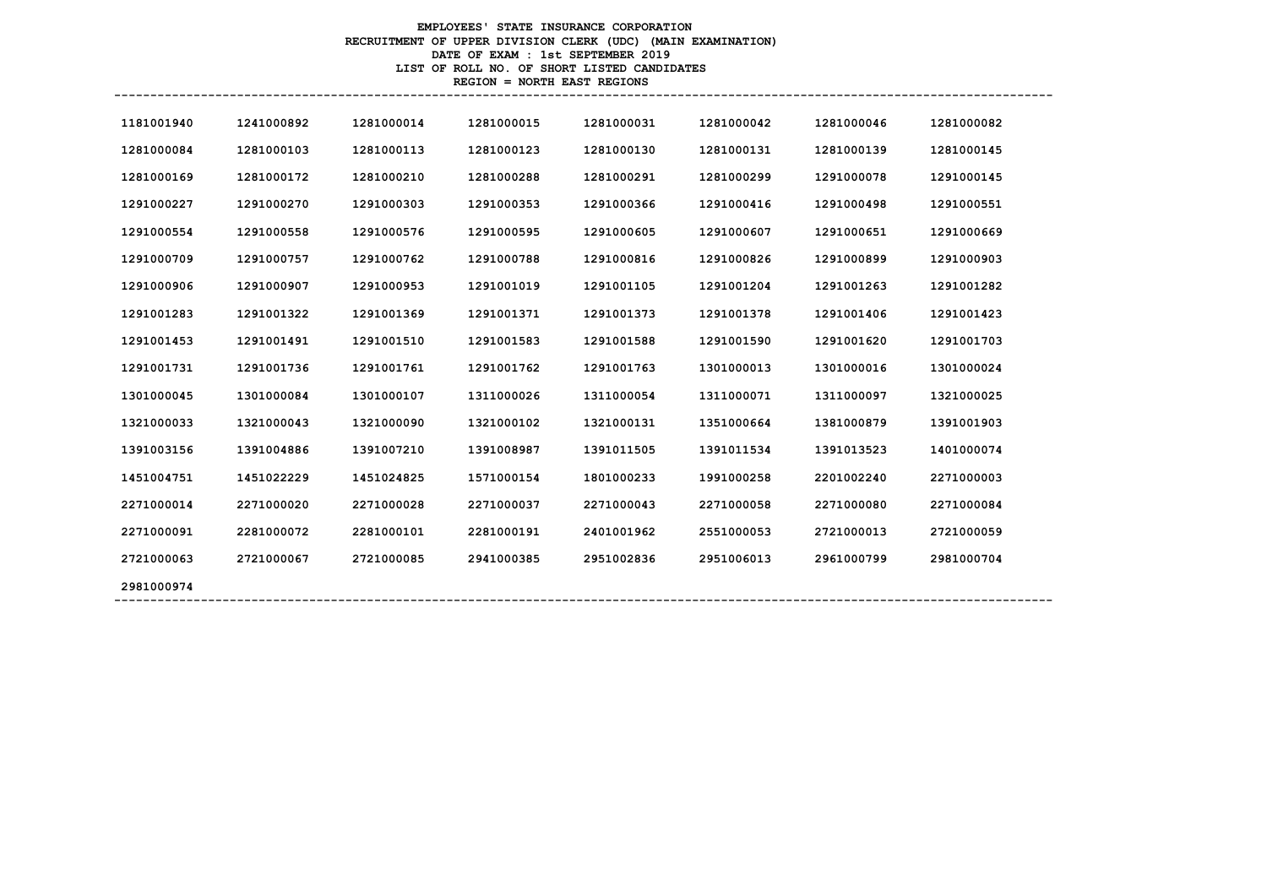# **EMPLOYEES' STATE INSURANCE CORPORATION RECRUITMENT OF UPPER DIVISION CLERK (UDC) (MAIN EXAMINATION) DATE OF EXAM : 1st SEPTEMBER 2019 LIST OF ROLL NO. OF SHORT LISTED CANDIDATES REGION = NORTH EAST REGIONS**

| 1181001940 | 1241000892 | 1281000014 | 1281000015 | 1281000031 | 1281000042 | 1281000046 | 1281000082 |
|------------|------------|------------|------------|------------|------------|------------|------------|
| 1281000084 | 1281000103 | 1281000113 | 1281000123 | 1281000130 | 1281000131 | 1281000139 | 1281000145 |
| 1281000169 | 1281000172 | 1281000210 | 1281000288 | 1281000291 | 1281000299 | 1291000078 | 1291000145 |
| 1291000227 | 1291000270 | 1291000303 | 1291000353 | 1291000366 | 1291000416 | 1291000498 | 1291000551 |
| 1291000554 | 1291000558 | 1291000576 | 1291000595 | 1291000605 | 1291000607 | 1291000651 | 1291000669 |
| 1291000709 | 1291000757 | 1291000762 | 1291000788 | 1291000816 | 1291000826 | 1291000899 | 1291000903 |
| 1291000906 | 1291000907 | 1291000953 | 1291001019 | 1291001105 | 1291001204 | 1291001263 | 1291001282 |
| 1291001283 | 1291001322 | 1291001369 | 1291001371 | 1291001373 | 1291001378 | 1291001406 | 1291001423 |
| 1291001453 | 1291001491 | 1291001510 | 1291001583 | 1291001588 | 1291001590 | 1291001620 | 1291001703 |
| 1291001731 | 1291001736 | 1291001761 | 1291001762 | 1291001763 | 1301000013 | 1301000016 | 1301000024 |
| 1301000045 | 1301000084 | 1301000107 | 1311000026 | 1311000054 | 1311000071 | 1311000097 | 1321000025 |
| 1321000033 | 1321000043 | 1321000090 | 1321000102 | 1321000131 | 1351000664 | 1381000879 | 1391001903 |
| 1391003156 | 1391004886 | 1391007210 | 1391008987 | 1391011505 | 1391011534 | 1391013523 | 1401000074 |
| 1451004751 | 1451022229 | 1451024825 | 1571000154 | 1801000233 | 1991000258 | 2201002240 | 2271000003 |
| 2271000014 | 2271000020 | 2271000028 | 2271000037 | 2271000043 | 2271000058 | 2271000080 | 2271000084 |
| 2271000091 | 2281000072 | 2281000101 | 2281000191 | 2401001962 | 2551000053 | 2721000013 | 2721000059 |
| 2721000063 | 2721000067 | 2721000085 | 2941000385 | 2951002836 | 2951006013 | 2961000799 | 2981000704 |
| 2981000974 |            |            |            |            |            |            |            |
|            |            |            |            |            |            |            |            |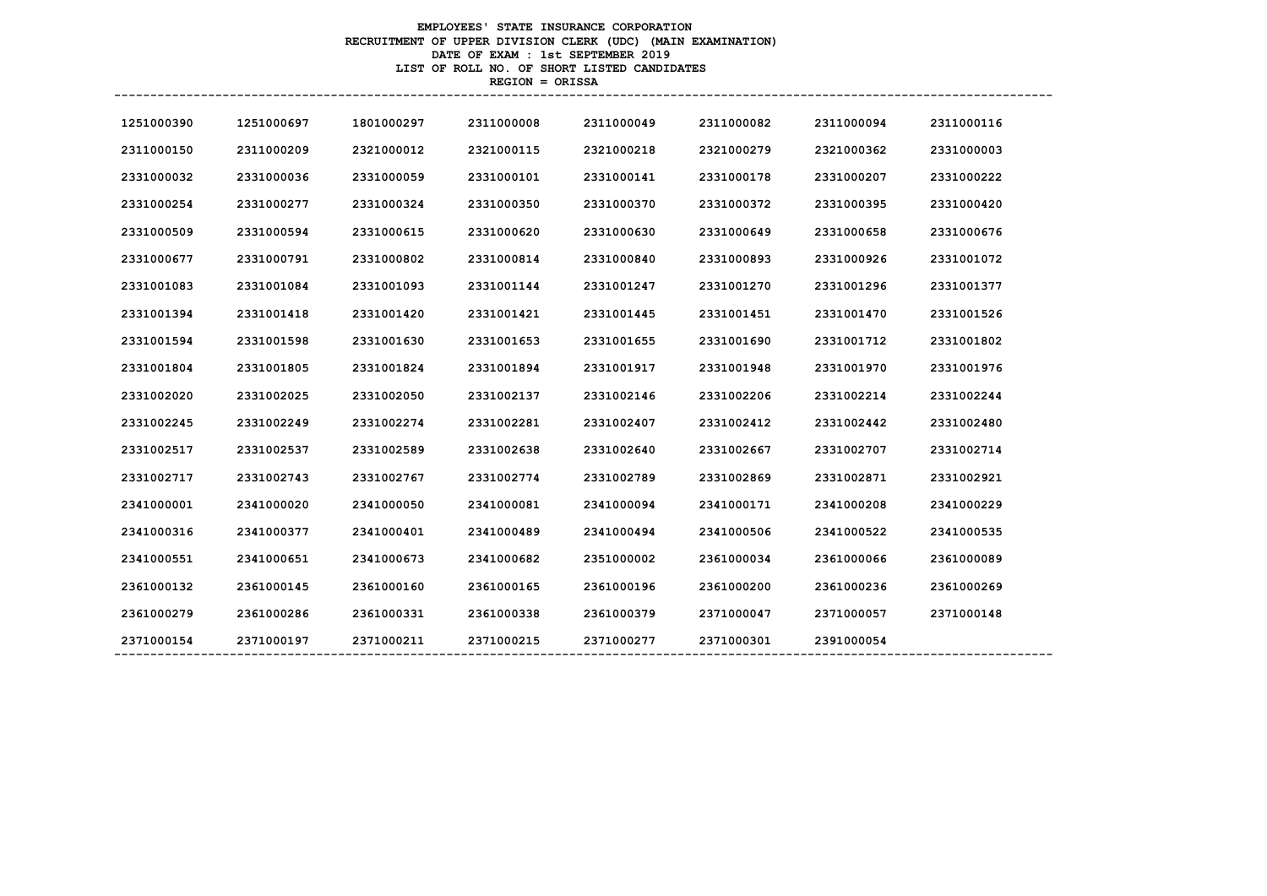# **EMPLOYEES' STATE INSURANCE CORPORATION RECRUITMENT OF UPPER DIVISION CLERK (UDC) (MAIN EXAMINATION) DATE OF EXAM : 1st SEPTEMBER 2019 LIST OF ROLL NO. OF SHORT LISTED CANDIDATES REGION = ORISSA**

| 1251000390 | 1251000697 | 1801000297 | 2311000008 | 2311000049 | 2311000082 | 2311000094 | 2311000116 |
|------------|------------|------------|------------|------------|------------|------------|------------|
| 2311000150 | 2311000209 | 2321000012 | 2321000115 | 2321000218 | 2321000279 | 2321000362 | 2331000003 |
| 2331000032 | 2331000036 | 2331000059 | 2331000101 | 2331000141 | 2331000178 | 2331000207 | 2331000222 |
| 2331000254 | 2331000277 | 2331000324 | 2331000350 | 2331000370 | 2331000372 | 2331000395 | 2331000420 |
| 2331000509 | 2331000594 | 2331000615 | 2331000620 | 2331000630 | 2331000649 | 2331000658 | 2331000676 |
| 2331000677 | 2331000791 | 2331000802 | 2331000814 | 2331000840 | 2331000893 | 2331000926 | 2331001072 |
| 2331001083 | 2331001084 | 2331001093 | 2331001144 | 2331001247 | 2331001270 | 2331001296 | 2331001377 |
| 2331001394 | 2331001418 | 2331001420 | 2331001421 | 2331001445 | 2331001451 | 2331001470 | 2331001526 |
| 2331001594 | 2331001598 | 2331001630 | 2331001653 | 2331001655 | 2331001690 | 2331001712 | 2331001802 |
| 2331001804 | 2331001805 | 2331001824 | 2331001894 | 2331001917 | 2331001948 | 2331001970 | 2331001976 |
| 2331002020 | 2331002025 | 2331002050 | 2331002137 | 2331002146 | 2331002206 | 2331002214 | 2331002244 |
| 2331002245 | 2331002249 | 2331002274 | 2331002281 | 2331002407 | 2331002412 | 2331002442 | 2331002480 |
| 2331002517 | 2331002537 | 2331002589 | 2331002638 | 2331002640 | 2331002667 | 2331002707 | 2331002714 |
| 2331002717 | 2331002743 | 2331002767 | 2331002774 | 2331002789 | 2331002869 | 2331002871 | 2331002921 |
| 2341000001 | 2341000020 | 2341000050 | 2341000081 | 2341000094 | 2341000171 | 2341000208 | 2341000229 |
| 2341000316 | 2341000377 | 2341000401 | 2341000489 | 2341000494 | 2341000506 | 2341000522 | 2341000535 |
| 2341000551 | 2341000651 | 2341000673 | 2341000682 | 2351000002 | 2361000034 | 2361000066 | 2361000089 |
| 2361000132 | 2361000145 | 2361000160 | 2361000165 | 2361000196 | 2361000200 | 2361000236 | 2361000269 |
| 2361000279 | 2361000286 | 2361000331 | 2361000338 | 2361000379 | 2371000047 | 2371000057 | 2371000148 |
| 2371000154 | 2371000197 | 2371000211 | 2371000215 | 2371000277 | 2371000301 | 2391000054 |            |
|            |            |            |            |            |            |            |            |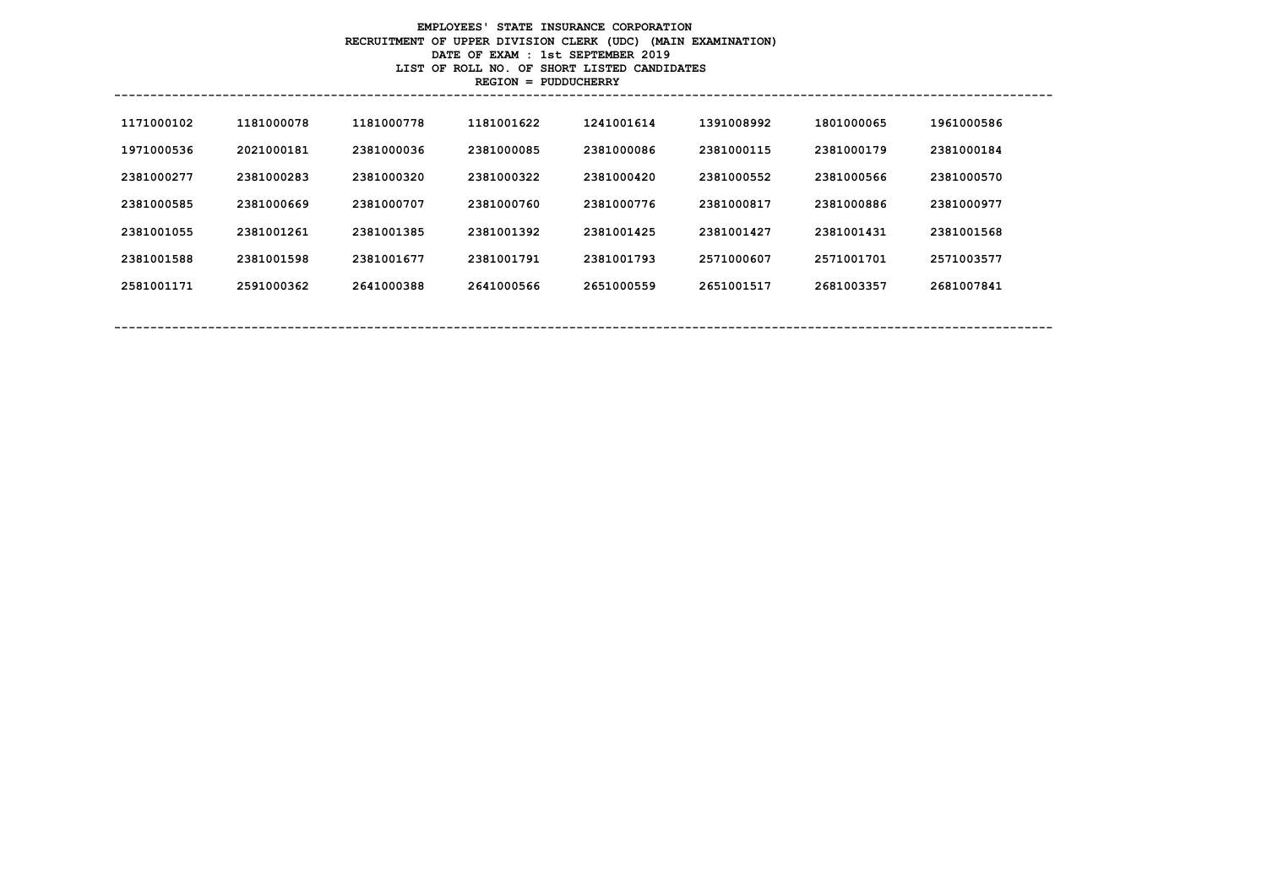# **EMPLOYEES' STATE INSURANCE CORPORATION RECRUITMENT OF UPPER DIVISION CLERK (UDC) (MAIN EXAMINATION) DATE OF EXAM : 1st SEPTEMBER 2019 LIST OF ROLL NO. OF SHORT LISTED CANDIDATES REGION = PUDDUCHERRY**

| 1171000102 | 1181000078 | 1181000778 | 1181001622 | 1241001614 | 1391008992 | 1801000065 | 1961000586 |
|------------|------------|------------|------------|------------|------------|------------|------------|
| 1971000536 | 2021000181 | 2381000036 | 2381000085 | 2381000086 | 2381000115 | 2381000179 | 2381000184 |
| 2381000277 | 2381000283 | 2381000320 | 2381000322 | 2381000420 | 2381000552 | 2381000566 | 2381000570 |
| 2381000585 | 2381000669 | 2381000707 | 2381000760 | 2381000776 | 2381000817 | 2381000886 | 2381000977 |
| 2381001055 | 2381001261 | 2381001385 | 2381001392 | 2381001425 | 2381001427 | 2381001431 | 2381001568 |
| 2381001588 | 2381001598 | 2381001677 | 2381001791 | 2381001793 | 2571000607 | 2571001701 | 2571003577 |
| 2581001171 | 2591000362 | 2641000388 | 2641000566 | 2651000559 | 2651001517 | 2681003357 | 2681007841 |
|            |            |            |            |            |            |            |            |
|            |            |            |            |            |            |            |            |

**----------------------------------------------------------------------------------------------------------------------------------**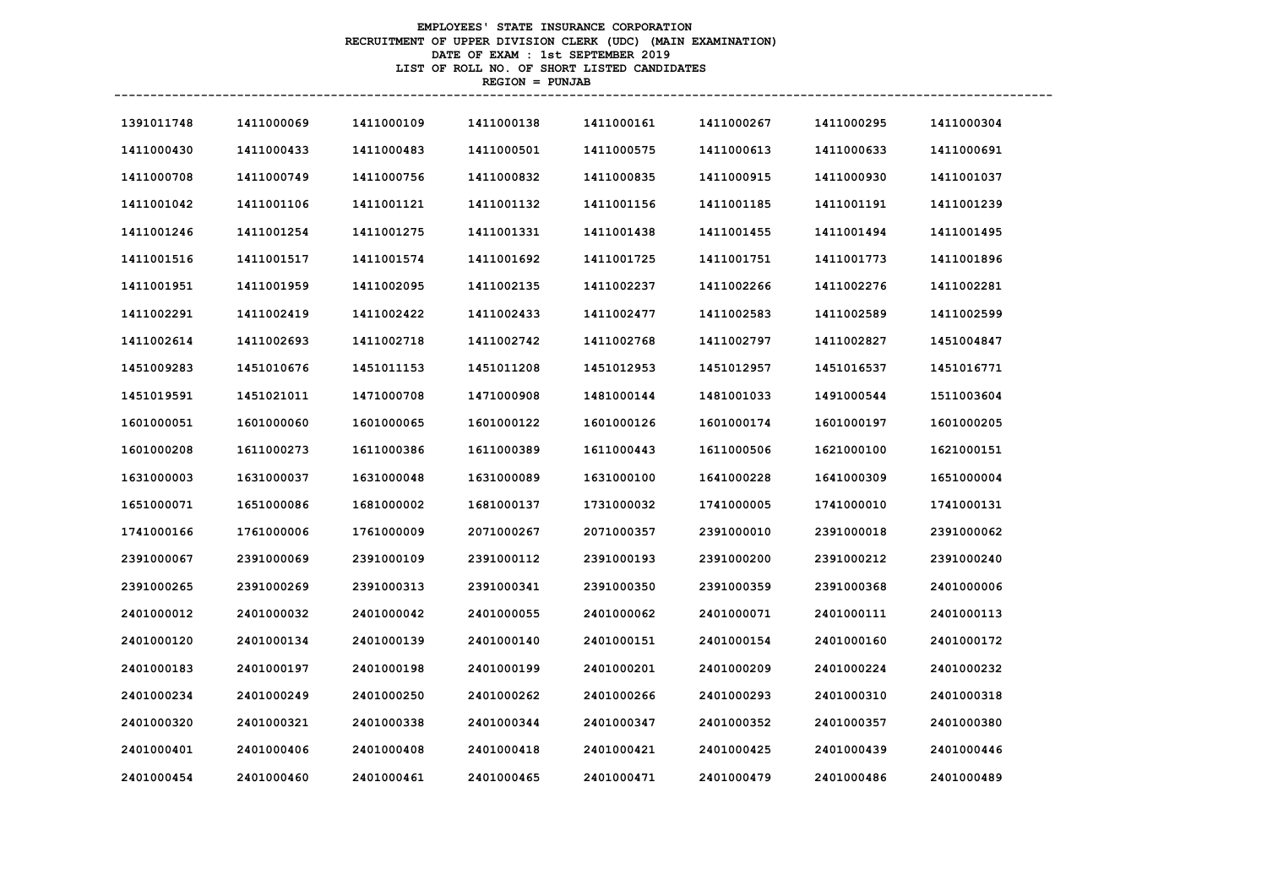# **EMPLOYEES' STATE INSURANCE CORPORATION RECRUITMENT OF UPPER DIVISION CLERK (UDC) (MAIN EXAMINATION) DATE OF EXAM : 1st SEPTEMBER 2019 LIST OF ROLL NO. OF SHORT LISTED CANDIDATES REGION = PUNJAB**

| 1391011748 | 1411000069 | 1411000109 | 1411000138 | 1411000161 | 1411000267 | 1411000295 | 1411000304 |
|------------|------------|------------|------------|------------|------------|------------|------------|
| 1411000430 | 1411000433 | 1411000483 | 1411000501 | 1411000575 | 1411000613 | 1411000633 | 1411000691 |
| 1411000708 | 1411000749 | 1411000756 | 1411000832 | 1411000835 | 1411000915 | 1411000930 | 1411001037 |
| 1411001042 | 1411001106 | 1411001121 | 1411001132 | 1411001156 | 1411001185 | 1411001191 | 1411001239 |
| 1411001246 | 1411001254 | 1411001275 | 1411001331 | 1411001438 | 1411001455 | 1411001494 | 1411001495 |
| 1411001516 | 1411001517 | 1411001574 | 1411001692 | 1411001725 | 1411001751 | 1411001773 | 1411001896 |
| 1411001951 | 1411001959 | 1411002095 | 1411002135 | 1411002237 | 1411002266 | 1411002276 | 1411002281 |
| 1411002291 | 1411002419 | 1411002422 | 1411002433 | 1411002477 | 1411002583 | 1411002589 | 1411002599 |
| 1411002614 | 1411002693 | 1411002718 | 1411002742 | 1411002768 | 1411002797 | 1411002827 | 1451004847 |
| 1451009283 | 1451010676 | 1451011153 | 1451011208 | 1451012953 | 1451012957 | 1451016537 | 1451016771 |
| 1451019591 | 1451021011 | 1471000708 | 1471000908 | 1481000144 | 1481001033 | 1491000544 | 1511003604 |
| 1601000051 | 1601000060 | 1601000065 | 1601000122 | 1601000126 | 1601000174 | 1601000197 | 1601000205 |

| 1411000430 | 1411000433 | 1411000483 | 1411000501 | 1411000575 | 1411000613 | 1411000633 | 1411000691 |
|------------|------------|------------|------------|------------|------------|------------|------------|
| 1411000708 | 1411000749 | 1411000756 | 1411000832 | 1411000835 | 1411000915 | 1411000930 | 1411001037 |
| 1411001042 | 1411001106 | 1411001121 | 1411001132 | 1411001156 | 1411001185 | 1411001191 | 1411001239 |
| 1411001246 | 1411001254 | 1411001275 | 1411001331 | 1411001438 | 1411001455 | 1411001494 | 1411001495 |
| 1411001516 | 1411001517 | 1411001574 | 1411001692 | 1411001725 | 1411001751 | 1411001773 | 1411001896 |
| 1411001951 | 1411001959 | 1411002095 | 1411002135 | 1411002237 | 1411002266 | 1411002276 | 1411002281 |
| 1411002291 | 1411002419 | 1411002422 | 1411002433 | 1411002477 | 1411002583 | 1411002589 | 1411002599 |
| 1411002614 | 1411002693 | 1411002718 | 1411002742 | 1411002768 | 1411002797 | 1411002827 | 1451004847 |
| 1451009283 | 1451010676 | 1451011153 | 1451011208 | 1451012953 | 1451012957 | 1451016537 | 1451016771 |
| 1451019591 | 1451021011 | 1471000708 | 1471000908 | 1481000144 | 1481001033 | 1491000544 | 1511003604 |
| 1601000051 | 1601000060 | 1601000065 | 1601000122 | 1601000126 | 1601000174 | 1601000197 | 1601000205 |
| 1601000208 | 1611000273 | 1611000386 | 1611000389 | 1611000443 | 1611000506 | 1621000100 | 1621000151 |
| 1631000003 | 1631000037 | 1631000048 | 1631000089 | 1631000100 | 1641000228 | 1641000309 | 1651000004 |
| 1651000071 | 1651000086 | 1681000002 | 1681000137 | 1731000032 | 1741000005 | 1741000010 | 1741000131 |
| 1741000166 | 1761000006 | 1761000009 | 2071000267 | 2071000357 | 2391000010 | 2391000018 | 2391000062 |
| 2391000067 | 2391000069 | 2391000109 | 2391000112 | 2391000193 | 2391000200 | 2391000212 | 2391000240 |
| 2391000265 | 2391000269 | 2391000313 | 2391000341 | 2391000350 | 2391000359 | 2391000368 | 2401000006 |
| 2401000012 | 2401000032 | 2401000042 | 2401000055 | 2401000062 | 2401000071 | 2401000111 | 2401000113 |
| 2401000120 | 2401000134 | 2401000139 | 2401000140 | 2401000151 | 2401000154 | 2401000160 | 2401000172 |
| 2401000183 | 2401000197 | 2401000198 | 2401000199 | 2401000201 | 2401000209 | 2401000224 | 2401000232 |
| 2401000234 | 2401000249 | 2401000250 | 2401000262 | 2401000266 | 2401000293 | 2401000310 | 2401000318 |
| 2401000320 | 2401000321 | 2401000338 | 2401000344 | 2401000347 | 2401000352 | 2401000357 | 2401000380 |
| 2401000401 | 2401000406 | 2401000408 | 2401000418 | 2401000421 | 2401000425 | 2401000439 | 2401000446 |
| 2401000454 | 2401000460 | 2401000461 | 2401000465 | 2401000471 | 2401000479 | 2401000486 | 2401000489 |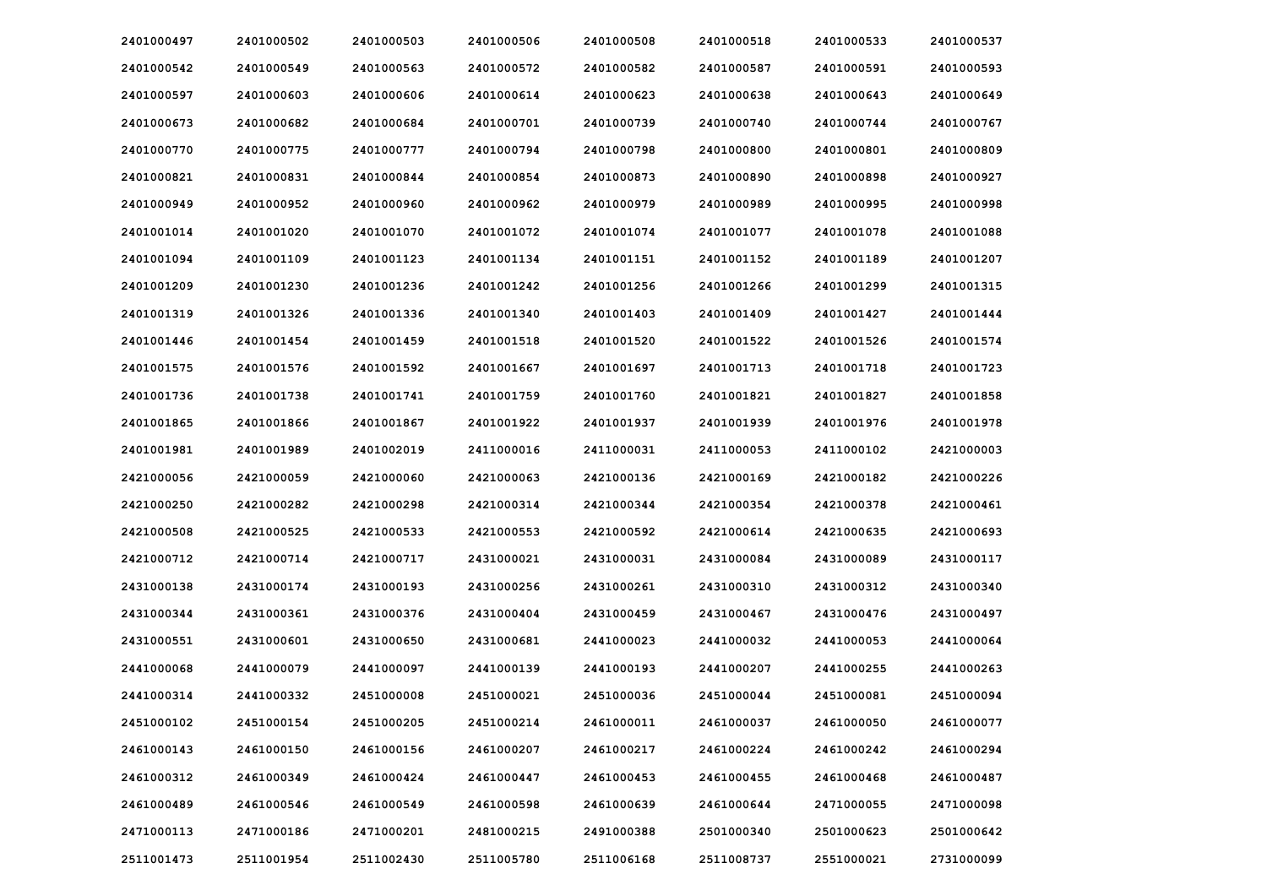| 2401000497 | 2401000502 | 2401000503 | 2401000506 | 2401000508 | 2401000518 | 2401000533 | 2401000537 |
|------------|------------|------------|------------|------------|------------|------------|------------|
| 2401000542 | 2401000549 | 2401000563 | 2401000572 | 2401000582 | 2401000587 | 2401000591 | 2401000593 |
| 2401000597 | 2401000603 | 2401000606 | 2401000614 | 2401000623 | 2401000638 | 2401000643 | 2401000649 |
| 2401000673 | 2401000682 | 2401000684 | 2401000701 | 2401000739 | 2401000740 | 2401000744 | 2401000767 |
| 2401000770 | 2401000775 | 2401000777 | 2401000794 | 2401000798 | 2401000800 | 2401000801 | 2401000809 |
| 2401000821 | 2401000831 | 2401000844 | 2401000854 | 2401000873 | 2401000890 | 2401000898 | 2401000927 |
| 2401000949 | 2401000952 | 2401000960 | 2401000962 | 2401000979 | 2401000989 | 2401000995 | 2401000998 |
| 2401001014 | 2401001020 | 2401001070 | 2401001072 | 2401001074 | 2401001077 | 2401001078 | 2401001088 |
| 2401001094 | 2401001109 | 2401001123 | 2401001134 | 2401001151 | 2401001152 | 2401001189 | 2401001207 |
| 2401001209 | 2401001230 | 2401001236 | 2401001242 | 2401001256 | 2401001266 | 2401001299 | 2401001315 |
| 2401001319 | 2401001326 | 2401001336 | 2401001340 | 2401001403 | 2401001409 | 2401001427 | 2401001444 |
| 2401001446 | 2401001454 | 2401001459 | 2401001518 | 2401001520 | 2401001522 | 2401001526 | 2401001574 |
| 2401001575 | 2401001576 | 2401001592 | 2401001667 | 2401001697 | 2401001713 | 2401001718 | 2401001723 |
| 2401001736 | 2401001738 | 2401001741 | 2401001759 | 2401001760 | 2401001821 | 2401001827 | 2401001858 |
| 2401001865 | 2401001866 | 2401001867 | 2401001922 | 2401001937 | 2401001939 | 2401001976 | 2401001978 |
| 2401001981 | 2401001989 | 2401002019 | 2411000016 | 2411000031 | 2411000053 | 2411000102 | 2421000003 |
| 2421000056 | 2421000059 | 2421000060 | 2421000063 | 2421000136 | 2421000169 | 2421000182 | 2421000226 |
| 2421000250 | 2421000282 | 2421000298 | 2421000314 | 2421000344 | 2421000354 | 2421000378 | 2421000461 |
| 2421000508 | 2421000525 | 2421000533 | 2421000553 | 2421000592 | 2421000614 | 2421000635 | 2421000693 |
| 2421000712 | 2421000714 | 2421000717 | 2431000021 | 2431000031 | 2431000084 | 2431000089 | 2431000117 |
| 2431000138 | 2431000174 | 2431000193 | 2431000256 | 2431000261 | 2431000310 | 2431000312 | 2431000340 |
| 2431000344 | 2431000361 | 2431000376 | 2431000404 | 2431000459 | 2431000467 | 2431000476 | 2431000497 |
| 2431000551 | 2431000601 | 2431000650 | 2431000681 | 2441000023 | 2441000032 | 2441000053 | 2441000064 |
| 2441000068 | 2441000079 | 2441000097 | 2441000139 | 2441000193 | 2441000207 | 2441000255 | 2441000263 |
| 2441000314 | 2441000332 | 2451000008 | 2451000021 | 2451000036 | 2451000044 | 2451000081 | 2451000094 |
| 2451000102 | 2451000154 | 2451000205 | 2451000214 | 2461000011 | 2461000037 | 2461000050 | 2461000077 |
| 2461000143 | 2461000150 | 2461000156 | 2461000207 | 2461000217 | 2461000224 | 2461000242 | 2461000294 |
| 2461000312 | 2461000349 | 2461000424 | 2461000447 | 2461000453 | 2461000455 | 2461000468 | 2461000487 |
| 2461000489 | 2461000546 | 2461000549 | 2461000598 | 2461000639 | 2461000644 | 2471000055 | 2471000098 |
| 2471000113 | 2471000186 | 2471000201 | 2481000215 | 2491000388 | 2501000340 | 2501000623 | 2501000642 |
| 2511001473 | 2511001954 | 2511002430 | 2511005780 | 2511006168 | 2511008737 | 2551000021 | 2731000099 |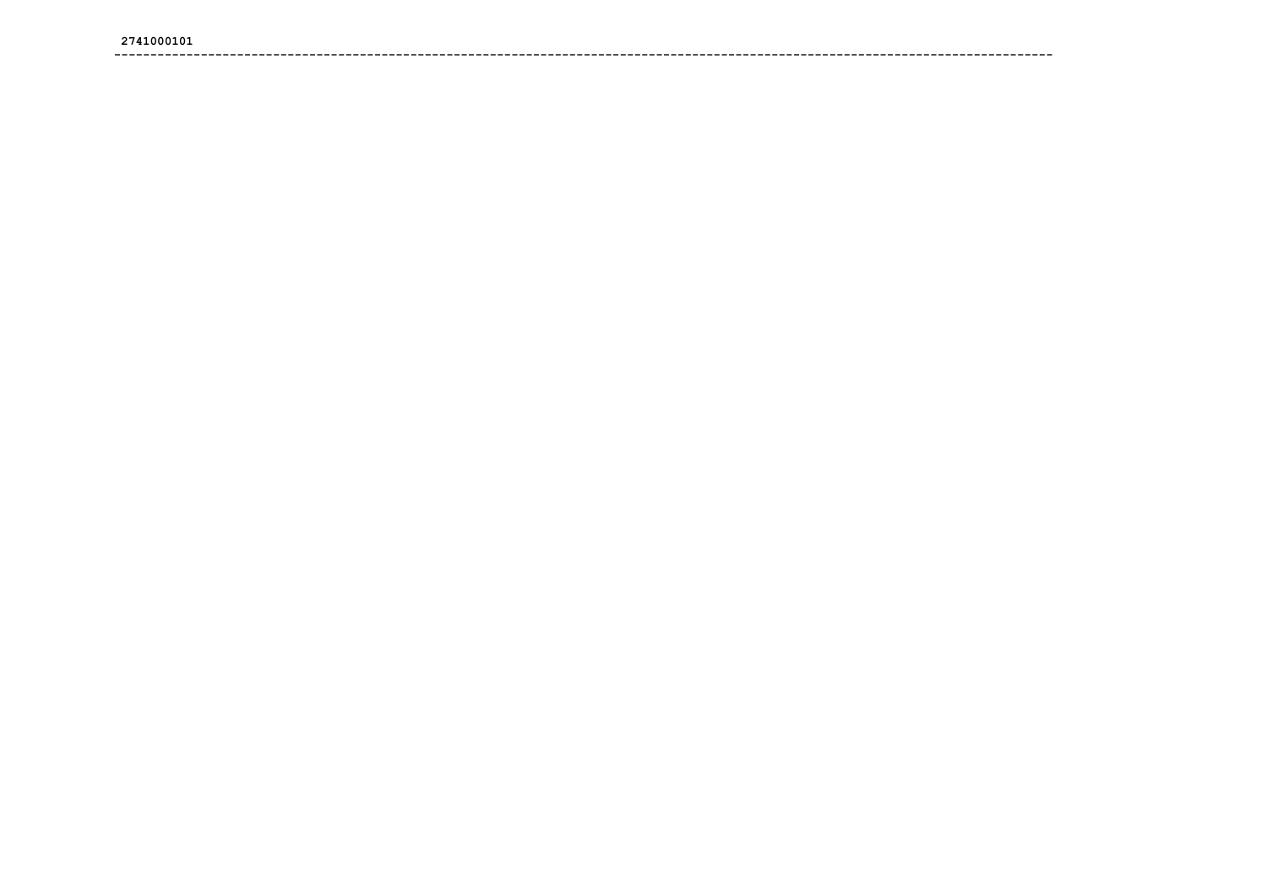####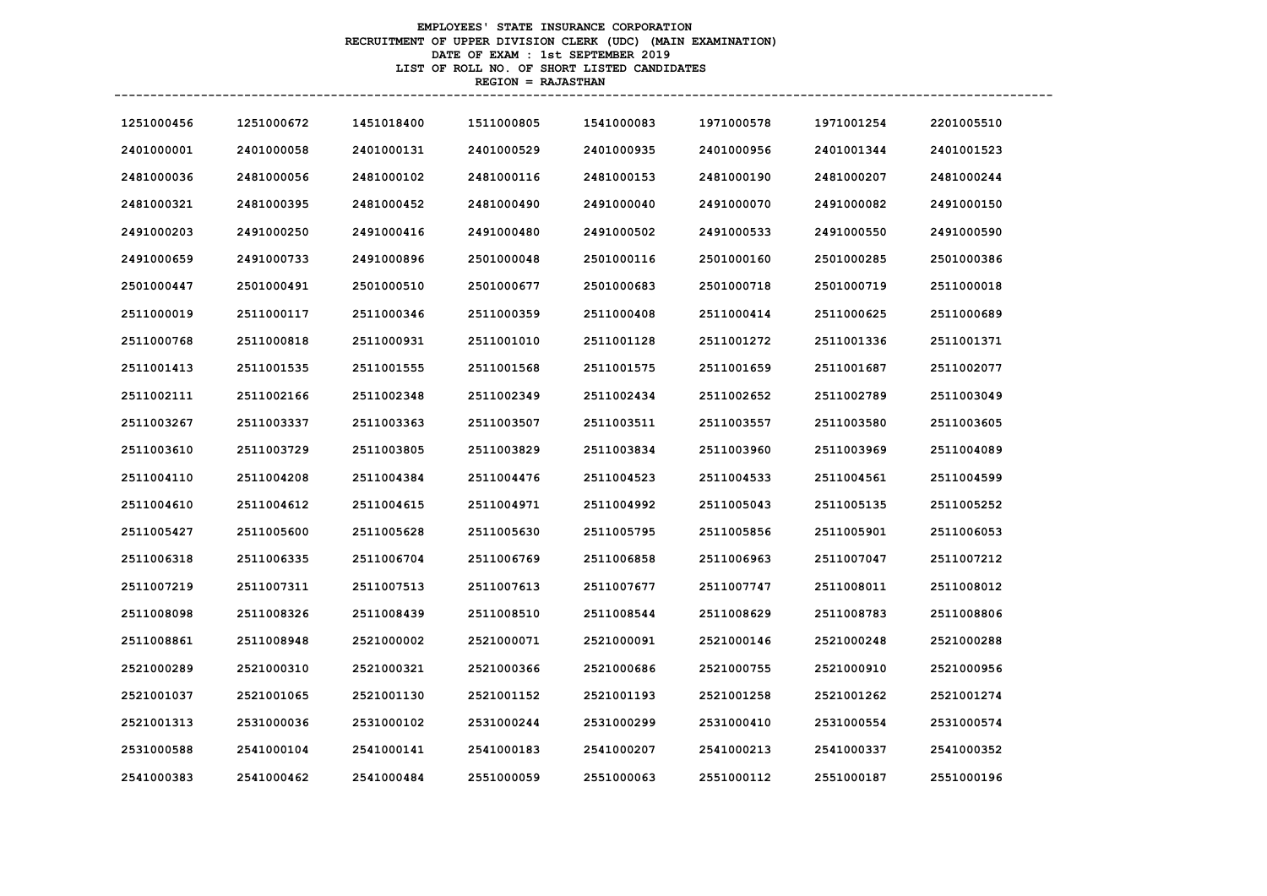# **EMPLOYEES' STATE INSURANCE CORPORATION RECRUITMENT OF UPPER DIVISION CLERK (UDC) (MAIN EXAMINATION) DATE OF EXAM : 1st SEPTEMBER 2019 LIST OF ROLL NO. OF SHORT LISTED CANDIDATES REGION = RAJASTHAN**

| 1251000456 | 1251000672 | 1451018400 | 1511000805 | 1541000083 | 1971000578 | 1971001254 | 2201005510 |
|------------|------------|------------|------------|------------|------------|------------|------------|
| 2401000001 | 2401000058 | 2401000131 | 2401000529 | 2401000935 | 2401000956 | 2401001344 | 2401001523 |
| 2481000036 | 2481000056 | 2481000102 | 2481000116 | 2481000153 | 2481000190 | 2481000207 | 2481000244 |
| 2481000321 | 2481000395 | 2481000452 | 2481000490 | 2491000040 | 2491000070 | 2491000082 | 2491000150 |
| 2491000203 | 2491000250 | 2491000416 | 2491000480 | 2491000502 | 2491000533 | 2491000550 | 2491000590 |
| 2491000659 | 2491000733 | 2491000896 | 2501000048 | 2501000116 | 2501000160 | 2501000285 | 2501000386 |
| 2501000447 | 2501000491 | 2501000510 | 2501000677 | 2501000683 | 2501000718 | 2501000719 | 2511000018 |
| 2511000019 | 2511000117 | 2511000346 | 2511000359 | 2511000408 | 2511000414 | 2511000625 | 2511000689 |
| 2511000768 | 2511000818 | 2511000931 | 2511001010 | 2511001128 | 2511001272 | 2511001336 | 2511001371 |
| 2511001413 | 2511001535 | 2511001555 | 2511001568 | 2511001575 | 2511001659 | 2511001687 | 2511002077 |
| 2511002111 | 2511002166 | 2511002348 | 2511002349 | 2511002434 | 2511002652 | 2511002789 | 2511003049 |
| 2511003267 | 2511003337 | 2511003363 | 2511003507 | 2511003511 | 2511003557 | 2511003580 | 2511003605 |
| 2511003610 | 2511003729 | 2511003805 | 2511003829 | 2511003834 | 2511003960 | 2511003969 | 2511004089 |
| 2511004110 | 2511004208 | 2511004384 | 2511004476 | 2511004523 | 2511004533 | 2511004561 | 2511004599 |
| 2511004610 | 2511004612 | 2511004615 | 2511004971 | 2511004992 | 2511005043 | 2511005135 | 2511005252 |
| 2511005427 | 2511005600 | 2511005628 | 2511005630 | 2511005795 | 2511005856 | 2511005901 | 2511006053 |
| 2511006318 | 2511006335 | 2511006704 | 2511006769 | 2511006858 | 2511006963 | 2511007047 | 2511007212 |
| 2511007219 | 2511007311 | 2511007513 | 2511007613 | 2511007677 | 2511007747 | 2511008011 | 2511008012 |
| 2511008098 | 2511008326 | 2511008439 | 2511008510 | 2511008544 | 2511008629 | 2511008783 | 2511008806 |
| 2511008861 | 2511008948 | 2521000002 | 2521000071 | 2521000091 | 2521000146 | 2521000248 | 2521000288 |
| 2521000289 | 2521000310 | 2521000321 | 2521000366 | 2521000686 | 2521000755 | 2521000910 | 2521000956 |
| 2521001037 | 2521001065 | 2521001130 | 2521001152 | 2521001193 | 2521001258 | 2521001262 | 2521001274 |
| 2521001313 | 2531000036 | 2531000102 | 2531000244 | 2531000299 | 2531000410 | 2531000554 | 2531000574 |
| 2531000588 | 2541000104 | 2541000141 | 2541000183 | 2541000207 | 2541000213 | 2541000337 | 2541000352 |
| 2541000383 | 2541000462 | 2541000484 | 2551000059 | 2551000063 | 2551000112 | 2551000187 | 2551000196 |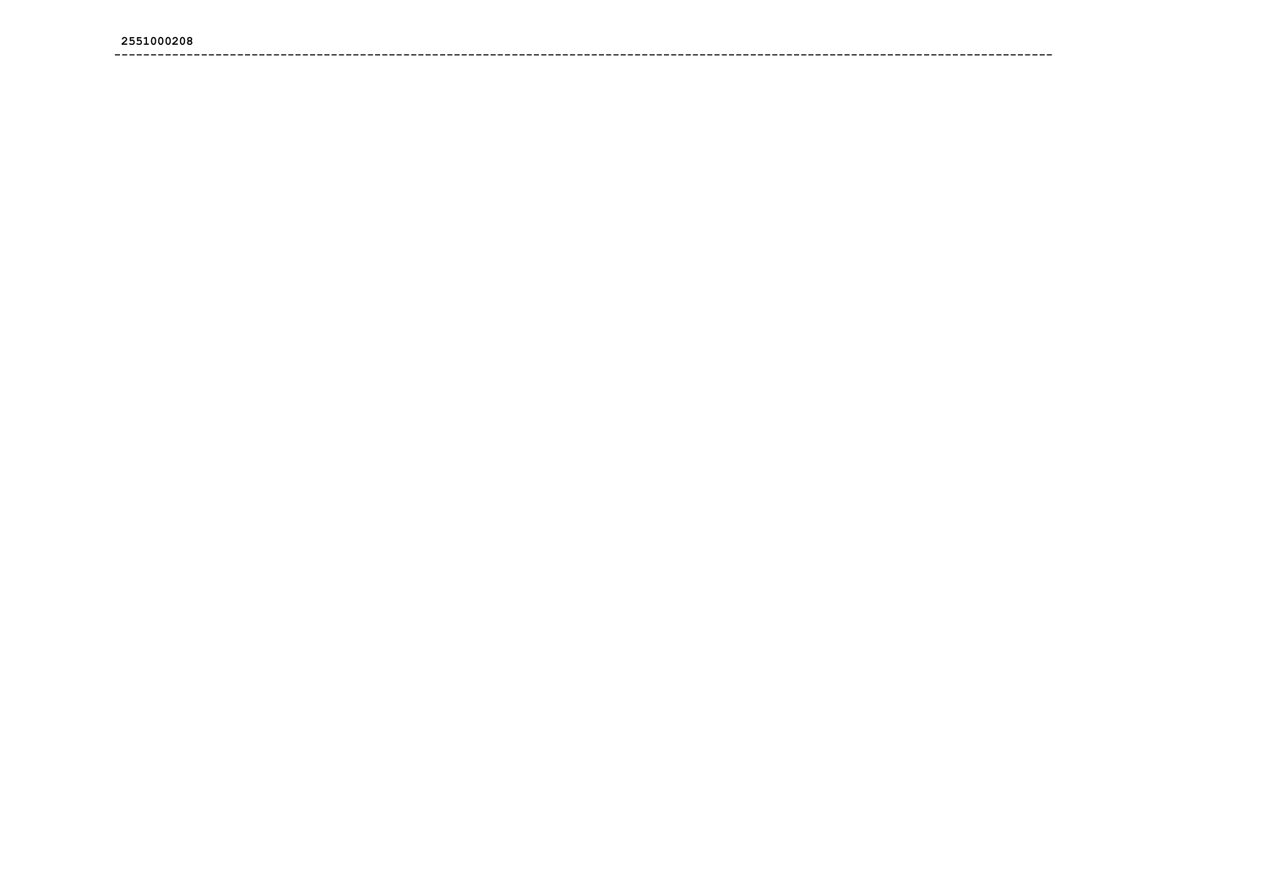####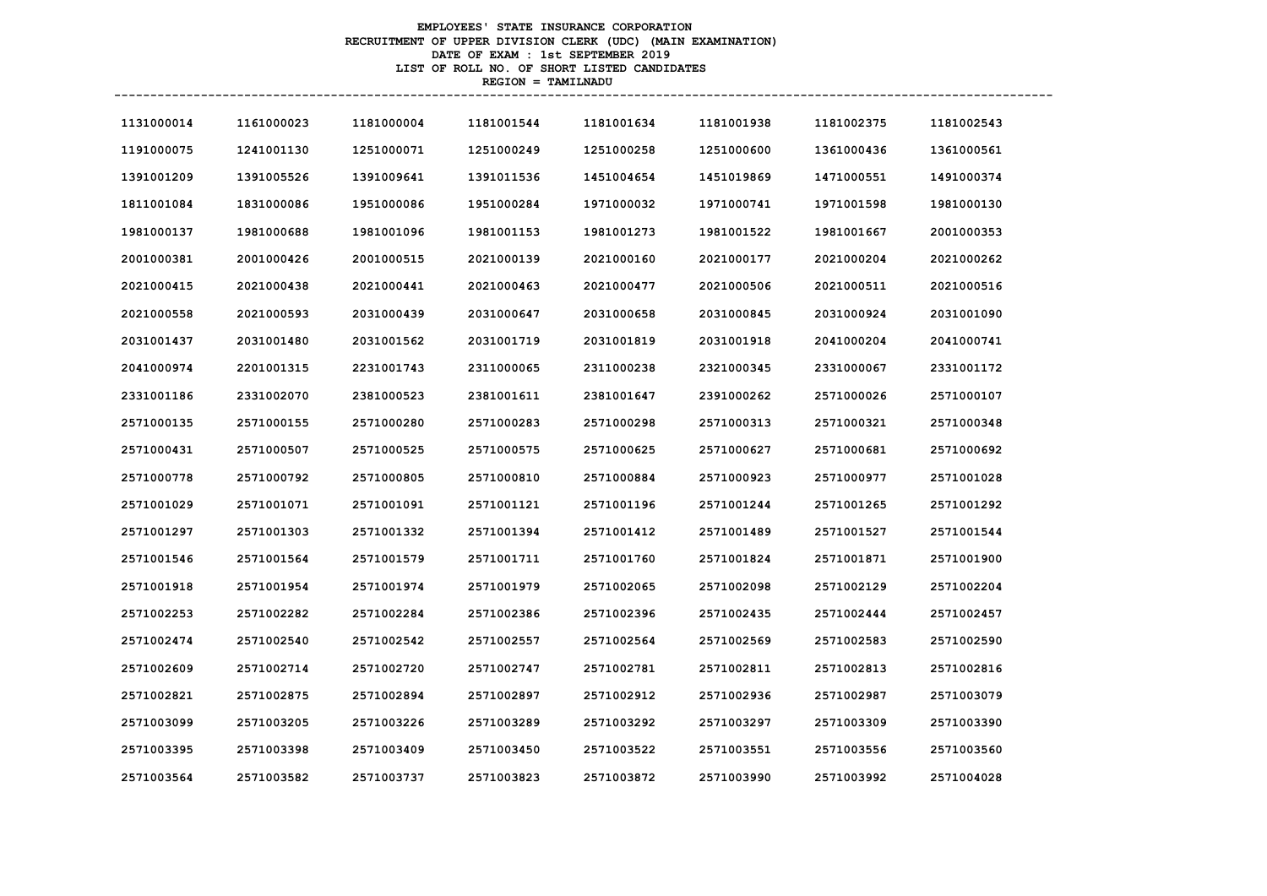# **EMPLOYEES' STATE INSURANCE CORPORATION RECRUITMENT OF UPPER DIVISION CLERK (UDC) (MAIN EXAMINATION) DATE OF EXAM : 1st SEPTEMBER 2019 LIST OF ROLL NO. OF SHORT LISTED CANDIDATES REGION = TAMILNADU**

| 1131000014 | 1161000023 | 1181000004 | 1181001544 | 1181001634 | 1181001938 | 1181002375 | 1181002543 |
|------------|------------|------------|------------|------------|------------|------------|------------|
| 1191000075 | 1241001130 | 1251000071 | 1251000249 | 1251000258 | 1251000600 | 1361000436 | 1361000561 |
| 1391001209 | 1391005526 | 1391009641 | 1391011536 | 1451004654 | 1451019869 | 1471000551 | 1491000374 |
| 1811001084 | 1831000086 | 1951000086 | 1951000284 | 1971000032 | 1971000741 | 1971001598 | 1981000130 |
| 1981000137 | 1981000688 | 1981001096 | 1981001153 | 1981001273 | 1981001522 | 1981001667 | 2001000353 |
| 2001000381 | 2001000426 | 2001000515 | 2021000139 | 2021000160 | 2021000177 | 2021000204 | 2021000262 |
| 2021000415 | 2021000438 | 2021000441 | 2021000463 | 2021000477 | 2021000506 | 2021000511 | 2021000516 |
| 2021000558 | 2021000593 | 2031000439 | 2031000647 | 2031000658 | 2031000845 | 2031000924 | 2031001090 |
| 2031001437 | 2031001480 | 2031001562 | 2031001719 | 2031001819 | 2031001918 | 2041000204 | 2041000741 |
| 2041000974 | 2201001315 | 2231001743 | 2311000065 | 2311000238 | 2321000345 | 2331000067 | 2331001172 |
| 2331001186 | 2331002070 | 2381000523 | 2381001611 | 2381001647 | 2391000262 | 2571000026 | 2571000107 |
| 2571000135 | 2571000155 | 2571000280 | 2571000283 | 2571000298 | 2571000313 | 2571000321 | 2571000348 |
| 2571000431 | 2571000507 | 2571000525 | 2571000575 | 2571000625 | 2571000627 | 2571000681 | 2571000692 |
| 2571000778 | 2571000792 | 2571000805 | 2571000810 | 2571000884 | 2571000923 | 2571000977 | 2571001028 |
| 2571001029 | 2571001071 | 2571001091 | 2571001121 | 2571001196 | 2571001244 | 2571001265 | 2571001292 |
| 2571001297 | 2571001303 | 2571001332 | 2571001394 | 2571001412 | 2571001489 | 2571001527 | 2571001544 |
| 2571001546 | 2571001564 | 2571001579 | 2571001711 | 2571001760 | 2571001824 | 2571001871 | 2571001900 |
| 2571001918 | 2571001954 | 2571001974 | 2571001979 | 2571002065 | 2571002098 | 2571002129 | 2571002204 |
| 2571002253 | 2571002282 | 2571002284 | 2571002386 | 2571002396 | 2571002435 | 2571002444 | 2571002457 |
| 2571002474 | 2571002540 | 2571002542 | 2571002557 | 2571002564 | 2571002569 | 2571002583 | 2571002590 |
| 2571002609 | 2571002714 | 2571002720 | 2571002747 | 2571002781 | 2571002811 | 2571002813 | 2571002816 |
| 2571002821 | 2571002875 | 2571002894 | 2571002897 | 2571002912 | 2571002936 | 2571002987 | 2571003079 |
| 2571003099 | 2571003205 | 2571003226 | 2571003289 | 2571003292 | 2571003297 | 2571003309 | 2571003390 |
| 2571003395 | 2571003398 | 2571003409 | 2571003450 | 2571003522 | 2571003551 | 2571003556 | 2571003560 |
| 2571003564 | 2571003582 | 2571003737 | 2571003823 | 2571003872 | 2571003990 | 2571003992 | 2571004028 |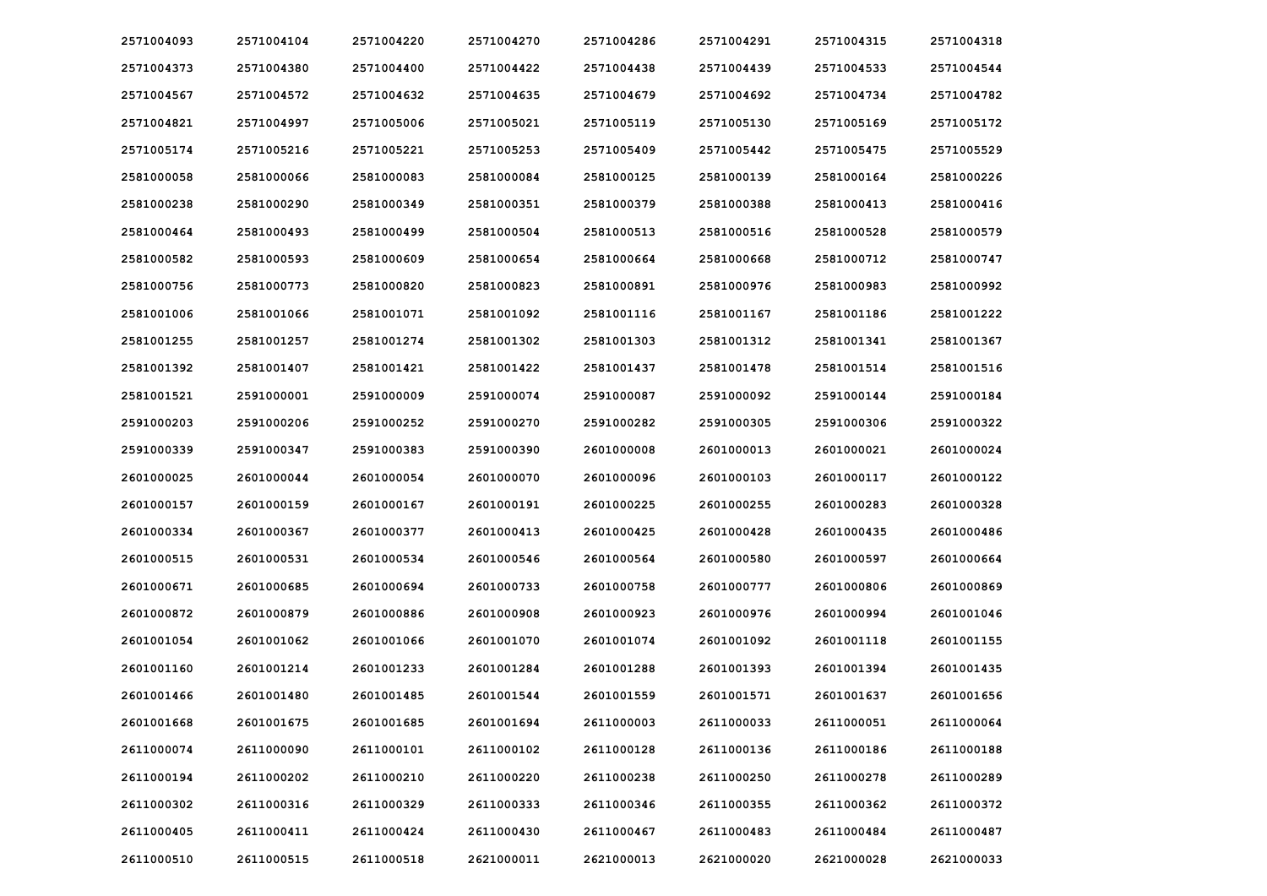| 2571004093 | 2571004104 | 2571004220 | 2571004270 | 2571004286 | 2571004291 | 2571004315 | 2571004318 |
|------------|------------|------------|------------|------------|------------|------------|------------|
| 2571004373 | 2571004380 | 2571004400 | 2571004422 | 2571004438 | 2571004439 | 2571004533 | 2571004544 |
| 2571004567 | 2571004572 | 2571004632 | 2571004635 | 2571004679 | 2571004692 | 2571004734 | 2571004782 |
| 2571004821 | 2571004997 | 2571005006 | 2571005021 | 2571005119 | 2571005130 | 2571005169 | 2571005172 |
| 2571005174 | 2571005216 | 2571005221 | 2571005253 | 2571005409 | 2571005442 | 2571005475 | 2571005529 |
| 2581000058 | 2581000066 | 2581000083 | 2581000084 | 2581000125 | 2581000139 | 2581000164 | 2581000226 |
| 2581000238 | 2581000290 | 2581000349 | 2581000351 | 2581000379 | 2581000388 | 2581000413 | 2581000416 |
| 2581000464 | 2581000493 | 2581000499 | 2581000504 | 2581000513 | 2581000516 | 2581000528 | 2581000579 |
| 2581000582 | 2581000593 | 2581000609 | 2581000654 | 2581000664 | 2581000668 | 2581000712 | 2581000747 |
| 2581000756 | 2581000773 | 2581000820 | 2581000823 | 2581000891 | 2581000976 | 2581000983 | 2581000992 |
| 2581001006 | 2581001066 | 2581001071 | 2581001092 | 2581001116 | 2581001167 | 2581001186 | 2581001222 |
| 2581001255 | 2581001257 | 2581001274 | 2581001302 | 2581001303 | 2581001312 | 2581001341 | 2581001367 |
| 2581001392 | 2581001407 | 2581001421 | 2581001422 | 2581001437 | 2581001478 | 2581001514 | 2581001516 |
| 2581001521 | 2591000001 | 2591000009 | 2591000074 | 2591000087 | 2591000092 | 2591000144 | 2591000184 |
| 2591000203 | 2591000206 | 2591000252 | 2591000270 | 2591000282 | 2591000305 | 2591000306 | 2591000322 |
| 2591000339 | 2591000347 | 2591000383 | 2591000390 | 2601000008 | 2601000013 | 2601000021 | 2601000024 |
| 2601000025 | 2601000044 | 2601000054 | 2601000070 | 2601000096 | 2601000103 | 2601000117 | 2601000122 |
| 2601000157 | 2601000159 | 2601000167 | 2601000191 | 2601000225 | 2601000255 | 2601000283 | 2601000328 |
| 2601000334 | 2601000367 | 2601000377 | 2601000413 | 2601000425 | 2601000428 | 2601000435 | 2601000486 |
| 2601000515 | 2601000531 | 2601000534 | 2601000546 | 2601000564 | 2601000580 | 2601000597 | 2601000664 |
| 2601000671 | 2601000685 | 2601000694 | 2601000733 | 2601000758 | 2601000777 | 2601000806 | 2601000869 |
| 2601000872 | 2601000879 | 2601000886 | 2601000908 | 2601000923 | 2601000976 | 2601000994 | 2601001046 |
| 2601001054 | 2601001062 | 2601001066 | 2601001070 | 2601001074 | 2601001092 | 2601001118 | 2601001155 |
| 2601001160 | 2601001214 | 2601001233 | 2601001284 | 2601001288 | 2601001393 | 2601001394 | 2601001435 |
| 2601001466 | 2601001480 | 2601001485 | 2601001544 | 2601001559 | 2601001571 | 2601001637 | 2601001656 |
| 2601001668 | 2601001675 | 2601001685 | 2601001694 | 2611000003 | 2611000033 | 2611000051 | 2611000064 |
| 2611000074 | 2611000090 | 2611000101 | 2611000102 | 2611000128 | 2611000136 | 2611000186 | 2611000188 |
| 2611000194 | 2611000202 | 2611000210 | 2611000220 | 2611000238 | 2611000250 | 2611000278 | 2611000289 |
| 2611000302 | 2611000316 | 2611000329 | 2611000333 | 2611000346 | 2611000355 | 2611000362 | 2611000372 |
| 2611000405 | 2611000411 | 2611000424 | 2611000430 | 2611000467 | 2611000483 | 2611000484 | 2611000487 |
| 2611000510 | 2611000515 | 2611000518 | 2621000011 | 2621000013 | 2621000020 | 2621000028 | 2621000033 |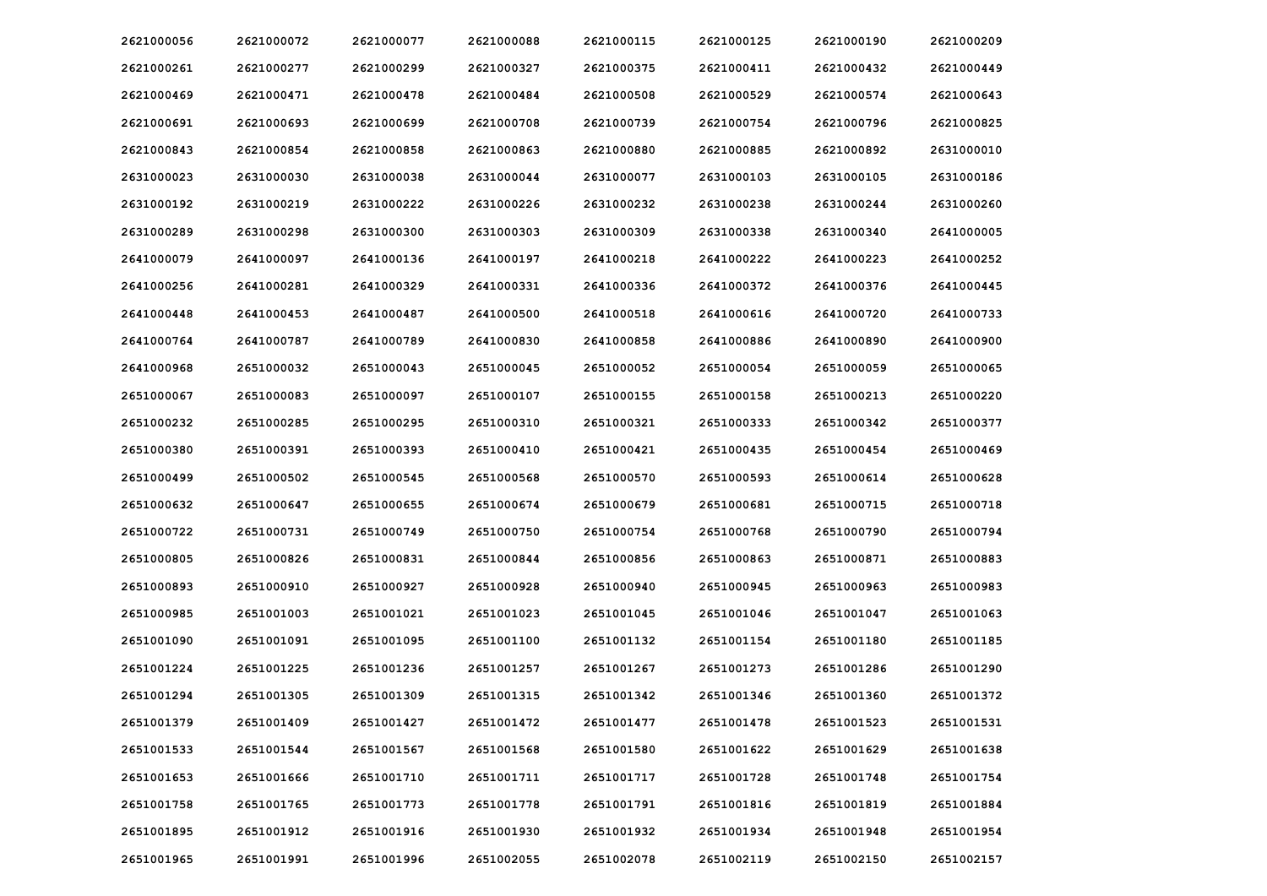| 2621000056 | 2621000072 | 2621000077 | 2621000088 | 2621000115 | 2621000125 | 2621000190 | 2621000209 |
|------------|------------|------------|------------|------------|------------|------------|------------|
| 2621000261 | 2621000277 | 2621000299 | 2621000327 | 2621000375 | 2621000411 | 2621000432 | 2621000449 |
| 2621000469 | 2621000471 | 2621000478 | 2621000484 | 2621000508 | 2621000529 | 2621000574 | 2621000643 |
| 2621000691 | 2621000693 | 2621000699 | 2621000708 | 2621000739 | 2621000754 | 2621000796 | 2621000825 |
| 2621000843 | 2621000854 | 2621000858 | 2621000863 | 2621000880 | 2621000885 | 2621000892 | 2631000010 |
| 2631000023 | 2631000030 | 2631000038 | 2631000044 | 2631000077 | 2631000103 | 2631000105 | 2631000186 |
| 2631000192 | 2631000219 | 2631000222 | 2631000226 | 2631000232 | 2631000238 | 2631000244 | 2631000260 |
| 2631000289 | 2631000298 | 2631000300 | 2631000303 | 2631000309 | 2631000338 | 2631000340 | 2641000005 |
| 2641000079 | 2641000097 | 2641000136 | 2641000197 | 2641000218 | 2641000222 | 2641000223 | 2641000252 |
| 2641000256 | 2641000281 | 2641000329 | 2641000331 | 2641000336 | 2641000372 | 2641000376 | 2641000445 |
| 2641000448 | 2641000453 | 2641000487 | 2641000500 | 2641000518 | 2641000616 | 2641000720 | 2641000733 |
| 2641000764 | 2641000787 | 2641000789 | 2641000830 | 2641000858 | 2641000886 | 2641000890 | 2641000900 |
| 2641000968 | 2651000032 | 2651000043 | 2651000045 | 2651000052 | 2651000054 | 2651000059 | 2651000065 |
| 2651000067 | 2651000083 | 2651000097 | 2651000107 | 2651000155 | 2651000158 | 2651000213 | 2651000220 |
| 2651000232 | 2651000285 | 2651000295 | 2651000310 | 2651000321 | 2651000333 | 2651000342 | 2651000377 |
| 2651000380 | 2651000391 | 2651000393 | 2651000410 | 2651000421 | 2651000435 | 2651000454 | 2651000469 |
| 2651000499 | 2651000502 | 2651000545 | 2651000568 | 2651000570 | 2651000593 | 2651000614 | 2651000628 |
| 2651000632 | 2651000647 | 2651000655 | 2651000674 | 2651000679 | 2651000681 | 2651000715 | 2651000718 |
| 2651000722 | 2651000731 | 2651000749 | 2651000750 | 2651000754 | 2651000768 | 2651000790 | 2651000794 |
| 2651000805 | 2651000826 | 2651000831 | 2651000844 | 2651000856 | 2651000863 | 2651000871 | 2651000883 |
| 2651000893 | 2651000910 | 2651000927 | 2651000928 | 2651000940 | 2651000945 | 2651000963 | 2651000983 |
| 2651000985 | 2651001003 | 2651001021 | 2651001023 | 2651001045 | 2651001046 | 2651001047 | 2651001063 |
| 2651001090 | 2651001091 | 2651001095 | 2651001100 | 2651001132 | 2651001154 | 2651001180 | 2651001185 |
| 2651001224 | 2651001225 | 2651001236 | 2651001257 | 2651001267 | 2651001273 | 2651001286 | 2651001290 |
| 2651001294 | 2651001305 | 2651001309 | 2651001315 | 2651001342 | 2651001346 | 2651001360 | 2651001372 |
| 2651001379 | 2651001409 | 2651001427 | 2651001472 | 2651001477 | 2651001478 | 2651001523 | 2651001531 |
| 2651001533 | 2651001544 | 2651001567 | 2651001568 | 2651001580 | 2651001622 | 2651001629 | 2651001638 |
| 2651001653 | 2651001666 | 2651001710 | 2651001711 | 2651001717 | 2651001728 | 2651001748 | 2651001754 |
| 2651001758 | 2651001765 | 2651001773 | 2651001778 | 2651001791 | 2651001816 | 2651001819 | 2651001884 |
| 2651001895 | 2651001912 | 2651001916 | 2651001930 | 2651001932 | 2651001934 | 2651001948 | 2651001954 |
| 2651001965 | 2651001991 | 2651001996 | 2651002055 | 2651002078 | 2651002119 | 2651002150 | 2651002157 |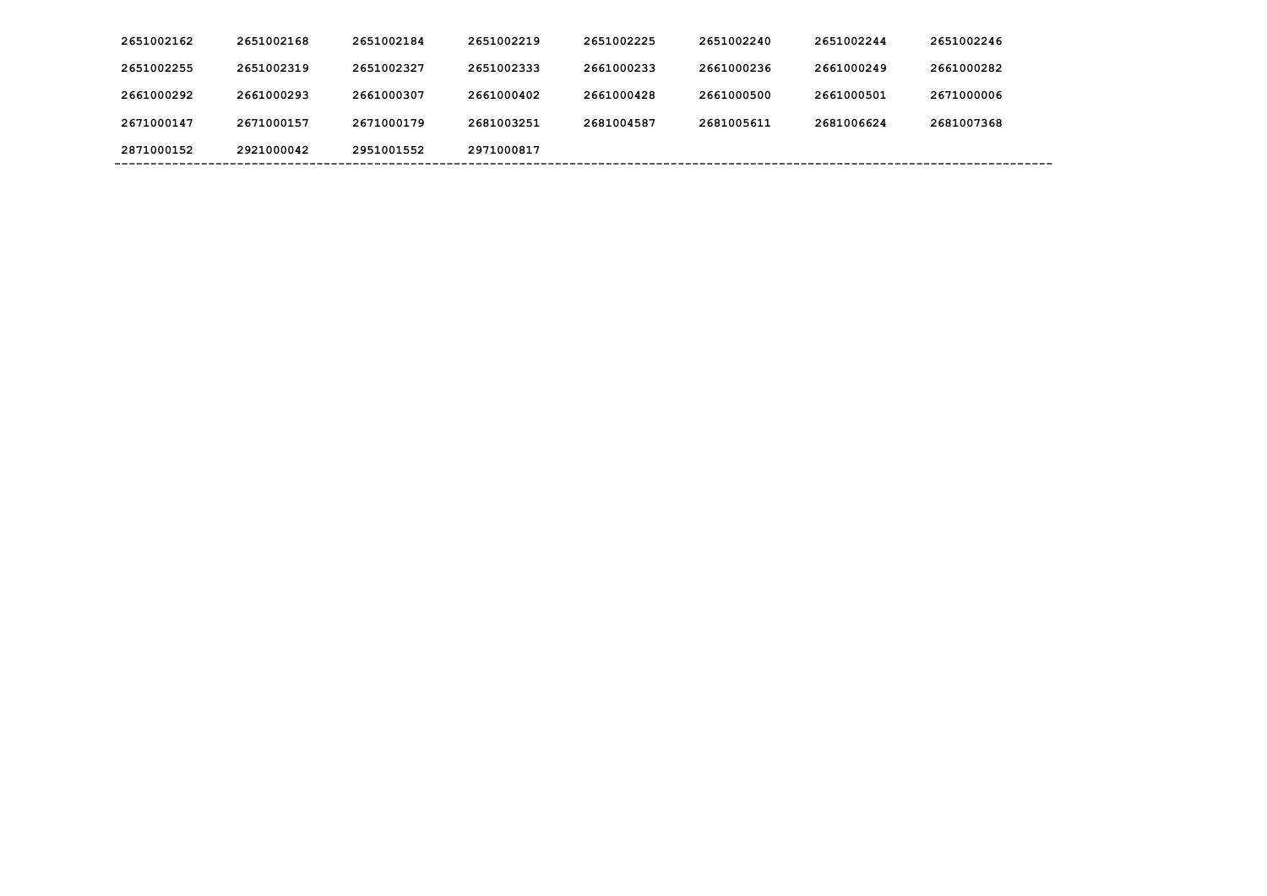| 2651002162 | 2651002168 | 2651002184 | 2651002219 | 2651002225 | 2651002240 | 2651002244 | 2651002246 |
|------------|------------|------------|------------|------------|------------|------------|------------|
| 2651002255 | 2651002319 | 2651002327 | 2651002333 | 2661000233 | 2661000236 | 2661000249 | 2661000282 |
| 2661000292 | 2661000293 | 2661000307 | 2661000402 | 2661000428 | 2661000500 | 2661000501 | 2671000006 |
| 2671000147 | 2671000157 | 2671000179 | 2681003251 | 2681004587 | 2681005611 | 2681006624 | 2681007368 |
| 2871000152 | 2921000042 | 2951001552 | 2971000817 |            |            |            |            |
|            |            |            |            |            |            |            |            |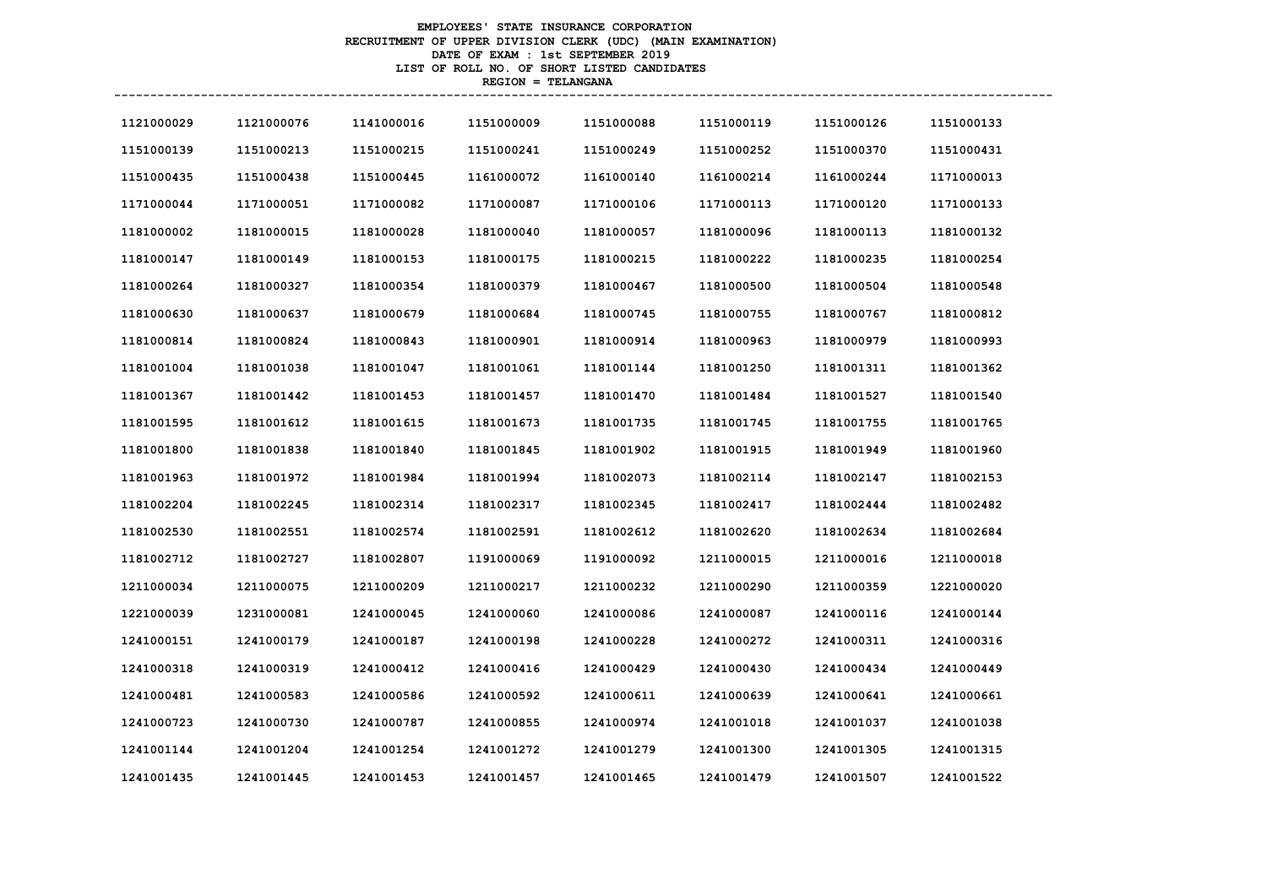# **EMPLOYEES' STATE INSURANCE CORPORATION RECRUITMENT OF UPPER DIVISION CLERK (UDC) (MAIN EXAMINATION) DATE OF EXAM : 1st SEPTEMBER 2019 LIST OF ROLL NO. OF SHORT LISTED CANDIDATES REGION = TELANGANA**

| 1121000029 | 1121000076 | 1141000016 | 1151000009 | 1151000088 | 1151000119 | 1151000126 | 1151000133 |
|------------|------------|------------|------------|------------|------------|------------|------------|
| 1151000139 | 1151000213 | 1151000215 | 1151000241 | 1151000249 | 1151000252 | 1151000370 | 1151000431 |
| 1151000435 | 1151000438 | 1151000445 | 1161000072 | 1161000140 | 1161000214 | 1161000244 | 1171000013 |
| 1171000044 | 1171000051 | 1171000082 | 1171000087 | 1171000106 | 1171000113 | 1171000120 | 1171000133 |
| 1181000002 | 1181000015 | 1181000028 | 1181000040 | 1181000057 | 1181000096 | 1181000113 | 1181000132 |
| 1181000147 | 1181000149 | 1181000153 | 1181000175 | 1181000215 | 1181000222 | 1181000235 | 1181000254 |
| 1181000264 | 1181000327 | 1181000354 | 1181000379 | 1181000467 | 1181000500 | 1181000504 | 1181000548 |
| 1181000630 | 1181000637 | 1181000679 | 1181000684 | 1181000745 | 1181000755 | 1181000767 | 1181000812 |
| 1181000814 | 1181000824 | 1181000843 | 1181000901 | 1181000914 | 1181000963 | 1181000979 | 1181000993 |
| 1181001004 | 1181001038 | 1181001047 | 1181001061 | 1181001144 | 1181001250 | 1181001311 | 1181001362 |
| 1181001367 | 1181001442 | 1181001453 | 1181001457 | 1181001470 | 1181001484 | 1181001527 | 1181001540 |
| 1181001595 | 1181001612 | 1181001615 | 1181001673 | 1181001735 | 1181001745 | 1181001755 | 1181001765 |
| 1181001800 | 1181001838 | 1181001840 | 1181001845 | 1181001902 | 1181001915 | 1181001949 | 1181001960 |
| 1181001963 | 1181001972 | 1181001984 | 1181001994 | 1181002073 | 1181002114 | 1181002147 | 1181002153 |
| 1181002204 | 1181002245 | 1181002314 | 1181002317 | 1181002345 | 1181002417 | 1181002444 | 1181002482 |
| 1181002530 | 1181002551 | 1181002574 | 1181002591 | 1181002612 | 1181002620 | 1181002634 | 1181002684 |
| 1181002712 | 1181002727 | 1181002807 | 1191000069 | 1191000092 | 1211000015 | 1211000016 | 1211000018 |
| 1211000034 | 1211000075 | 1211000209 | 1211000217 | 1211000232 | 1211000290 | 1211000359 | 1221000020 |
| 1221000039 | 1231000081 | 1241000045 | 1241000060 | 1241000086 | 1241000087 | 1241000116 | 1241000144 |
| 1241000151 | 1241000179 | 1241000187 | 1241000198 | 1241000228 | 1241000272 | 1241000311 | 1241000316 |
| 1241000318 | 1241000319 | 1241000412 | 1241000416 | 1241000429 | 1241000430 | 1241000434 | 1241000449 |
| 1241000481 | 1241000583 | 1241000586 | 1241000592 | 1241000611 | 1241000639 | 1241000641 | 1241000661 |
| 1241000723 | 1241000730 | 1241000787 | 1241000855 | 1241000974 | 1241001018 | 1241001037 | 1241001038 |
| 1241001144 | 1241001204 | 1241001254 | 1241001272 | 1241001279 | 1241001300 | 1241001305 | 1241001315 |
| 1241001435 | 1241001445 | 1241001453 | 1241001457 | 1241001465 | 1241001479 | 1241001507 | 1241001522 |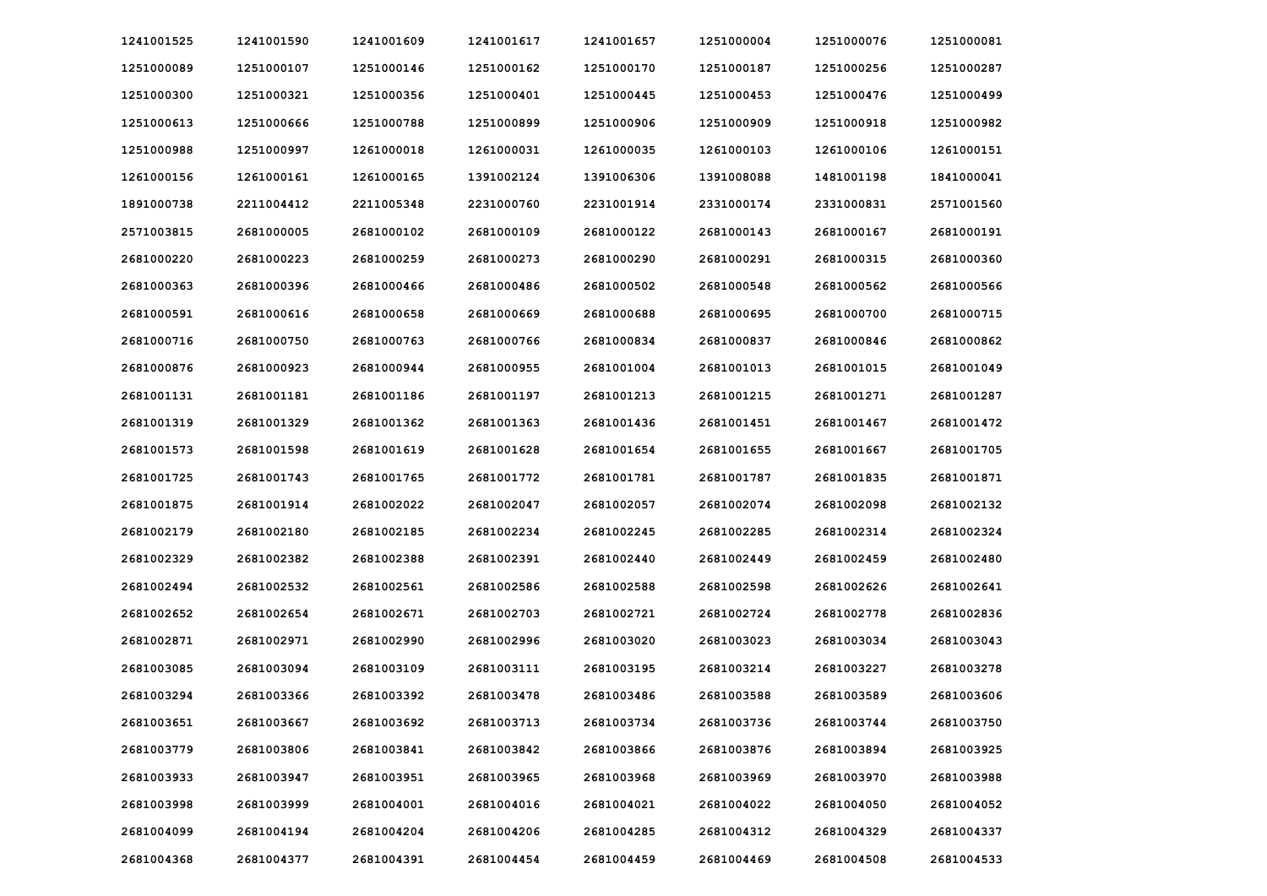| 1241001525 | 1241001590 | 1241001609 | 1241001617 | 1241001657 | 1251000004 | 1251000076 | 1251000081 |
|------------|------------|------------|------------|------------|------------|------------|------------|
| 1251000089 | 1251000107 | 1251000146 | 1251000162 | 1251000170 | 1251000187 | 1251000256 | 1251000287 |
| 1251000300 | 1251000321 | 1251000356 | 1251000401 | 1251000445 | 1251000453 | 1251000476 | 1251000499 |
| 1251000613 | 1251000666 | 1251000788 | 1251000899 | 1251000906 | 1251000909 | 1251000918 | 1251000982 |
| 1251000988 | 1251000997 | 1261000018 | 1261000031 | 1261000035 | 1261000103 | 1261000106 | 1261000151 |
| 1261000156 | 1261000161 | 1261000165 | 1391002124 | 1391006306 | 1391008088 | 1481001198 | 1841000041 |
| 1891000738 | 2211004412 | 2211005348 | 2231000760 | 2231001914 | 2331000174 | 2331000831 | 2571001560 |
| 2571003815 | 2681000005 | 2681000102 | 2681000109 | 2681000122 | 2681000143 | 2681000167 | 2681000191 |
| 2681000220 | 2681000223 | 2681000259 | 2681000273 | 2681000290 | 2681000291 | 2681000315 | 2681000360 |
| 2681000363 | 2681000396 | 2681000466 | 2681000486 | 2681000502 | 2681000548 | 2681000562 | 2681000566 |
| 2681000591 | 2681000616 | 2681000658 | 2681000669 | 2681000688 | 2681000695 | 2681000700 | 2681000715 |
| 2681000716 | 2681000750 | 2681000763 | 2681000766 | 2681000834 | 2681000837 | 2681000846 | 2681000862 |
| 2681000876 | 2681000923 | 2681000944 | 2681000955 | 2681001004 | 2681001013 | 2681001015 | 2681001049 |
| 2681001131 | 2681001181 | 2681001186 | 2681001197 | 2681001213 | 2681001215 | 2681001271 | 2681001287 |
| 2681001319 | 2681001329 | 2681001362 | 2681001363 | 2681001436 | 2681001451 | 2681001467 | 2681001472 |
| 2681001573 | 2681001598 | 2681001619 | 2681001628 | 2681001654 | 2681001655 | 2681001667 | 2681001705 |
| 2681001725 | 2681001743 | 2681001765 | 2681001772 | 2681001781 | 2681001787 | 2681001835 | 2681001871 |
| 2681001875 | 2681001914 | 2681002022 | 2681002047 | 2681002057 | 2681002074 | 2681002098 | 2681002132 |
| 2681002179 | 2681002180 | 2681002185 | 2681002234 | 2681002245 | 2681002285 | 2681002314 | 2681002324 |
| 2681002329 | 2681002382 | 2681002388 | 2681002391 | 2681002440 | 2681002449 | 2681002459 | 2681002480 |
| 2681002494 | 2681002532 | 2681002561 | 2681002586 | 2681002588 | 2681002598 | 2681002626 | 2681002641 |
| 2681002652 | 2681002654 | 2681002671 | 2681002703 | 2681002721 | 2681002724 | 2681002778 | 2681002836 |
| 2681002871 | 2681002971 | 2681002990 | 2681002996 | 2681003020 | 2681003023 | 2681003034 | 2681003043 |
| 2681003085 | 2681003094 | 2681003109 | 2681003111 | 2681003195 | 2681003214 | 2681003227 | 2681003278 |
| 2681003294 | 2681003366 | 2681003392 | 2681003478 | 2681003486 | 2681003588 | 2681003589 | 2681003606 |
| 2681003651 | 2681003667 | 2681003692 | 2681003713 | 2681003734 | 2681003736 | 2681003744 | 2681003750 |
| 2681003779 | 2681003806 | 2681003841 | 2681003842 | 2681003866 | 2681003876 | 2681003894 | 2681003925 |
| 2681003933 | 2681003947 | 2681003951 | 2681003965 | 2681003968 | 2681003969 | 2681003970 | 2681003988 |
| 2681003998 | 2681003999 | 2681004001 | 2681004016 | 2681004021 | 2681004022 | 2681004050 | 2681004052 |
| 2681004099 | 2681004194 | 2681004204 | 2681004206 | 2681004285 | 2681004312 | 2681004329 | 2681004337 |
| 2681004368 | 2681004377 | 2681004391 | 2681004454 | 2681004459 | 2681004469 | 2681004508 | 2681004533 |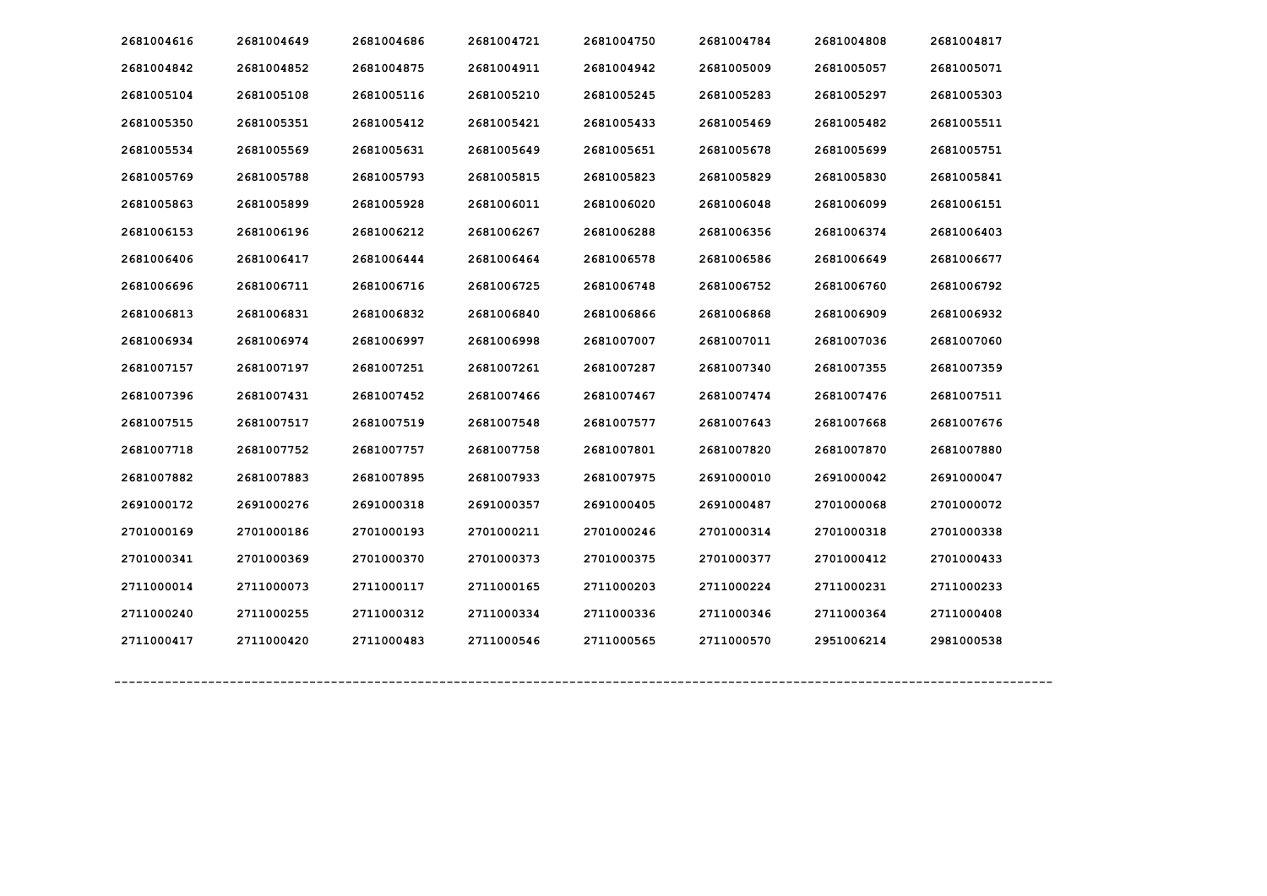| 2681004616 | 2681004649 | 2681004686 | 2681004721 | 2681004750 | 2681004784 | 2681004808 | 2681004817 |
|------------|------------|------------|------------|------------|------------|------------|------------|
| 2681004842 | 2681004852 | 2681004875 | 2681004911 | 2681004942 | 2681005009 | 2681005057 | 2681005071 |
| 2681005104 | 2681005108 | 2681005116 | 2681005210 | 2681005245 | 2681005283 | 2681005297 | 2681005303 |
| 2681005350 | 2681005351 | 2681005412 | 2681005421 | 2681005433 | 2681005469 | 2681005482 | 2681005511 |
| 2681005534 | 2681005569 | 2681005631 | 2681005649 | 2681005651 | 2681005678 | 2681005699 | 2681005751 |
| 2681005769 | 2681005788 | 2681005793 | 2681005815 | 2681005823 | 2681005829 | 2681005830 | 2681005841 |
| 2681005863 | 2681005899 | 2681005928 | 2681006011 | 2681006020 | 2681006048 | 2681006099 | 2681006151 |
| 2681006153 | 2681006196 | 2681006212 | 2681006267 | 2681006288 | 2681006356 | 2681006374 | 2681006403 |
| 2681006406 | 2681006417 | 2681006444 | 2681006464 | 2681006578 | 2681006586 | 2681006649 | 2681006677 |
| 2681006696 | 2681006711 | 2681006716 | 2681006725 | 2681006748 | 2681006752 | 2681006760 | 2681006792 |
| 2681006813 | 2681006831 | 2681006832 | 2681006840 | 2681006866 | 2681006868 | 2681006909 | 2681006932 |
| 2681006934 | 2681006974 | 2681006997 | 2681006998 | 2681007007 | 2681007011 | 2681007036 | 2681007060 |
| 2681007157 | 2681007197 | 2681007251 | 2681007261 | 2681007287 | 2681007340 | 2681007355 | 2681007359 |
| 2681007396 | 2681007431 | 2681007452 | 2681007466 | 2681007467 | 2681007474 | 2681007476 | 2681007511 |
| 2681007515 | 2681007517 | 2681007519 | 2681007548 | 2681007577 | 2681007643 | 2681007668 | 2681007676 |
| 2681007718 | 2681007752 | 2681007757 | 2681007758 | 2681007801 | 2681007820 | 2681007870 | 2681007880 |
| 2681007882 | 2681007883 | 2681007895 | 2681007933 | 2681007975 | 2691000010 | 2691000042 | 2691000047 |
| 2691000172 | 2691000276 | 2691000318 | 2691000357 | 2691000405 | 2691000487 | 2701000068 | 2701000072 |
| 2701000169 | 2701000186 | 2701000193 | 2701000211 | 2701000246 | 2701000314 | 2701000318 | 2701000338 |
| 2701000341 | 2701000369 | 2701000370 | 2701000373 | 2701000375 | 2701000377 | 2701000412 | 2701000433 |
| 2711000014 | 2711000073 | 2711000117 | 2711000165 | 2711000203 | 2711000224 | 2711000231 | 2711000233 |
| 2711000240 | 2711000255 | 2711000312 | 2711000334 | 2711000336 | 2711000346 | 2711000364 | 2711000408 |
| 2711000417 | 2711000420 | 2711000483 | 2711000546 | 2711000565 | 2711000570 | 2951006214 | 2981000538 |
|            |            |            |            |            |            |            |            |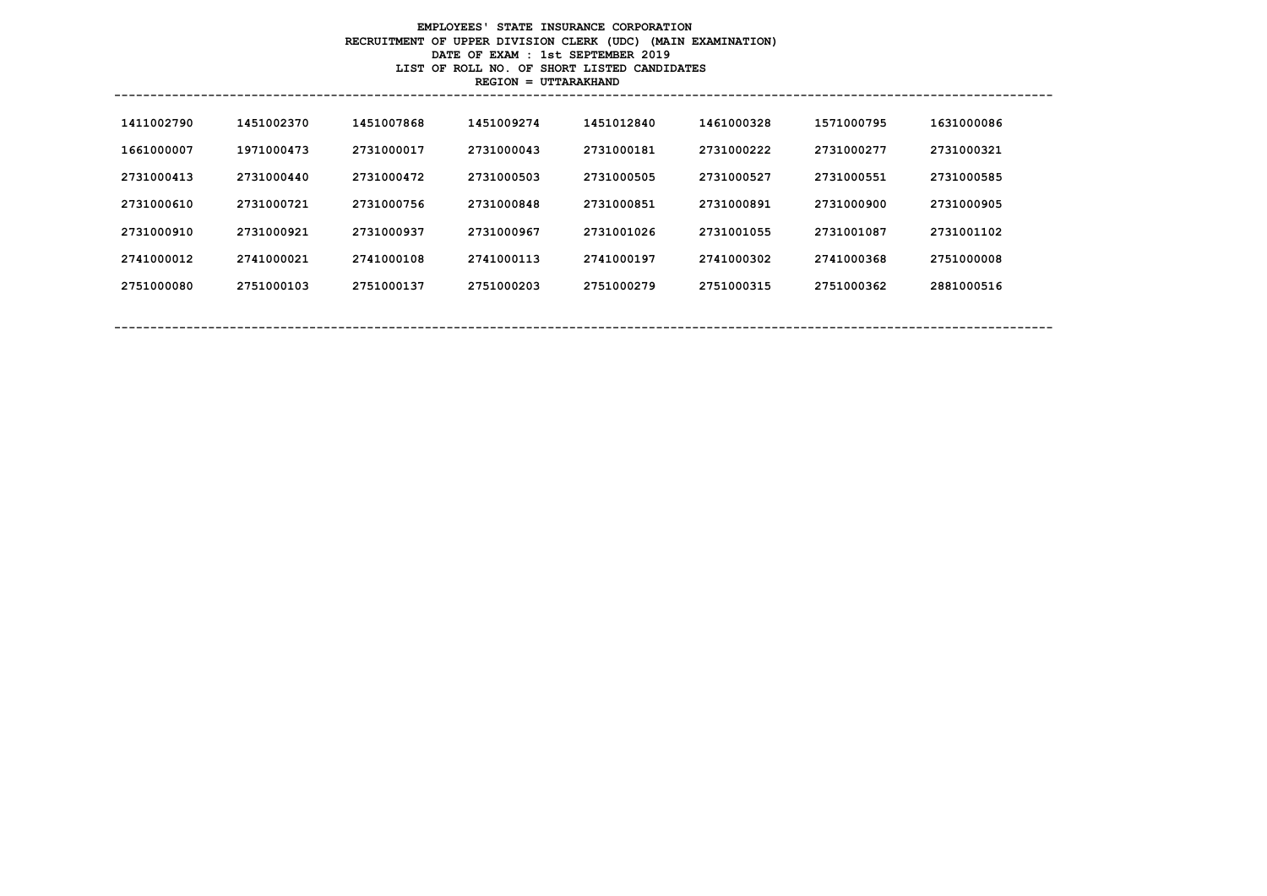# **EMPLOYEES' STATE INSURANCE CORPORATION RECRUITMENT OF UPPER DIVISION CLERK (UDC) (MAIN EXAMINATION) DATE OF EXAM : 1st SEPTEMBER 2019 LIST OF ROLL NO. OF SHORT LISTED CANDIDATES REGION = UTTARAKHAND**

| 1411002790 | 1451002370 | 1451007868 | 1451009274 | 1451012840 | 1461000328 | 1571000795 | 1631000086 |
|------------|------------|------------|------------|------------|------------|------------|------------|
| 1661000007 | 1971000473 | 2731000017 | 2731000043 | 2731000181 | 2731000222 | 2731000277 | 2731000321 |
| 2731000413 | 2731000440 | 2731000472 | 2731000503 | 2731000505 | 2731000527 | 2731000551 | 2731000585 |
| 2731000610 | 2731000721 | 2731000756 | 2731000848 | 2731000851 | 2731000891 | 2731000900 | 2731000905 |
| 2731000910 | 2731000921 | 2731000937 | 2731000967 | 2731001026 | 2731001055 | 2731001087 | 2731001102 |
| 2741000012 | 2741000021 | 2741000108 | 2741000113 | 2741000197 | 2741000302 | 2741000368 | 2751000008 |
| 2751000080 | 2751000103 | 2751000137 | 2751000203 | 2751000279 | 2751000315 | 2751000362 | 2881000516 |
|            |            |            |            |            |            |            |            |
|            |            |            |            |            |            |            |            |

**----------------------------------------------------------------------------------------------------------------------------------**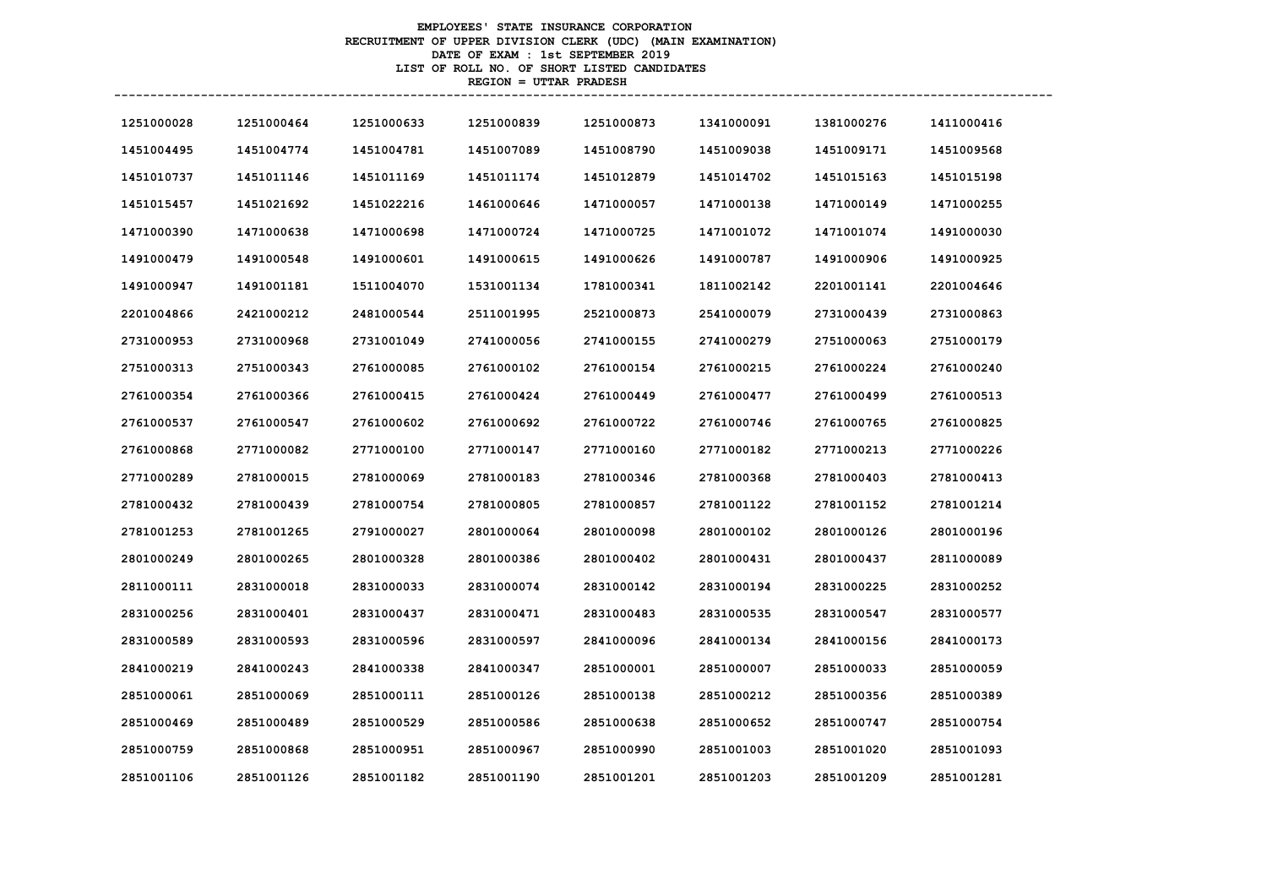# **EMPLOYEES' STATE INSURANCE CORPORATION RECRUITMENT OF UPPER DIVISION CLERK (UDC) (MAIN EXAMINATION) DATE OF EXAM : 1st SEPTEMBER 2019 LIST OF ROLL NO. OF SHORT LISTED CANDIDATES REGION = UTTAR PRADESH**

| 1251000028 | 1251000464 | 1251000633 | 1251000839 | 1251000873 | 1341000091 | 1381000276 | 1411000416 |
|------------|------------|------------|------------|------------|------------|------------|------------|
| 1451004495 | 1451004774 | 1451004781 | 1451007089 | 1451008790 | 1451009038 | 1451009171 | 1451009568 |
| 1451010737 | 1451011146 | 1451011169 | 1451011174 | 1451012879 | 1451014702 | 1451015163 | 1451015198 |
| 1451015457 | 1451021692 | 1451022216 | 1461000646 | 1471000057 | 1471000138 | 1471000149 | 1471000255 |
| 1471000390 | 1471000638 | 1471000698 | 1471000724 | 1471000725 | 1471001072 | 1471001074 | 1491000030 |
| 1491000479 | 1491000548 | 1491000601 | 1491000615 | 1491000626 | 1491000787 | 1491000906 | 1491000925 |
| 1491000947 | 1491001181 | 1511004070 | 1531001134 | 1781000341 | 1811002142 | 2201001141 | 2201004646 |
| 2201004866 | 2421000212 | 2481000544 | 2511001995 | 2521000873 | 2541000079 | 2731000439 | 2731000863 |
| 2731000953 | 2731000968 | 2731001049 | 2741000056 | 2741000155 | 2741000279 | 2751000063 | 2751000179 |
| 2751000313 | 2751000343 | 2761000085 | 2761000102 | 2761000154 | 2761000215 | 2761000224 | 2761000240 |
| 2761000354 | 2761000366 | 2761000415 | 2761000424 | 2761000449 | 2761000477 | 2761000499 | 2761000513 |
| 2761000537 | 2761000547 | 2761000602 | 2761000692 | 2761000722 | 2761000746 | 2761000765 | 2761000825 |
| 2761000868 | 2771000082 | 2771000100 | 2771000147 | 2771000160 | 2771000182 | 2771000213 | 2771000226 |
| 2771000289 | 2781000015 | 2781000069 | 2781000183 | 2781000346 | 2781000368 | 2781000403 | 2781000413 |
| 2781000432 | 2781000439 | 2781000754 | 2781000805 | 2781000857 | 2781001122 | 2781001152 | 2781001214 |
| 2781001253 | 2781001265 | 2791000027 | 2801000064 | 2801000098 | 2801000102 | 2801000126 | 2801000196 |
| 2801000249 | 2801000265 | 2801000328 | 2801000386 | 2801000402 | 2801000431 | 2801000437 | 2811000089 |
| 2811000111 | 2831000018 | 2831000033 | 2831000074 | 2831000142 | 2831000194 | 2831000225 | 2831000252 |
| 2831000256 | 2831000401 | 2831000437 | 2831000471 | 2831000483 | 2831000535 | 2831000547 | 2831000577 |
| 2831000589 | 2831000593 | 2831000596 | 2831000597 | 2841000096 | 2841000134 | 2841000156 | 2841000173 |
| 2841000219 | 2841000243 | 2841000338 | 2841000347 | 2851000001 | 2851000007 | 2851000033 | 2851000059 |
| 2851000061 | 2851000069 | 2851000111 | 2851000126 | 2851000138 | 2851000212 | 2851000356 | 2851000389 |
| 2851000469 | 2851000489 | 2851000529 | 2851000586 | 2851000638 | 2851000652 | 2851000747 | 2851000754 |
| 2851000759 | 2851000868 | 2851000951 | 2851000967 | 2851000990 | 2851001003 | 2851001020 | 2851001093 |
| 2851001106 | 2851001126 | 2851001182 | 2851001190 | 2851001201 | 2851001203 | 2851001209 | 2851001281 |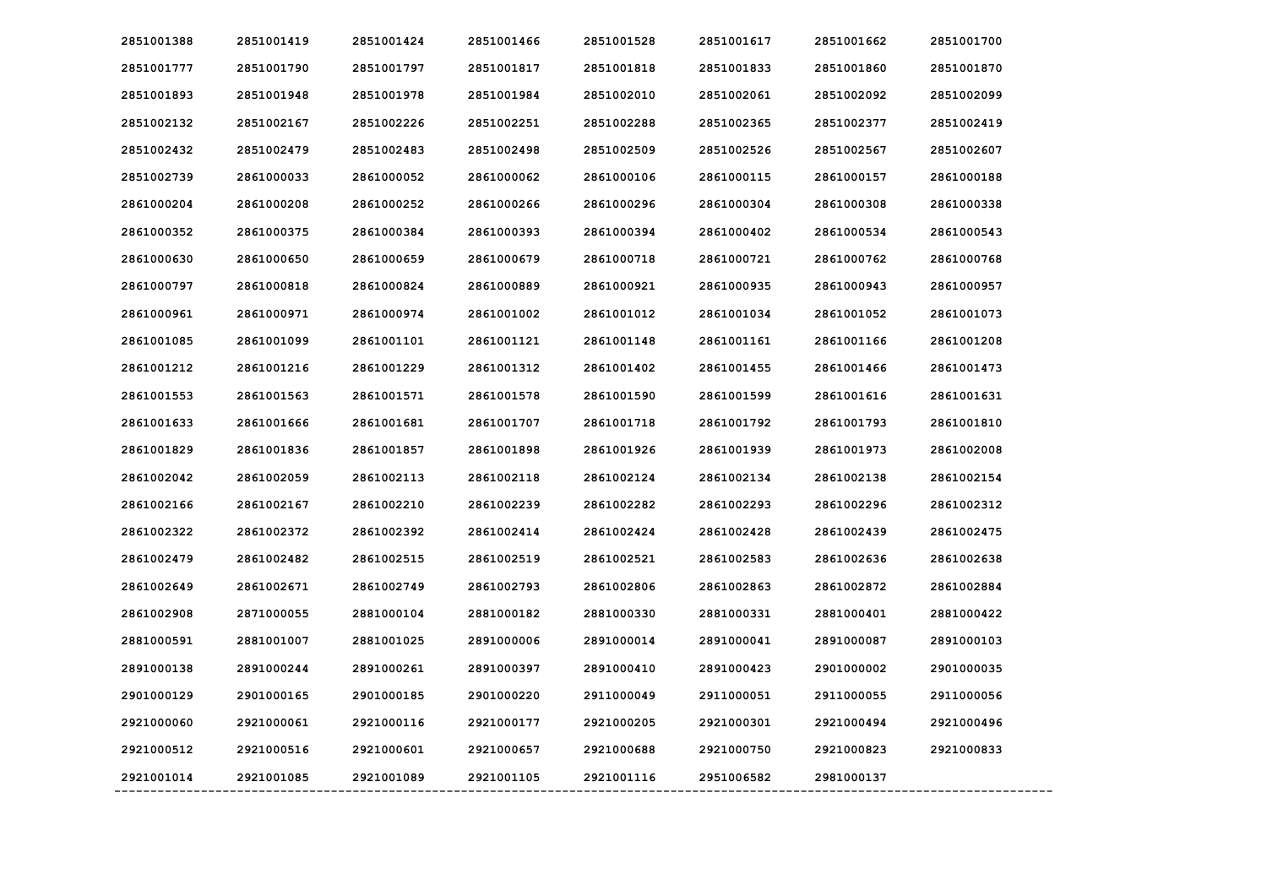| 2851001388 | 2851001419 | 2851001424 | 2851001466 | 2851001528 | 2851001617 | 2851001662 | 2851001700 |
|------------|------------|------------|------------|------------|------------|------------|------------|
| 2851001777 | 2851001790 | 2851001797 | 2851001817 | 2851001818 | 2851001833 | 2851001860 | 2851001870 |
| 2851001893 | 2851001948 | 2851001978 | 2851001984 | 2851002010 | 2851002061 | 2851002092 | 2851002099 |
| 2851002132 | 2851002167 | 2851002226 | 2851002251 | 2851002288 | 2851002365 | 2851002377 | 2851002419 |
| 2851002432 | 2851002479 | 2851002483 | 2851002498 | 2851002509 | 2851002526 | 2851002567 | 2851002607 |
| 2851002739 | 2861000033 | 2861000052 | 2861000062 | 2861000106 | 2861000115 | 2861000157 | 2861000188 |
| 2861000204 | 2861000208 | 2861000252 | 2861000266 | 2861000296 | 2861000304 | 2861000308 | 2861000338 |
| 2861000352 | 2861000375 | 2861000384 | 2861000393 | 2861000394 | 2861000402 | 2861000534 | 2861000543 |
| 2861000630 | 2861000650 | 2861000659 | 2861000679 | 2861000718 | 2861000721 | 2861000762 | 2861000768 |
| 2861000797 | 2861000818 | 2861000824 | 2861000889 | 2861000921 | 2861000935 | 2861000943 | 2861000957 |
| 2861000961 | 2861000971 | 2861000974 | 2861001002 | 2861001012 | 2861001034 | 2861001052 | 2861001073 |
| 2861001085 | 2861001099 | 2861001101 | 2861001121 | 2861001148 | 2861001161 | 2861001166 | 2861001208 |
| 2861001212 | 2861001216 | 2861001229 | 2861001312 | 2861001402 | 2861001455 | 2861001466 | 2861001473 |
| 2861001553 | 2861001563 | 2861001571 | 2861001578 | 2861001590 | 2861001599 | 2861001616 | 2861001631 |
| 2861001633 | 2861001666 | 2861001681 | 2861001707 | 2861001718 | 2861001792 | 2861001793 | 2861001810 |
| 2861001829 | 2861001836 | 2861001857 | 2861001898 | 2861001926 | 2861001939 | 2861001973 | 2861002008 |
| 2861002042 | 2861002059 | 2861002113 | 2861002118 | 2861002124 | 2861002134 | 2861002138 | 2861002154 |
| 2861002166 | 2861002167 | 2861002210 | 2861002239 | 2861002282 | 2861002293 | 2861002296 | 2861002312 |
| 2861002322 | 2861002372 | 2861002392 | 2861002414 | 2861002424 | 2861002428 | 2861002439 | 2861002475 |
| 2861002479 | 2861002482 | 2861002515 | 2861002519 | 2861002521 | 2861002583 | 2861002636 | 2861002638 |
| 2861002649 | 2861002671 | 2861002749 | 2861002793 | 2861002806 | 2861002863 | 2861002872 | 2861002884 |
| 2861002908 | 2871000055 | 2881000104 | 2881000182 | 2881000330 | 2881000331 | 2881000401 | 2881000422 |
| 2881000591 | 2881001007 | 2881001025 | 2891000006 | 2891000014 | 2891000041 | 2891000087 | 2891000103 |
| 2891000138 | 2891000244 | 2891000261 | 2891000397 | 2891000410 | 2891000423 | 2901000002 | 2901000035 |
| 2901000129 | 2901000165 | 2901000185 | 2901000220 | 2911000049 | 2911000051 | 2911000055 | 2911000056 |
| 2921000060 | 2921000061 | 2921000116 | 2921000177 | 2921000205 | 2921000301 | 2921000494 | 2921000496 |
| 2921000512 | 2921000516 | 2921000601 | 2921000657 | 2921000688 | 2921000750 | 2921000823 | 2921000833 |
| 2921001014 | 2921001085 | 2921001089 | 2921001105 | 2921001116 | 2951006582 | 2981000137 |            |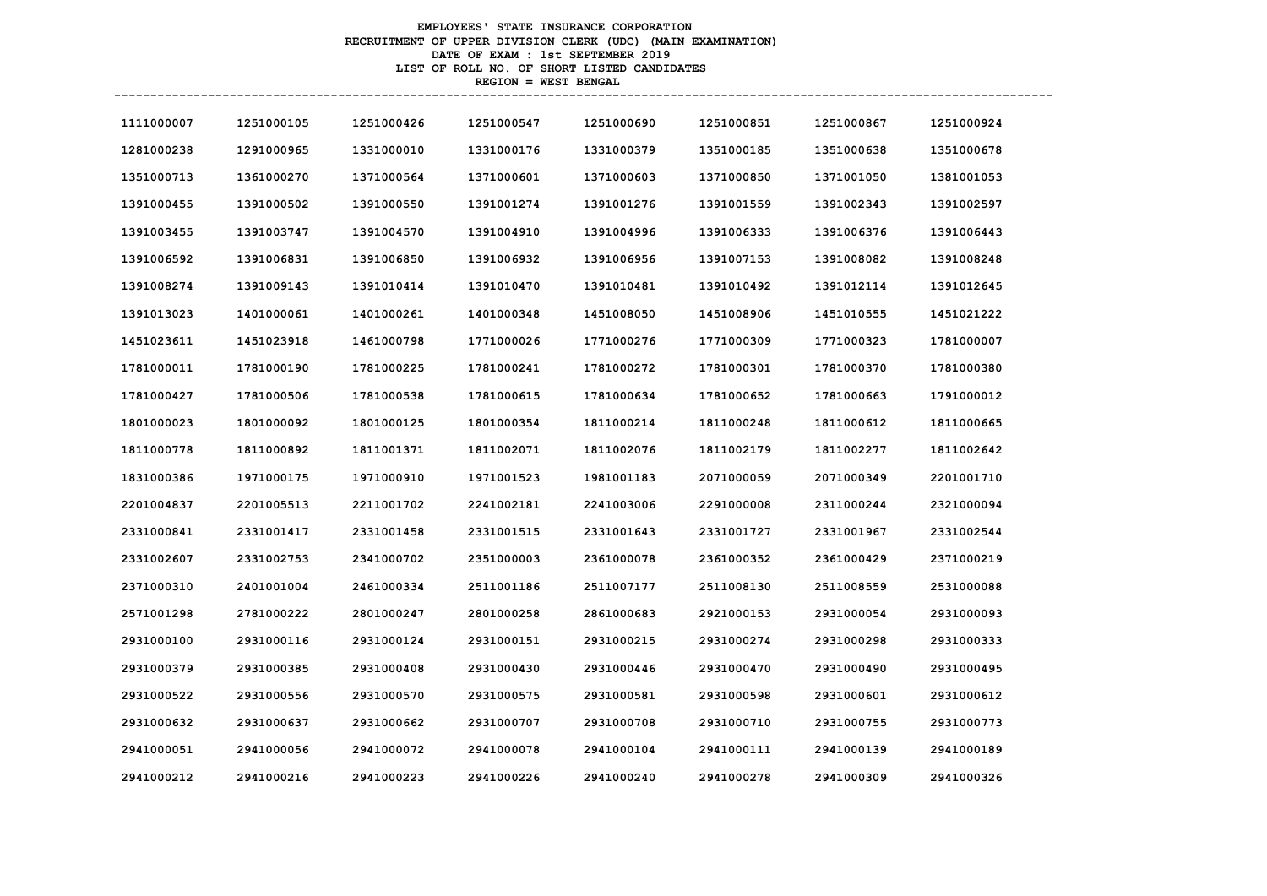# **EMPLOYEES' STATE INSURANCE CORPORATION RECRUITMENT OF UPPER DIVISION CLERK (UDC) (MAIN EXAMINATION) DATE OF EXAM : 1st SEPTEMBER 2019 LIST OF ROLL NO. OF SHORT LISTED CANDIDATES REGION = WEST BENGAL**

| 1111000007 | 1251000105 | 1251000426 | 1251000547 | 1251000690 | 1251000851 | 1251000867 | 1251000924 |
|------------|------------|------------|------------|------------|------------|------------|------------|
| 1281000238 | 1291000965 | 1331000010 | 1331000176 | 1331000379 | 1351000185 | 1351000638 | 1351000678 |
| 1351000713 | 1361000270 | 1371000564 | 1371000601 | 1371000603 | 1371000850 | 1371001050 | 1381001053 |
| 1391000455 | 1391000502 | 1391000550 | 1391001274 | 1391001276 | 1391001559 | 1391002343 | 1391002597 |
| 1391003455 | 1391003747 | 1391004570 | 1391004910 | 1391004996 | 1391006333 | 1391006376 | 1391006443 |
| 1391006592 | 1391006831 | 1391006850 | 1391006932 | 1391006956 | 1391007153 | 1391008082 | 1391008248 |
| 1391008274 | 1391009143 | 1391010414 | 1391010470 | 1391010481 | 1391010492 | 1391012114 | 1391012645 |
| 1391013023 | 1401000061 | 1401000261 | 1401000348 | 1451008050 | 1451008906 | 1451010555 | 1451021222 |
| 1451023611 | 1451023918 | 1461000798 | 1771000026 | 1771000276 | 1771000309 | 1771000323 | 1781000007 |
| 1781000011 | 1781000190 | 1781000225 | 1781000241 | 1781000272 | 1781000301 | 1781000370 | 1781000380 |
| 1781000427 | 1781000506 | 1781000538 | 1781000615 | 1781000634 | 1781000652 | 1781000663 | 1791000012 |
| 1801000023 | 1801000092 | 1801000125 | 1801000354 | 1811000214 | 1811000248 | 1811000612 | 1811000665 |
| 1811000778 | 1811000892 | 1811001371 | 1811002071 | 1811002076 | 1811002179 | 1811002277 | 1811002642 |
| 1831000386 | 1971000175 | 1971000910 | 1971001523 | 1981001183 | 2071000059 | 2071000349 | 2201001710 |
| 2201004837 | 2201005513 | 2211001702 | 2241002181 | 2241003006 | 2291000008 | 2311000244 | 2321000094 |
| 2331000841 | 2331001417 | 2331001458 | 2331001515 | 2331001643 | 2331001727 | 2331001967 | 2331002544 |
| 2331002607 | 2331002753 | 2341000702 | 2351000003 | 2361000078 | 2361000352 | 2361000429 | 2371000219 |
| 2371000310 | 2401001004 | 2461000334 | 2511001186 | 2511007177 | 2511008130 | 2511008559 | 2531000088 |
| 2571001298 | 2781000222 | 2801000247 | 2801000258 | 2861000683 | 2921000153 | 2931000054 | 2931000093 |
| 2931000100 | 2931000116 | 2931000124 | 2931000151 | 2931000215 | 2931000274 | 2931000298 | 2931000333 |
| 2931000379 | 2931000385 | 2931000408 | 2931000430 | 2931000446 | 2931000470 | 2931000490 | 2931000495 |
| 2931000522 | 2931000556 | 2931000570 | 2931000575 | 2931000581 | 2931000598 | 2931000601 | 2931000612 |
| 2931000632 | 2931000637 | 2931000662 | 2931000707 | 2931000708 | 2931000710 | 2931000755 | 2931000773 |
| 2941000051 | 2941000056 | 2941000072 | 2941000078 | 2941000104 | 2941000111 | 2941000139 | 2941000189 |
| 2941000212 | 2941000216 | 2941000223 | 2941000226 | 2941000240 | 2941000278 | 2941000309 | 2941000326 |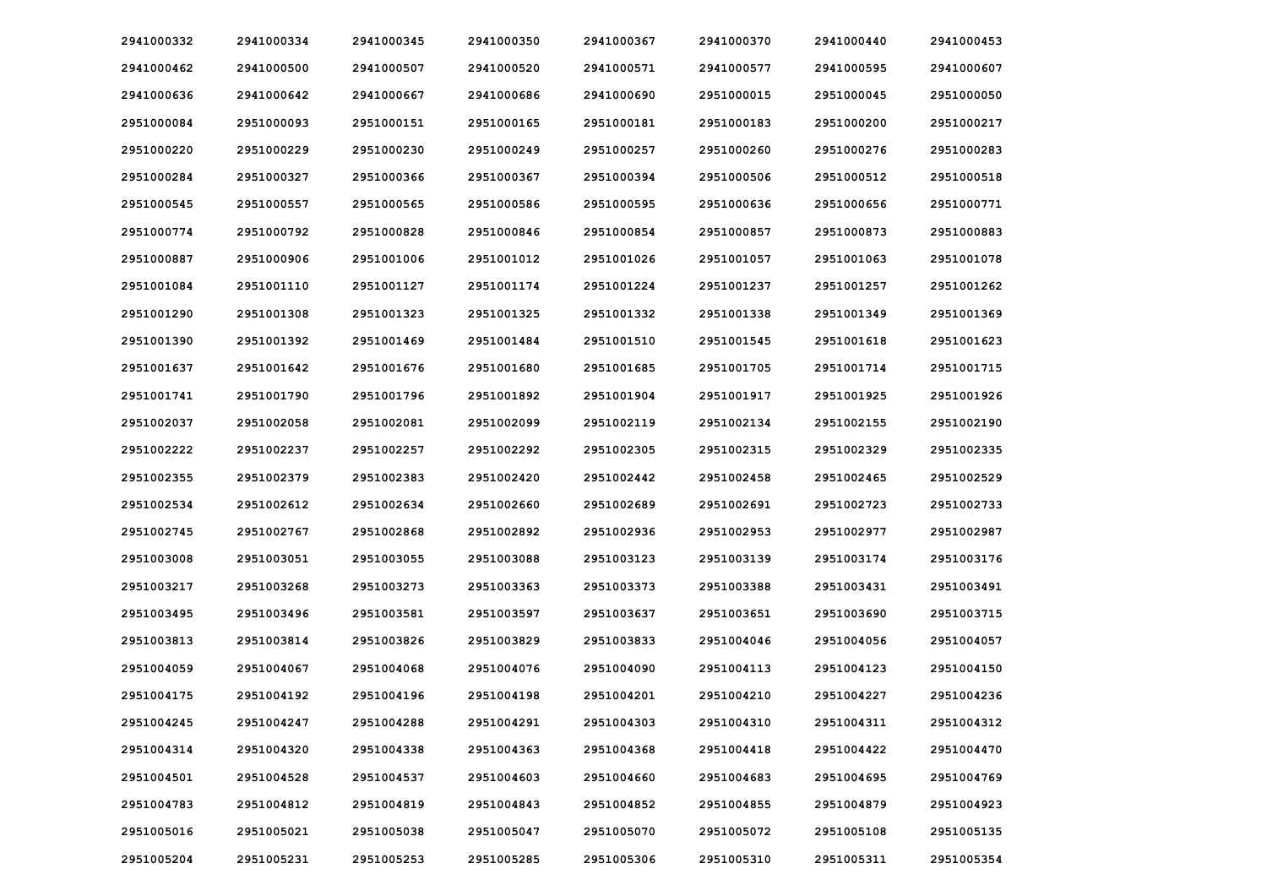| 2941000332 | 2941000334 | 2941000345 | 2941000350 | 2941000367 | 2941000370 | 2941000440 | 2941000453 |
|------------|------------|------------|------------|------------|------------|------------|------------|
| 2941000462 | 2941000500 | 2941000507 | 2941000520 | 2941000571 | 2941000577 | 2941000595 | 2941000607 |
| 2941000636 | 2941000642 | 2941000667 | 2941000686 | 2941000690 | 2951000015 | 2951000045 | 2951000050 |
| 2951000084 | 2951000093 | 2951000151 | 2951000165 | 2951000181 | 2951000183 | 2951000200 | 2951000217 |
| 2951000220 | 2951000229 | 2951000230 | 2951000249 | 2951000257 | 2951000260 | 2951000276 | 2951000283 |
| 2951000284 | 2951000327 | 2951000366 | 2951000367 | 2951000394 | 2951000506 | 2951000512 | 2951000518 |
| 2951000545 | 2951000557 | 2951000565 | 2951000586 | 2951000595 | 2951000636 | 2951000656 | 2951000771 |
| 2951000774 | 2951000792 | 2951000828 | 2951000846 | 2951000854 | 2951000857 | 2951000873 | 2951000883 |
| 2951000887 | 2951000906 | 2951001006 | 2951001012 | 2951001026 | 2951001057 | 2951001063 | 2951001078 |
| 2951001084 | 2951001110 | 2951001127 | 2951001174 | 2951001224 | 2951001237 | 2951001257 | 2951001262 |
| 2951001290 | 2951001308 | 2951001323 | 2951001325 | 2951001332 | 2951001338 | 2951001349 | 2951001369 |
| 2951001390 | 2951001392 | 2951001469 | 2951001484 | 2951001510 | 2951001545 | 2951001618 | 2951001623 |
| 2951001637 | 2951001642 | 2951001676 | 2951001680 | 2951001685 | 2951001705 | 2951001714 | 2951001715 |
| 2951001741 | 2951001790 | 2951001796 | 2951001892 | 2951001904 | 2951001917 | 2951001925 | 2951001926 |
| 2951002037 | 2951002058 | 2951002081 | 2951002099 | 2951002119 | 2951002134 | 2951002155 | 2951002190 |
| 2951002222 | 2951002237 | 2951002257 | 2951002292 | 2951002305 | 2951002315 | 2951002329 | 2951002335 |
| 2951002355 | 2951002379 | 2951002383 | 2951002420 | 2951002442 | 2951002458 | 2951002465 | 2951002529 |
| 2951002534 | 2951002612 | 2951002634 | 2951002660 | 2951002689 | 2951002691 | 2951002723 | 2951002733 |
| 2951002745 | 2951002767 | 2951002868 | 2951002892 | 2951002936 | 2951002953 | 2951002977 | 2951002987 |
| 2951003008 | 2951003051 | 2951003055 | 2951003088 | 2951003123 | 2951003139 | 2951003174 | 2951003176 |
| 2951003217 | 2951003268 | 2951003273 | 2951003363 | 2951003373 | 2951003388 | 2951003431 | 2951003491 |
| 2951003495 | 2951003496 | 2951003581 | 2951003597 | 2951003637 | 2951003651 | 2951003690 | 2951003715 |
| 2951003813 | 2951003814 | 2951003826 | 2951003829 | 2951003833 | 2951004046 | 2951004056 | 2951004057 |
| 2951004059 | 2951004067 | 2951004068 | 2951004076 | 2951004090 | 2951004113 | 2951004123 | 2951004150 |
| 2951004175 | 2951004192 | 2951004196 | 2951004198 | 2951004201 | 2951004210 | 2951004227 | 2951004236 |
| 2951004245 | 2951004247 | 2951004288 | 2951004291 | 2951004303 | 2951004310 | 2951004311 | 2951004312 |
| 2951004314 | 2951004320 | 2951004338 | 2951004363 | 2951004368 | 2951004418 | 2951004422 | 2951004470 |
| 2951004501 | 2951004528 | 2951004537 | 2951004603 | 2951004660 | 2951004683 | 2951004695 | 2951004769 |
| 2951004783 | 2951004812 | 2951004819 | 2951004843 | 2951004852 | 2951004855 | 2951004879 | 2951004923 |
| 2951005016 | 2951005021 | 2951005038 | 2951005047 | 2951005070 | 2951005072 | 2951005108 | 2951005135 |
| 2951005204 | 2951005231 | 2951005253 | 2951005285 | 2951005306 | 2951005310 | 2951005311 | 2951005354 |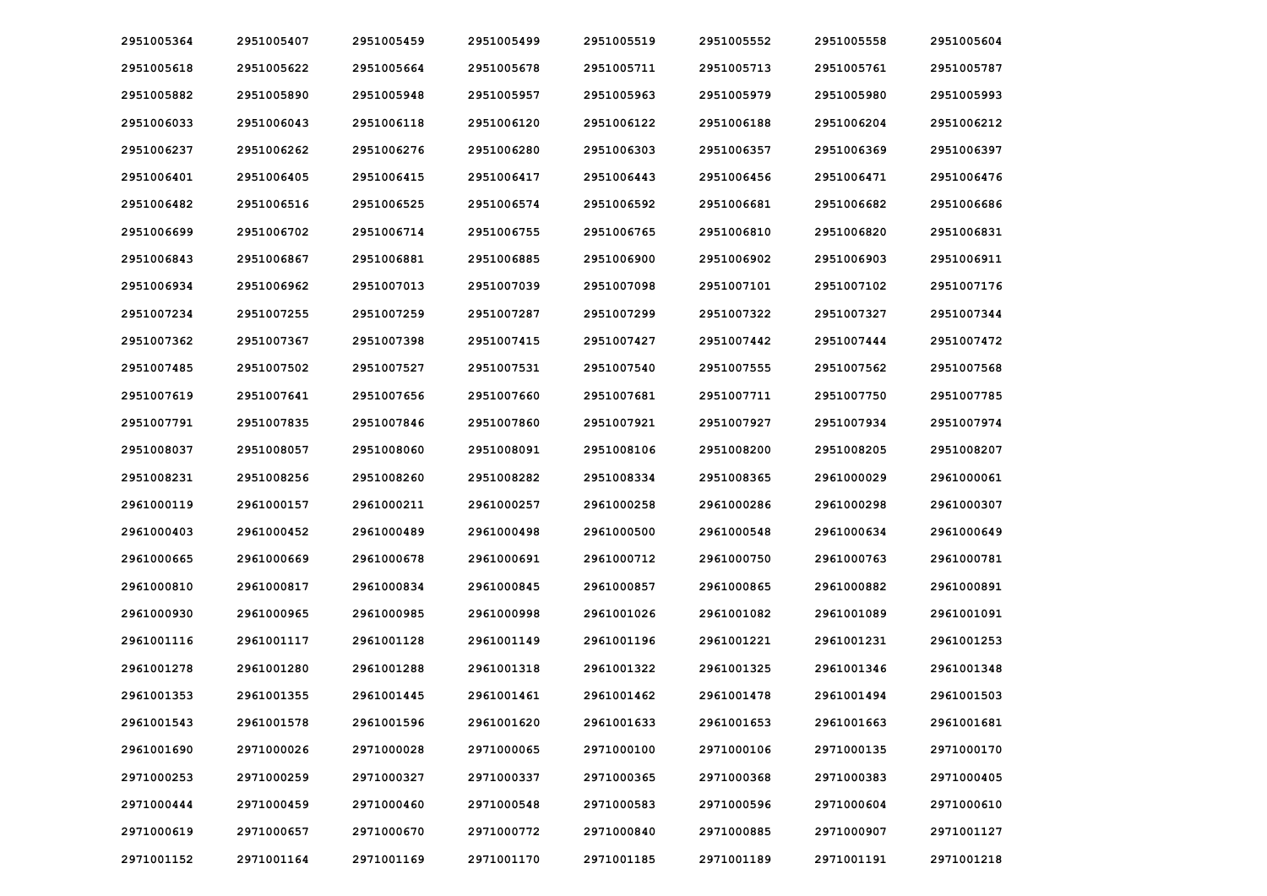| 2951005364 | 2951005407 | 2951005459 | 2951005499 | 2951005519 | 2951005552 | 2951005558 | 2951005604 |
|------------|------------|------------|------------|------------|------------|------------|------------|
| 2951005618 | 2951005622 | 2951005664 | 2951005678 | 2951005711 | 2951005713 | 2951005761 | 2951005787 |
| 2951005882 | 2951005890 | 2951005948 | 2951005957 | 2951005963 | 2951005979 | 2951005980 | 2951005993 |
| 2951006033 | 2951006043 | 2951006118 | 2951006120 | 2951006122 | 2951006188 | 2951006204 | 2951006212 |
| 2951006237 | 2951006262 | 2951006276 | 2951006280 | 2951006303 | 2951006357 | 2951006369 | 2951006397 |
| 2951006401 | 2951006405 | 2951006415 | 2951006417 | 2951006443 | 2951006456 | 2951006471 | 2951006476 |
| 2951006482 | 2951006516 | 2951006525 | 2951006574 | 2951006592 | 2951006681 | 2951006682 | 2951006686 |
| 2951006699 | 2951006702 | 2951006714 | 2951006755 | 2951006765 | 2951006810 | 2951006820 | 2951006831 |
| 2951006843 | 2951006867 | 2951006881 | 2951006885 | 2951006900 | 2951006902 | 2951006903 | 2951006911 |
| 2951006934 | 2951006962 | 2951007013 | 2951007039 | 2951007098 | 2951007101 | 2951007102 | 2951007176 |
| 2951007234 | 2951007255 | 2951007259 | 2951007287 | 2951007299 | 2951007322 | 2951007327 | 2951007344 |
| 2951007362 | 2951007367 | 2951007398 | 2951007415 | 2951007427 | 2951007442 | 2951007444 | 2951007472 |
| 2951007485 | 2951007502 | 2951007527 | 2951007531 | 2951007540 | 2951007555 | 2951007562 | 2951007568 |
| 2951007619 | 2951007641 | 2951007656 | 2951007660 | 2951007681 | 2951007711 | 2951007750 | 2951007785 |
| 2951007791 | 2951007835 | 2951007846 | 2951007860 | 2951007921 | 2951007927 | 2951007934 | 2951007974 |
| 2951008037 | 2951008057 | 2951008060 | 2951008091 | 2951008106 | 2951008200 | 2951008205 | 2951008207 |
| 2951008231 | 2951008256 | 2951008260 | 2951008282 | 2951008334 | 2951008365 | 2961000029 | 2961000061 |
| 2961000119 | 2961000157 | 2961000211 | 2961000257 | 2961000258 | 2961000286 | 2961000298 | 2961000307 |
| 2961000403 | 2961000452 | 2961000489 | 2961000498 | 2961000500 | 2961000548 | 2961000634 | 2961000649 |
| 2961000665 | 2961000669 | 2961000678 | 2961000691 | 2961000712 | 2961000750 | 2961000763 | 2961000781 |
| 2961000810 | 2961000817 | 2961000834 | 2961000845 | 2961000857 | 2961000865 | 2961000882 | 2961000891 |
| 2961000930 | 2961000965 | 2961000985 | 2961000998 | 2961001026 | 2961001082 | 2961001089 | 2961001091 |
| 2961001116 | 2961001117 | 2961001128 | 2961001149 | 2961001196 | 2961001221 | 2961001231 | 2961001253 |
| 2961001278 | 2961001280 | 2961001288 | 2961001318 | 2961001322 | 2961001325 | 2961001346 | 2961001348 |
| 2961001353 | 2961001355 | 2961001445 | 2961001461 | 2961001462 | 2961001478 | 2961001494 | 2961001503 |
| 2961001543 | 2961001578 | 2961001596 | 2961001620 | 2961001633 | 2961001653 | 2961001663 | 2961001681 |
| 2961001690 | 2971000026 | 2971000028 | 2971000065 | 2971000100 | 2971000106 | 2971000135 | 2971000170 |
| 2971000253 | 2971000259 | 2971000327 | 2971000337 | 2971000365 | 2971000368 | 2971000383 | 2971000405 |
| 2971000444 | 2971000459 | 2971000460 | 2971000548 | 2971000583 | 2971000596 | 2971000604 | 2971000610 |
| 2971000619 | 2971000657 | 2971000670 | 2971000772 | 2971000840 | 2971000885 | 2971000907 | 2971001127 |
| 2971001152 | 2971001164 | 2971001169 | 2971001170 | 2971001185 | 2971001189 | 2971001191 | 2971001218 |